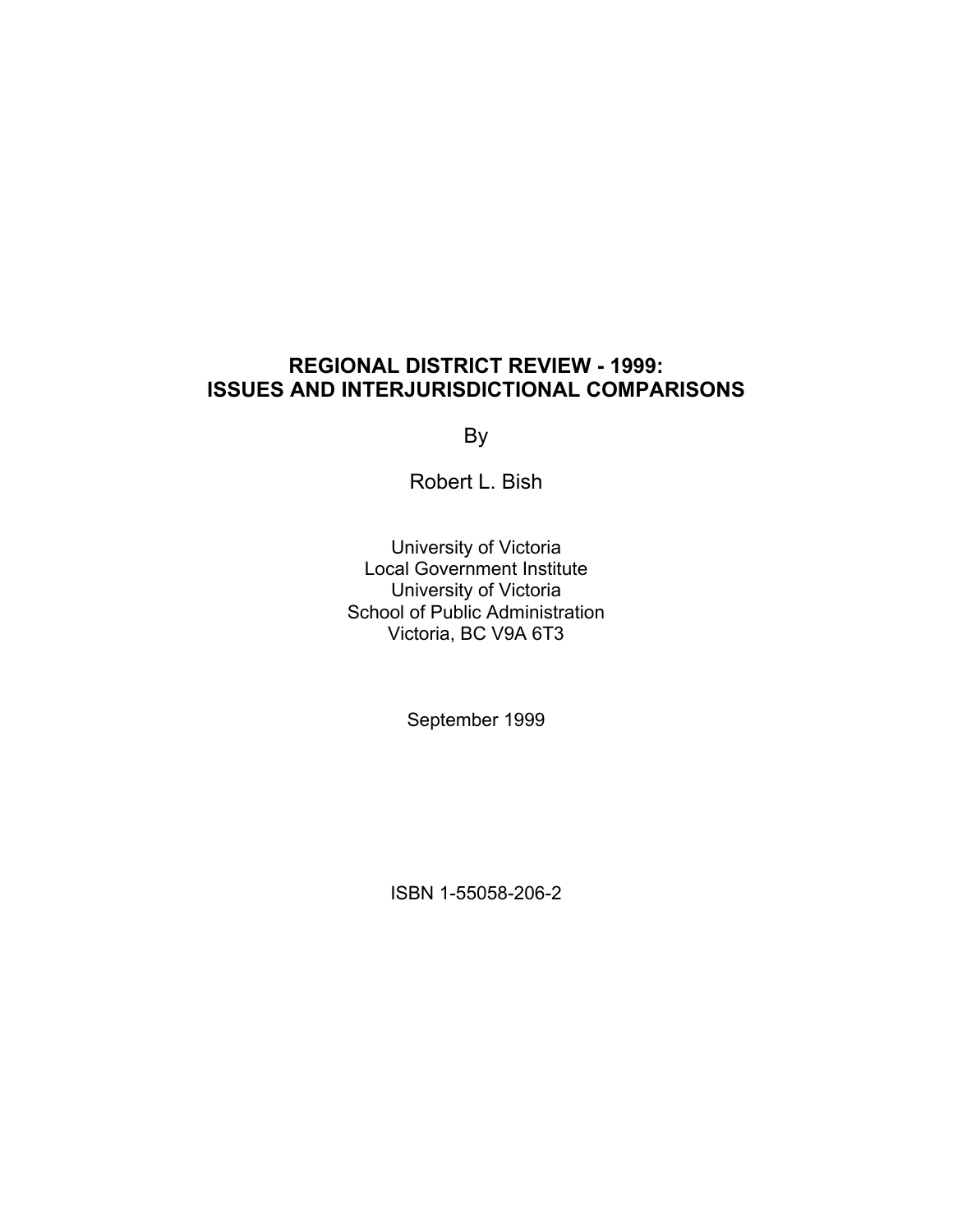## **REGIONAL DISTRICT REVIEW - 1999: ISSUES AND INTERJURISDICTIONAL COMPARISONS**

By

Robert L. Bish

University of Victoria Local Government Institute University of Victoria School of Public Administration Victoria, BC V9A 6T3

September 1999

ISBN 1-55058-206-2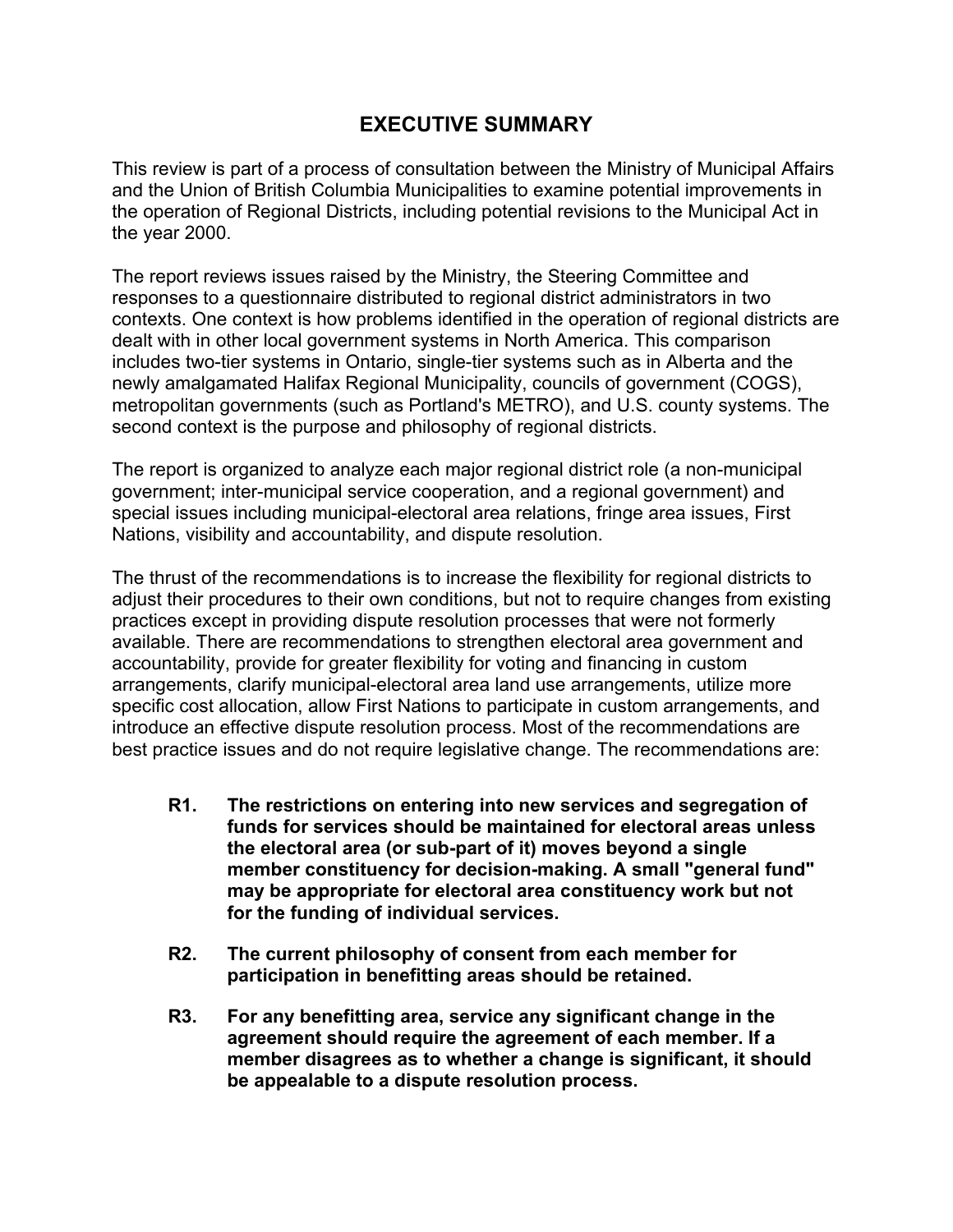## **EXECUTIVE SUMMARY**

This review is part of a process of consultation between the Ministry of Municipal Affairs and the Union of British Columbia Municipalities to examine potential improvements in the operation of Regional Districts, including potential revisions to the Municipal Act in the year 2000.

The report reviews issues raised by the Ministry, the Steering Committee and responses to a questionnaire distributed to regional district administrators in two contexts. One context is how problems identified in the operation of regional districts are dealt with in other local government systems in North America. This comparison includes two-tier systems in Ontario, single-tier systems such as in Alberta and the newly amalgamated Halifax Regional Municipality, councils of government (COGS), metropolitan governments (such as Portland's METRO), and U.S. county systems. The second context is the purpose and philosophy of regional districts.

The report is organized to analyze each major regional district role (a non-municipal government; inter-municipal service cooperation, and a regional government) and special issues including municipal-electoral area relations, fringe area issues, First Nations, visibility and accountability, and dispute resolution.

The thrust of the recommendations is to increase the flexibility for regional districts to adjust their procedures to their own conditions, but not to require changes from existing practices except in providing dispute resolution processes that were not formerly available. There are recommendations to strengthen electoral area government and accountability, provide for greater flexibility for voting and financing in custom arrangements, clarify municipal-electoral area land use arrangements, utilize more specific cost allocation, allow First Nations to participate in custom arrangements, and introduce an effective dispute resolution process. Most of the recommendations are best practice issues and do not require legislative change. The recommendations are:

- **R1. The restrictions on entering into new services and segregation of funds for services should be maintained for electoral areas unless the electoral area (or sub-part of it) moves beyond a single member constituency for decision-making. A small "general fund" may be appropriate for electoral area constituency work but not for the funding of individual services.**
- **R2. The current philosophy of consent from each member for participation in benefitting areas should be retained.**
- **R3. For any benefitting area, service any significant change in the agreement should require the agreement of each member. If a member disagrees as to whether a change is significant, it should be appealable to a dispute resolution process.**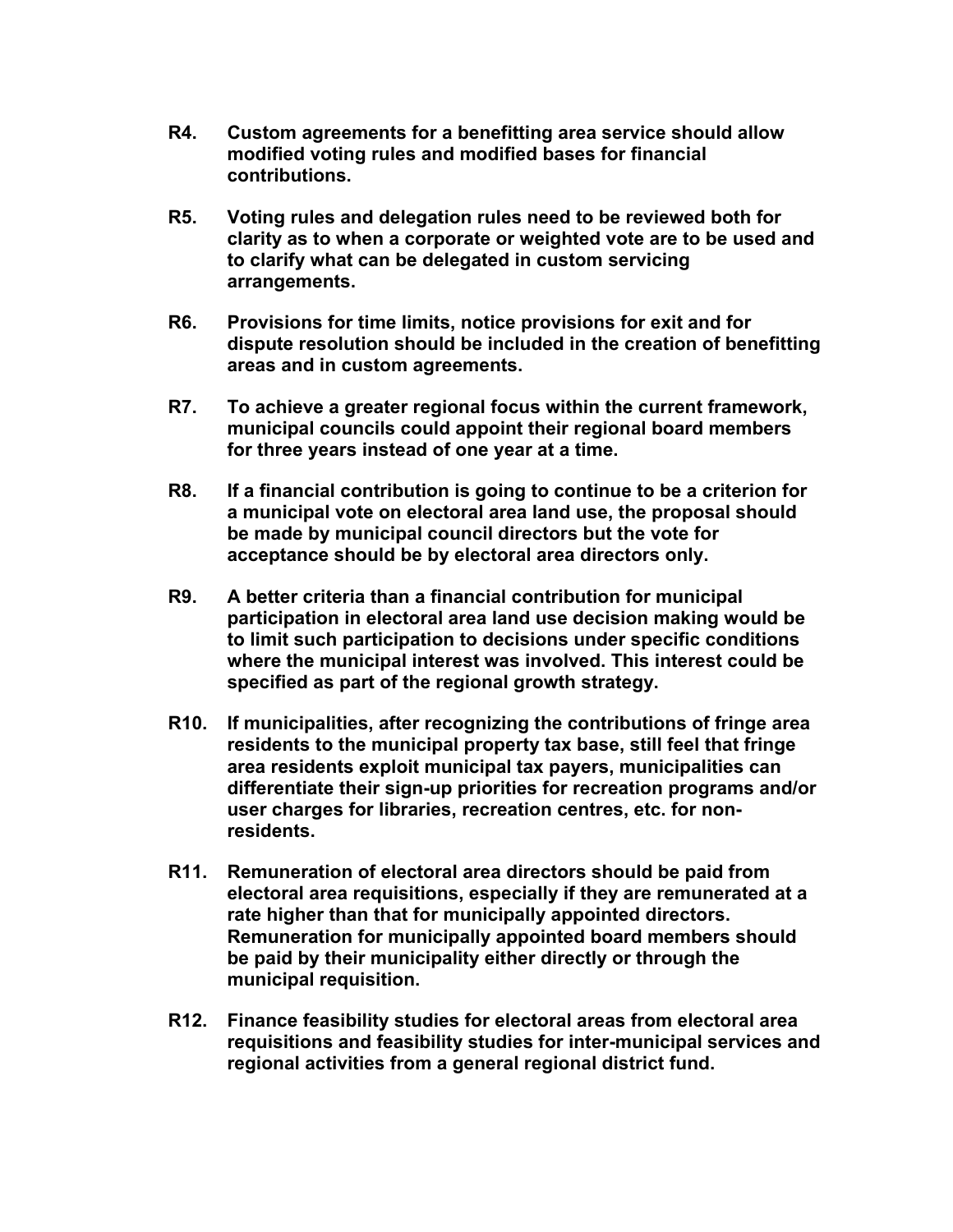- **R4. Custom agreements for a benefitting area service should allow modified voting rules and modified bases for financial contributions.**
- **R5. Voting rules and delegation rules need to be reviewed both for clarity as to when a corporate or weighted vote are to be used and to clarify what can be delegated in custom servicing arrangements.**
- **R6. Provisions for time limits, notice provisions for exit and for dispute resolution should be included in the creation of benefitting areas and in custom agreements.**
- **R7. To achieve a greater regional focus within the current framework, municipal councils could appoint their regional board members for three years instead of one year at a time.**
- **R8. If a financial contribution is going to continue to be a criterion for a municipal vote on electoral area land use, the proposal should be made by municipal council directors but the vote for acceptance should be by electoral area directors only.**
- **R9. A better criteria than a financial contribution for municipal participation in electoral area land use decision making would be to limit such participation to decisions under specific conditions where the municipal interest was involved. This interest could be specified as part of the regional growth strategy.**
- **R10. If municipalities, after recognizing the contributions of fringe area residents to the municipal property tax base, still feel that fringe area residents exploit municipal tax payers, municipalities can differentiate their sign-up priorities for recreation programs and/or user charges for libraries, recreation centres, etc. for nonresidents.**
- **R11. Remuneration of electoral area directors should be paid from electoral area requisitions, especially if they are remunerated at a rate higher than that for municipally appointed directors. Remuneration for municipally appointed board members should be paid by their municipality either directly or through the municipal requisition.**
- **R12. Finance feasibility studies for electoral areas from electoral area requisitions and feasibility studies for inter-municipal services and regional activities from a general regional district fund.**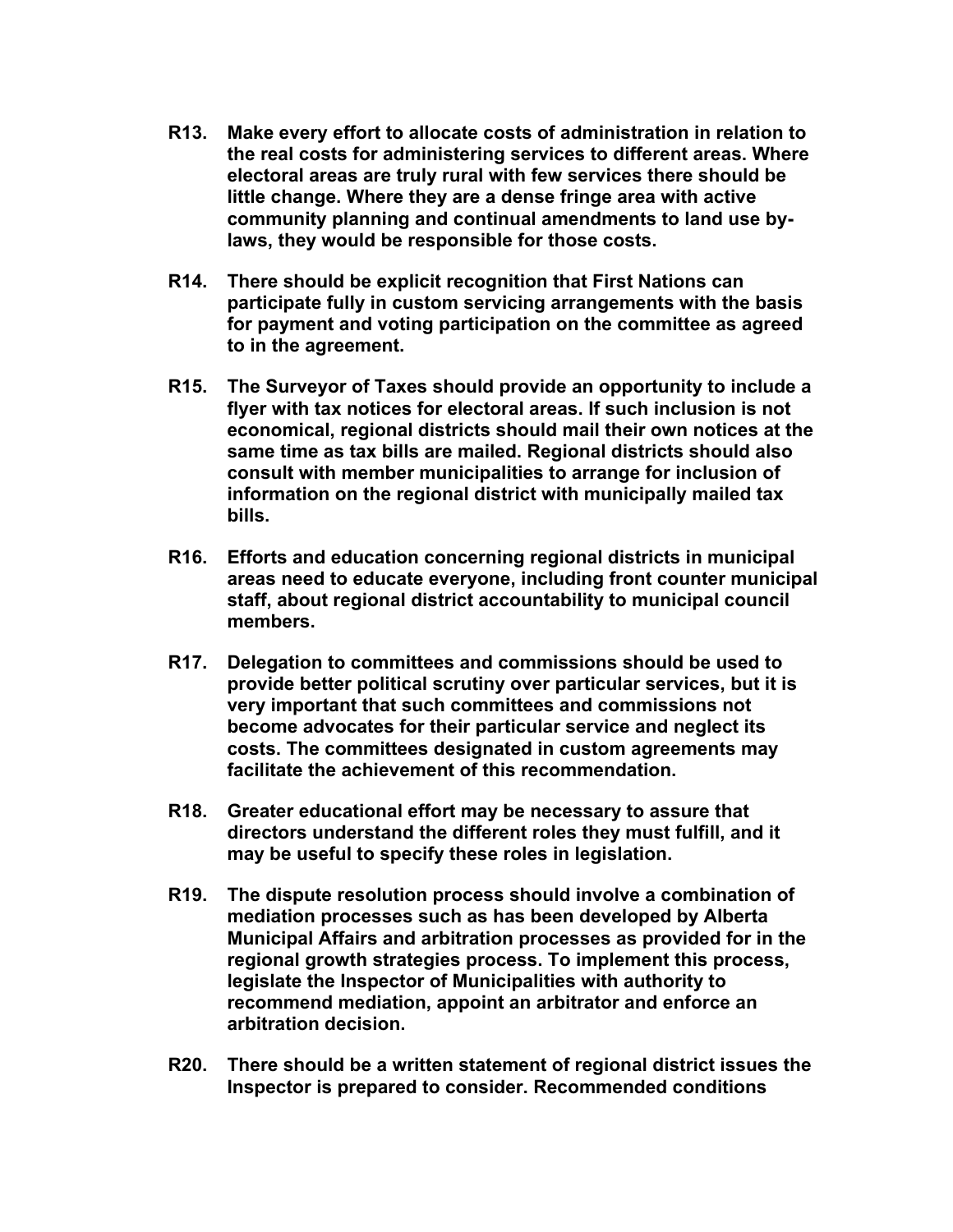- **R13. Make every effort to allocate costs of administration in relation to the real costs for administering services to different areas. Where electoral areas are truly rural with few services there should be little change. Where they are a dense fringe area with active community planning and continual amendments to land use bylaws, they would be responsible for those costs.**
- **R14. There should be explicit recognition that First Nations can participate fully in custom servicing arrangements with the basis for payment and voting participation on the committee as agreed to in the agreement.**
- **R15. The Surveyor of Taxes should provide an opportunity to include a flyer with tax notices for electoral areas. If such inclusion is not economical, regional districts should mail their own notices at the same time as tax bills are mailed. Regional districts should also consult with member municipalities to arrange for inclusion of information on the regional district with municipally mailed tax bills.**
- **R16. Efforts and education concerning regional districts in municipal areas need to educate everyone, including front counter municipal staff, about regional district accountability to municipal council members.**
- **R17. Delegation to committees and commissions should be used to provide better political scrutiny over particular services, but it is very important that such committees and commissions not become advocates for their particular service and neglect its costs. The committees designated in custom agreements may facilitate the achievement of this recommendation.**
- **R18. Greater educational effort may be necessary to assure that directors understand the different roles they must fulfill, and it may be useful to specify these roles in legislation.**
- **R19. The dispute resolution process should involve a combination of mediation processes such as has been developed by Alberta Municipal Affairs and arbitration processes as provided for in the regional growth strategies process. To implement this process, legislate the Inspector of Municipalities with authority to recommend mediation, appoint an arbitrator and enforce an arbitration decision.**
- **R20. There should be a written statement of regional district issues the Inspector is prepared to consider. Recommended conditions**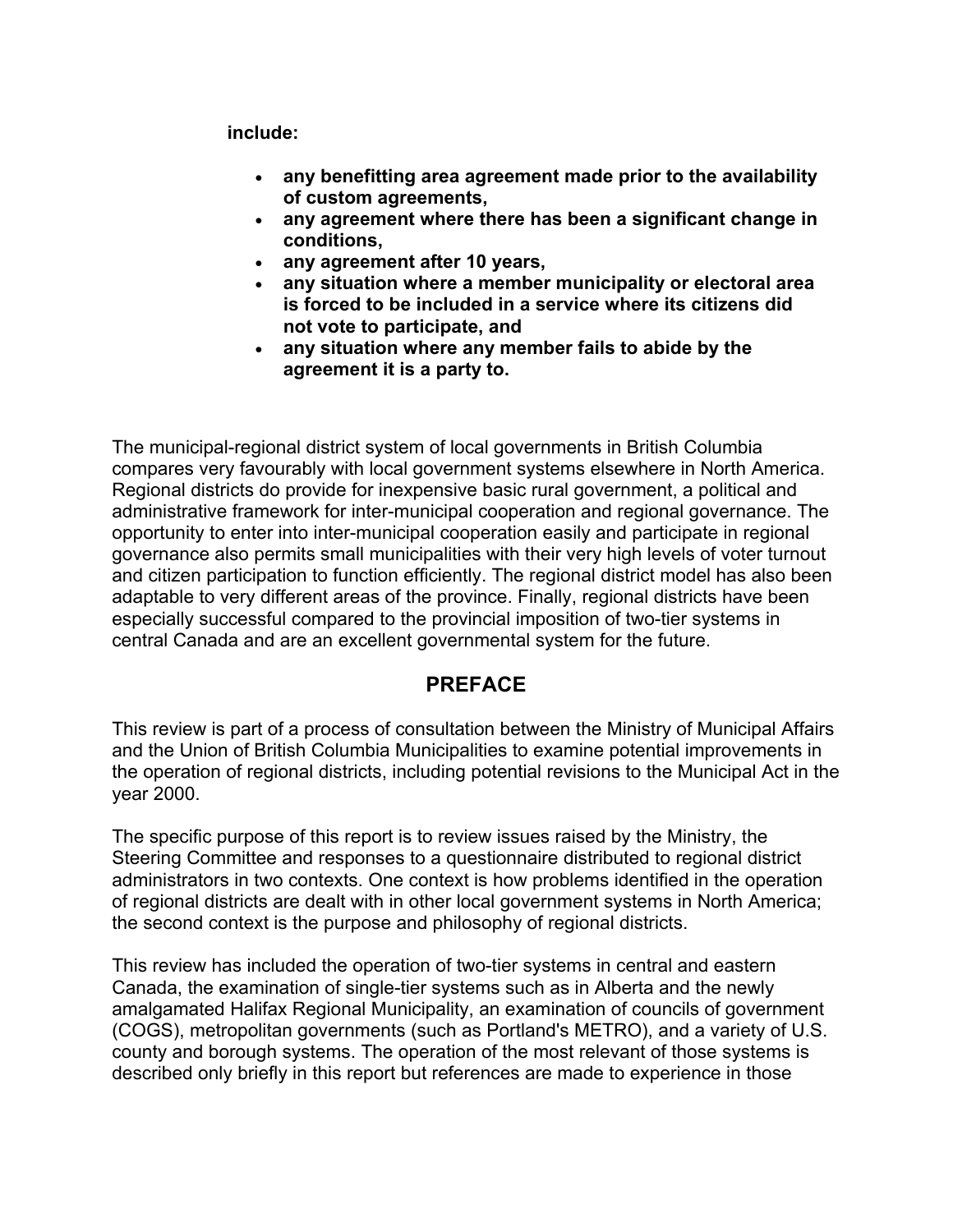**include:** 

- **any benefitting area agreement made prior to the availability of custom agreements,**
- **any agreement where there has been a significant change in conditions,**
- **any agreement after 10 years,**
- **any situation where a member municipality or electoral area is forced to be included in a service where its citizens did not vote to participate, and**
- **any situation where any member fails to abide by the agreement it is a party to.**

The municipal-regional district system of local governments in British Columbia compares very favourably with local government systems elsewhere in North America. Regional districts do provide for inexpensive basic rural government, a political and administrative framework for inter-municipal cooperation and regional governance. The opportunity to enter into inter-municipal cooperation easily and participate in regional governance also permits small municipalities with their very high levels of voter turnout and citizen participation to function efficiently. The regional district model has also been adaptable to very different areas of the province. Finally, regional districts have been especially successful compared to the provincial imposition of two-tier systems in central Canada and are an excellent governmental system for the future.

## **PREFACE**

This review is part of a process of consultation between the Ministry of Municipal Affairs and the Union of British Columbia Municipalities to examine potential improvements in the operation of regional districts, including potential revisions to the Municipal Act in the year 2000.

The specific purpose of this report is to review issues raised by the Ministry, the Steering Committee and responses to a questionnaire distributed to regional district administrators in two contexts. One context is how problems identified in the operation of regional districts are dealt with in other local government systems in North America; the second context is the purpose and philosophy of regional districts.

This review has included the operation of two-tier systems in central and eastern Canada, the examination of single-tier systems such as in Alberta and the newly amalgamated Halifax Regional Municipality, an examination of councils of government (COGS), metropolitan governments (such as Portland's METRO), and a variety of U.S. county and borough systems. The operation of the most relevant of those systems is described only briefly in this report but references are made to experience in those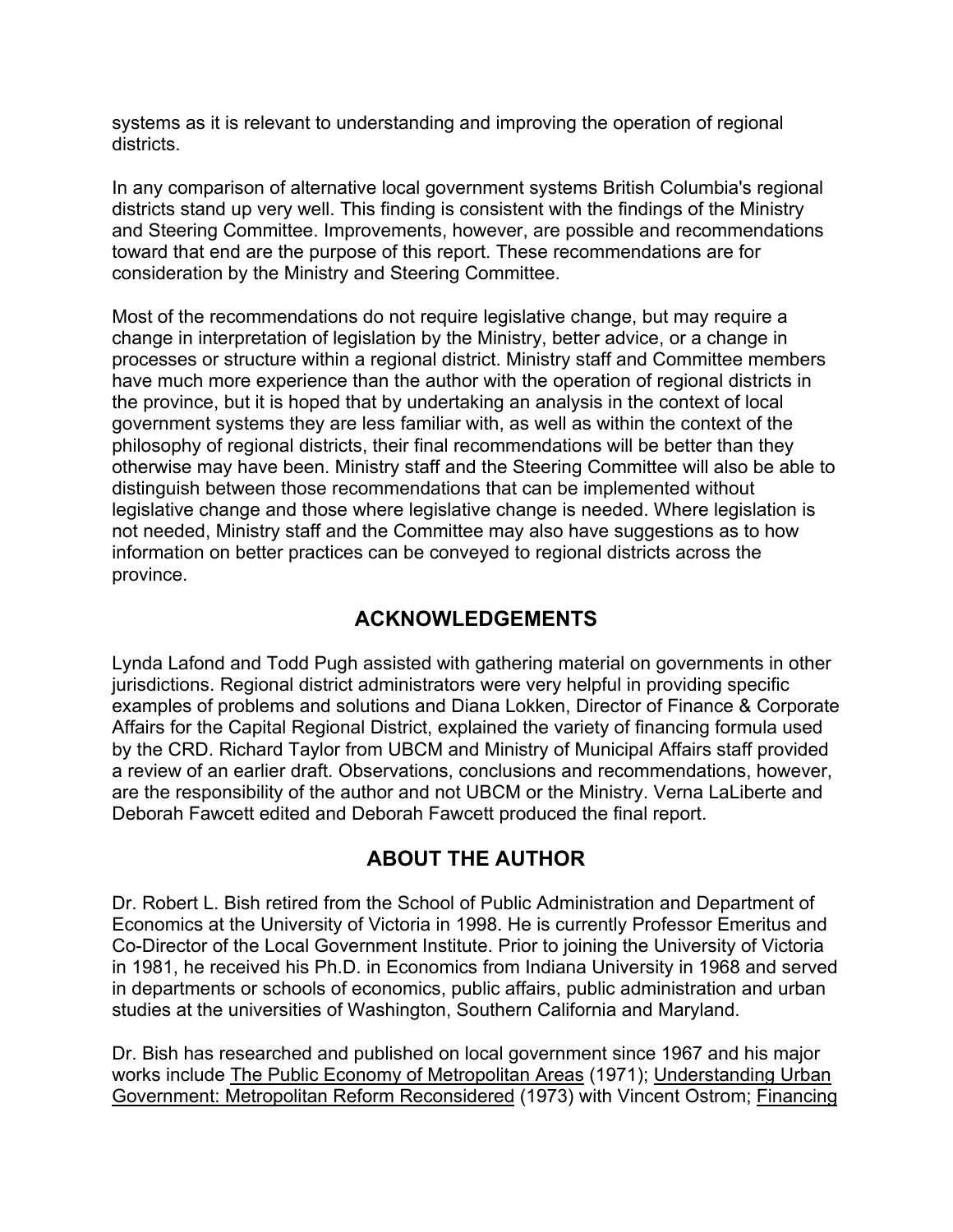systems as it is relevant to understanding and improving the operation of regional districts.

In any comparison of alternative local government systems British Columbia's regional districts stand up very well. This finding is consistent with the findings of the Ministry and Steering Committee. Improvements, however, are possible and recommendations toward that end are the purpose of this report. These recommendations are for consideration by the Ministry and Steering Committee.

Most of the recommendations do not require legislative change, but may require a change in interpretation of legislation by the Ministry, better advice, or a change in processes or structure within a regional district. Ministry staff and Committee members have much more experience than the author with the operation of regional districts in the province, but it is hoped that by undertaking an analysis in the context of local government systems they are less familiar with, as well as within the context of the philosophy of regional districts, their final recommendations will be better than they otherwise may have been. Ministry staff and the Steering Committee will also be able to distinguish between those recommendations that can be implemented without legislative change and those where legislative change is needed. Where legislation is not needed, Ministry staff and the Committee may also have suggestions as to how information on better practices can be conveyed to regional districts across the province.

## **ACKNOWLEDGEMENTS**

Lynda Lafond and Todd Pugh assisted with gathering material on governments in other jurisdictions. Regional district administrators were very helpful in providing specific examples of problems and solutions and Diana Lokken, Director of Finance & Corporate Affairs for the Capital Regional District, explained the variety of financing formula used by the CRD. Richard Taylor from UBCM and Ministry of Municipal Affairs staff provided a review of an earlier draft. Observations, conclusions and recommendations, however, are the responsibility of the author and not UBCM or the Ministry. Verna LaLiberte and Deborah Fawcett edited and Deborah Fawcett produced the final report.

# **ABOUT THE AUTHOR**

Dr. Robert L. Bish retired from the School of Public Administration and Department of Economics at the University of Victoria in 1998. He is currently Professor Emeritus and Co-Director of the Local Government Institute. Prior to joining the University of Victoria in 1981, he received his Ph.D. in Economics from Indiana University in 1968 and served in departments or schools of economics, public affairs, public administration and urban studies at the universities of Washington, Southern California and Maryland.

Dr. Bish has researched and published on local government since 1967 and his major works include The Public Economy of Metropolitan Areas (1971); Understanding Urban Government: Metropolitan Reform Reconsidered (1973) with Vincent Ostrom; Financing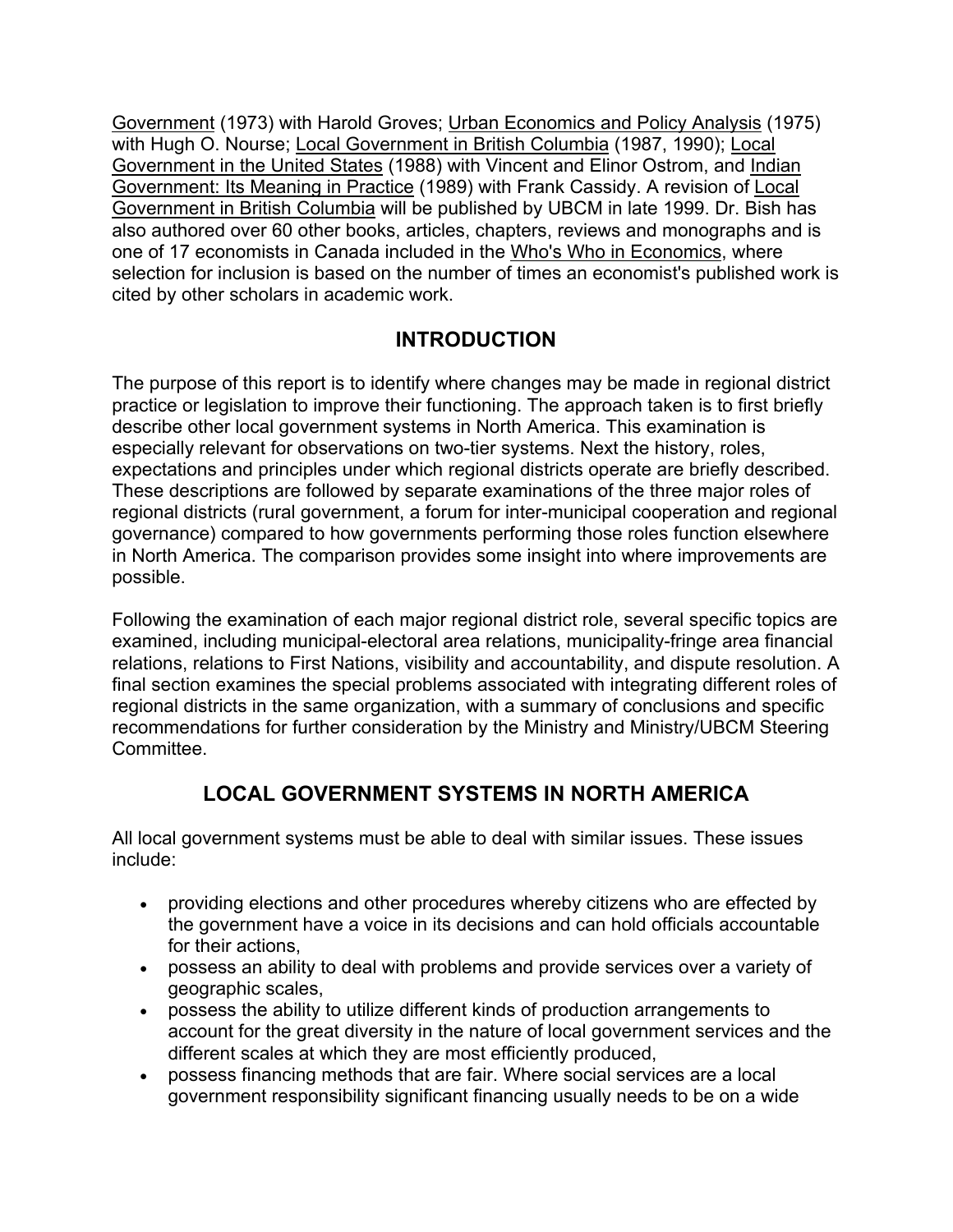Government (1973) with Harold Groves; Urban Economics and Policy Analysis (1975) with Hugh O. Nourse; Local Government in British Columbia (1987, 1990); Local Government in the United States (1988) with Vincent and Elinor Ostrom, and Indian Government: Its Meaning in Practice (1989) with Frank Cassidy. A revision of Local Government in British Columbia will be published by UBCM in late 1999. Dr. Bish has also authored over 60 other books, articles, chapters, reviews and monographs and is one of 17 economists in Canada included in the Who's Who in Economics, where selection for inclusion is based on the number of times an economist's published work is cited by other scholars in academic work.

# **INTRODUCTION**

The purpose of this report is to identify where changes may be made in regional district practice or legislation to improve their functioning. The approach taken is to first briefly describe other local government systems in North America. This examination is especially relevant for observations on two-tier systems. Next the history, roles, expectations and principles under which regional districts operate are briefly described. These descriptions are followed by separate examinations of the three major roles of regional districts (rural government, a forum for inter-municipal cooperation and regional governance) compared to how governments performing those roles function elsewhere in North America. The comparison provides some insight into where improvements are possible.

Following the examination of each major regional district role, several specific topics are examined, including municipal-electoral area relations, municipality-fringe area financial relations, relations to First Nations, visibility and accountability, and dispute resolution. A final section examines the special problems associated with integrating different roles of regional districts in the same organization, with a summary of conclusions and specific recommendations for further consideration by the Ministry and Ministry/UBCM Steering Committee.

# **LOCAL GOVERNMENT SYSTEMS IN NORTH AMERICA**

All local government systems must be able to deal with similar issues. These issues include:

- providing elections and other procedures whereby citizens who are effected by the government have a voice in its decisions and can hold officials accountable for their actions,
- possess an ability to deal with problems and provide services over a variety of geographic scales,
- possess the ability to utilize different kinds of production arrangements to account for the great diversity in the nature of local government services and the different scales at which they are most efficiently produced,
- possess financing methods that are fair. Where social services are a local government responsibility significant financing usually needs to be on a wide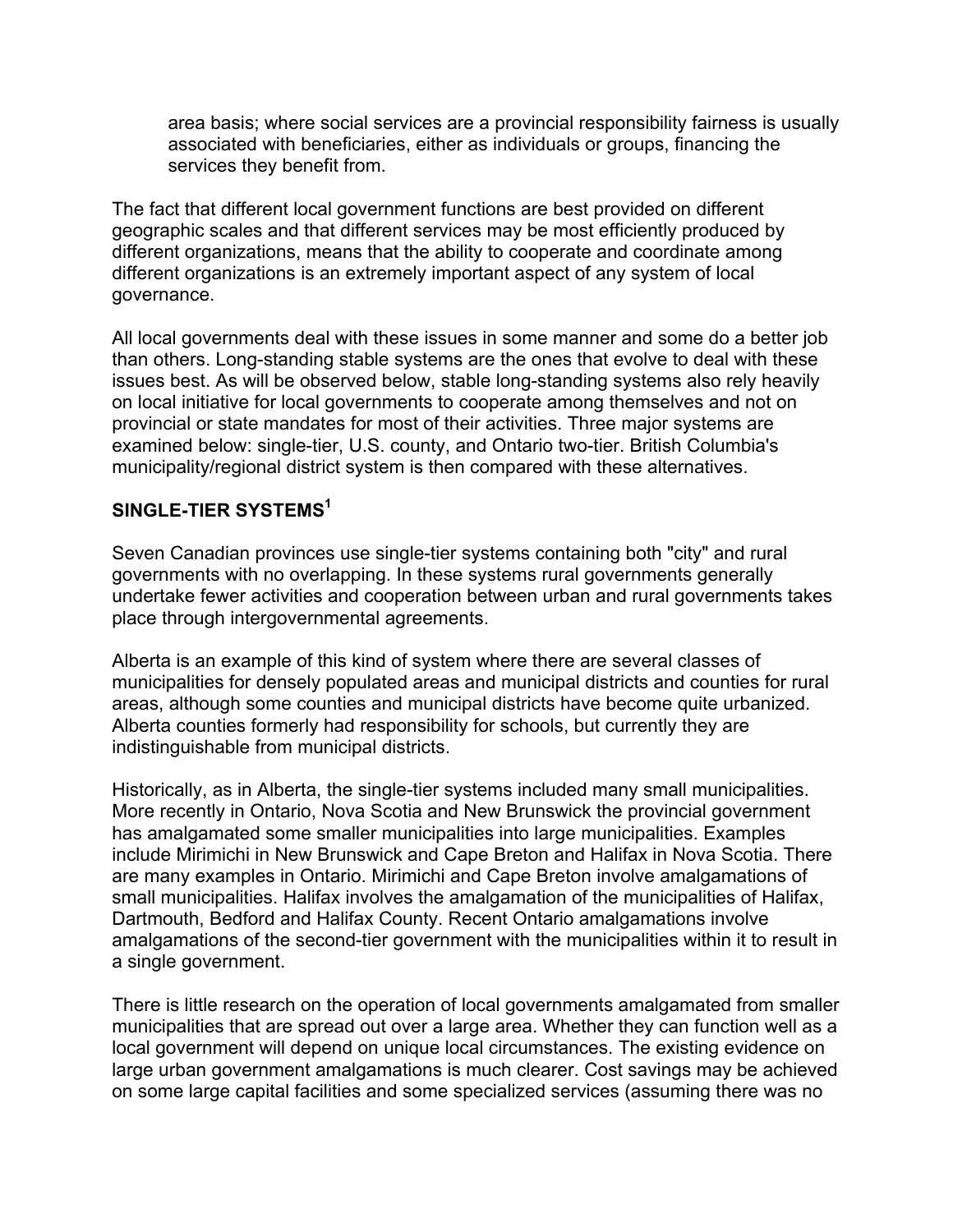area basis; where social services are a provincial responsibility fairness is usually associated with beneficiaries, either as individuals or groups, financing the services they benefit from.

The fact that different local government functions are best provided on different geographic scales and that different services may be most efficiently produced by different organizations, means that the ability to cooperate and coordinate among different organizations is an extremely important aspect of any system of local governance.

All local governments deal with these issues in some manner and some do a better job than others. Long-standing stable systems are the ones that evolve to deal with these issues best. As will be observed below, stable long-standing systems also rely heavily on local initiative for local governments to cooperate among themselves and not on provincial or state mandates for most of their activities. Three major systems are examined below: single-tier, U.S. county, and Ontario two-tier. British Columbia's municipality/regional district system is then compared with these alternatives.

## **SINGLE-TIER SYSTEMS1**

Seven Canadian provinces use single-tier systems containing both "city" and rural governments with no overlapping. In these systems rural governments generally undertake fewer activities and cooperation between urban and rural governments takes place through intergovernmental agreements.

Alberta is an example of this kind of system where there are several classes of municipalities for densely populated areas and municipal districts and counties for rural areas, although some counties and municipal districts have become quite urbanized. Alberta counties formerly had responsibility for schools, but currently they are indistinguishable from municipal districts.

Historically, as in Alberta, the single-tier systems included many small municipalities. More recently in Ontario, Nova Scotia and New Brunswick the provincial government has amalgamated some smaller municipalities into large municipalities. Examples include Mirimichi in New Brunswick and Cape Breton and Halifax in Nova Scotia. There are many examples in Ontario. Mirimichi and Cape Breton involve amalgamations of small municipalities. Halifax involves the amalgamation of the municipalities of Halifax, Dartmouth, Bedford and Halifax County. Recent Ontario amalgamations involve amalgamations of the second-tier government with the municipalities within it to result in a single government.

There is little research on the operation of local governments amalgamated from smaller municipalities that are spread out over a large area. Whether they can function well as a local government will depend on unique local circumstances. The existing evidence on large urban government amalgamations is much clearer. Cost savings may be achieved on some large capital facilities and some specialized services (assuming there was no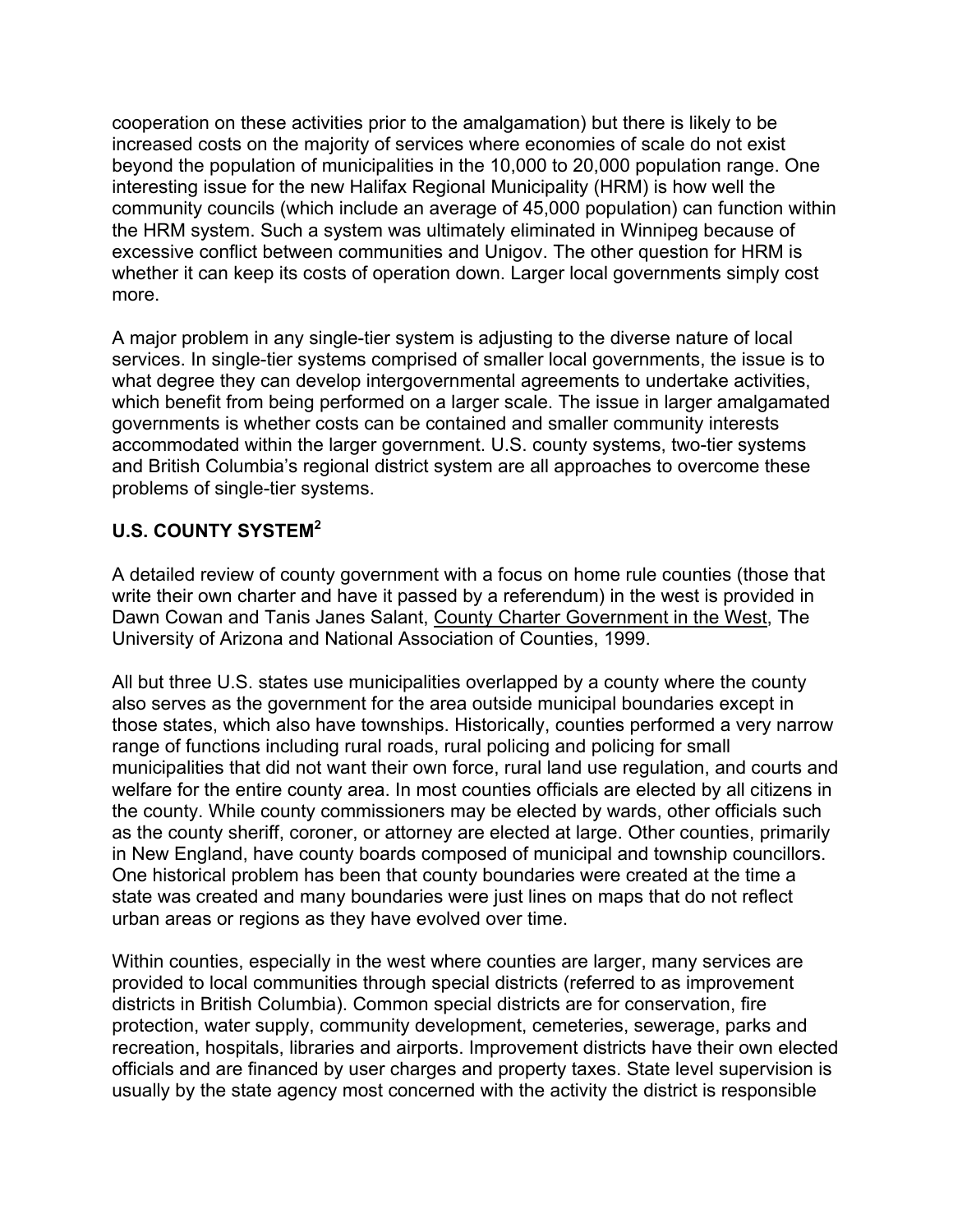cooperation on these activities prior to the amalgamation) but there is likely to be increased costs on the majority of services where economies of scale do not exist beyond the population of municipalities in the 10,000 to 20,000 population range. One interesting issue for the new Halifax Regional Municipality (HRM) is how well the community councils (which include an average of 45,000 population) can function within the HRM system. Such a system was ultimately eliminated in Winnipeg because of excessive conflict between communities and Unigov. The other question for HRM is whether it can keep its costs of operation down. Larger local governments simply cost more.

A major problem in any single-tier system is adjusting to the diverse nature of local services. In single-tier systems comprised of smaller local governments, the issue is to what degree they can develop intergovernmental agreements to undertake activities, which benefit from being performed on a larger scale. The issue in larger amalgamated governments is whether costs can be contained and smaller community interests accommodated within the larger government. U.S. county systems, two-tier systems and British Columbia's regional district system are all approaches to overcome these problems of single-tier systems.

## **U.S. COUNTY SYSTEM<sup>2</sup>**

A detailed review of county government with a focus on home rule counties (those that write their own charter and have it passed by a referendum) in the west is provided in Dawn Cowan and Tanis Janes Salant, County Charter Government in the West, The University of Arizona and National Association of Counties, 1999.

All but three U.S. states use municipalities overlapped by a county where the county also serves as the government for the area outside municipal boundaries except in those states, which also have townships. Historically, counties performed a very narrow range of functions including rural roads, rural policing and policing for small municipalities that did not want their own force, rural land use regulation, and courts and welfare for the entire county area. In most counties officials are elected by all citizens in the county. While county commissioners may be elected by wards, other officials such as the county sheriff, coroner, or attorney are elected at large. Other counties, primarily in New England, have county boards composed of municipal and township councillors. One historical problem has been that county boundaries were created at the time a state was created and many boundaries were just lines on maps that do not reflect urban areas or regions as they have evolved over time.

Within counties, especially in the west where counties are larger, many services are provided to local communities through special districts (referred to as improvement districts in British Columbia). Common special districts are for conservation, fire protection, water supply, community development, cemeteries, sewerage, parks and recreation, hospitals, libraries and airports. Improvement districts have their own elected officials and are financed by user charges and property taxes. State level supervision is usually by the state agency most concerned with the activity the district is responsible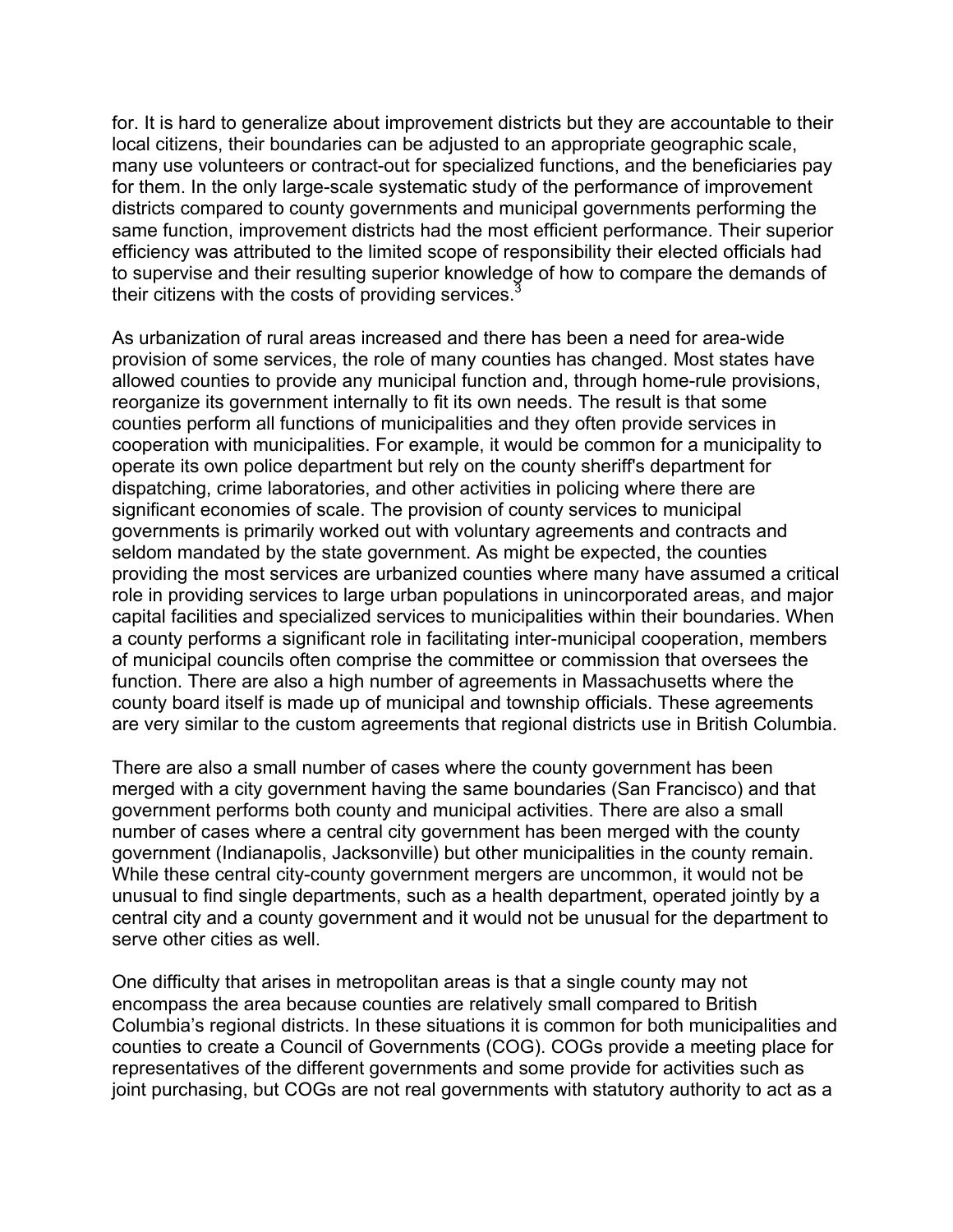for. It is hard to generalize about improvement districts but they are accountable to their local citizens, their boundaries can be adjusted to an appropriate geographic scale, many use volunteers or contract-out for specialized functions, and the beneficiaries pay for them. In the only large-scale systematic study of the performance of improvement districts compared to county governments and municipal governments performing the same function, improvement districts had the most efficient performance. Their superior efficiency was attributed to the limited scope of responsibility their elected officials had to supervise and their resulting superior knowledge of how to compare the demands of their citizens with the costs of providing services. $\frac{3}{2}$ 

As urbanization of rural areas increased and there has been a need for area-wide provision of some services, the role of many counties has changed. Most states have allowed counties to provide any municipal function and, through home-rule provisions, reorganize its government internally to fit its own needs. The result is that some counties perform all functions of municipalities and they often provide services in cooperation with municipalities. For example, it would be common for a municipality to operate its own police department but rely on the county sheriff's department for dispatching, crime laboratories, and other activities in policing where there are significant economies of scale. The provision of county services to municipal governments is primarily worked out with voluntary agreements and contracts and seldom mandated by the state government. As might be expected, the counties providing the most services are urbanized counties where many have assumed a critical role in providing services to large urban populations in unincorporated areas, and major capital facilities and specialized services to municipalities within their boundaries. When a county performs a significant role in facilitating inter-municipal cooperation, members of municipal councils often comprise the committee or commission that oversees the function. There are also a high number of agreements in Massachusetts where the county board itself is made up of municipal and township officials. These agreements are very similar to the custom agreements that regional districts use in British Columbia.

There are also a small number of cases where the county government has been merged with a city government having the same boundaries (San Francisco) and that government performs both county and municipal activities. There are also a small number of cases where a central city government has been merged with the county government (Indianapolis, Jacksonville) but other municipalities in the county remain. While these central city-county government mergers are uncommon, it would not be unusual to find single departments, such as a health department, operated jointly by a central city and a county government and it would not be unusual for the department to serve other cities as well.

One difficulty that arises in metropolitan areas is that a single county may not encompass the area because counties are relatively small compared to British Columbia's regional districts. In these situations it is common for both municipalities and counties to create a Council of Governments (COG). COGs provide a meeting place for representatives of the different governments and some provide for activities such as joint purchasing, but COGs are not real governments with statutory authority to act as a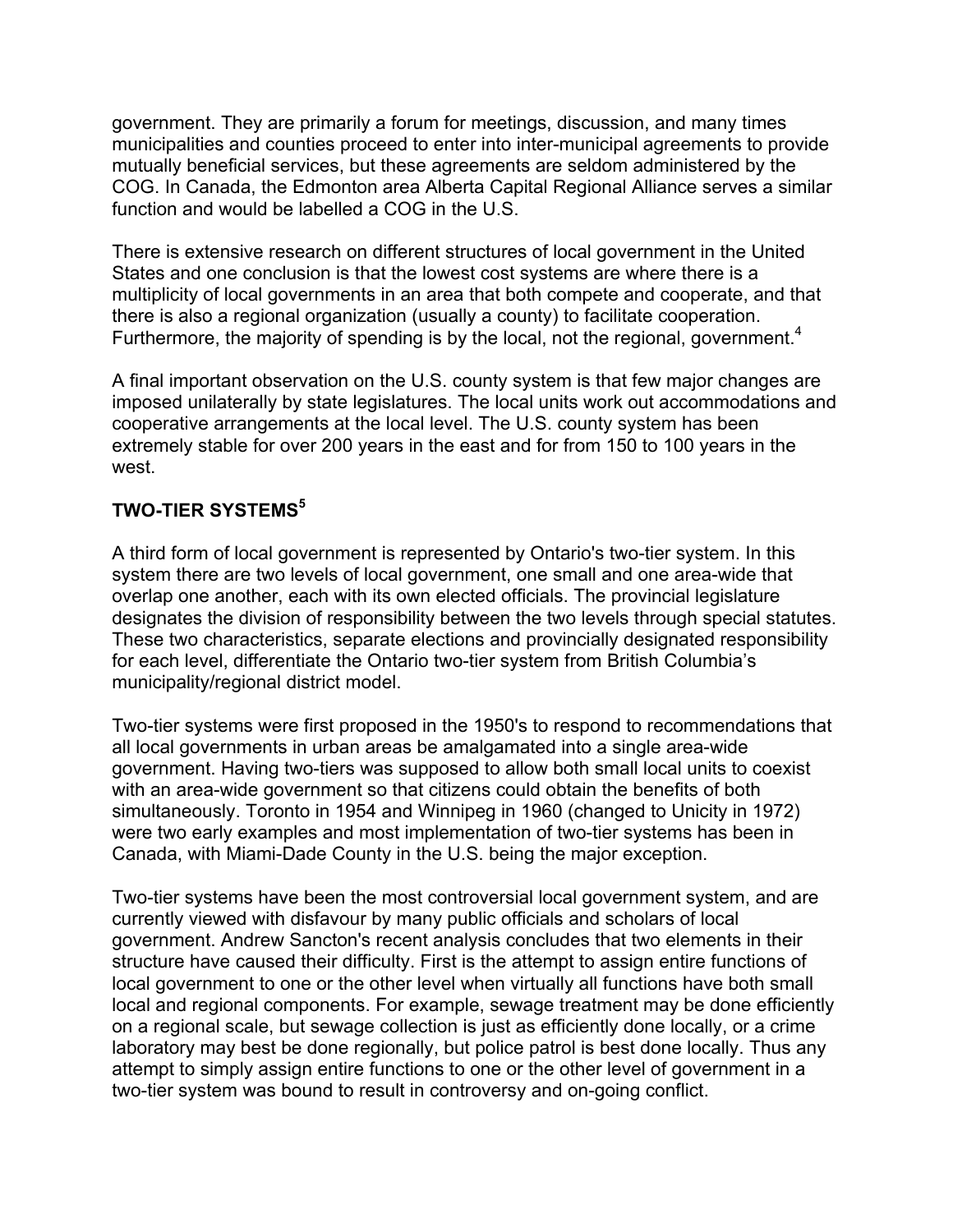government. They are primarily a forum for meetings, discussion, and many times municipalities and counties proceed to enter into inter-municipal agreements to provide mutually beneficial services, but these agreements are seldom administered by the COG. In Canada, the Edmonton area Alberta Capital Regional Alliance serves a similar function and would be labelled a COG in the U.S.

There is extensive research on different structures of local government in the United States and one conclusion is that the lowest cost systems are where there is a multiplicity of local governments in an area that both compete and cooperate, and that there is also a regional organization (usually a county) to facilitate cooperation. Furthermore, the majority of spending is by the local, not the regional, government.<sup>4</sup>

A final important observation on the U.S. county system is that few major changes are imposed unilaterally by state legislatures. The local units work out accommodations and cooperative arrangements at the local level. The U.S. county system has been extremely stable for over 200 years in the east and for from 150 to 100 years in the west.

## **TWO-TIER SYSTEMS5**

A third form of local government is represented by Ontario's two-tier system. In this system there are two levels of local government, one small and one area-wide that overlap one another, each with its own elected officials. The provincial legislature designates the division of responsibility between the two levels through special statutes. These two characteristics, separate elections and provincially designated responsibility for each level, differentiate the Ontario two-tier system from British Columbia's municipality/regional district model.

Two-tier systems were first proposed in the 1950's to respond to recommendations that all local governments in urban areas be amalgamated into a single area-wide government. Having two-tiers was supposed to allow both small local units to coexist with an area-wide government so that citizens could obtain the benefits of both simultaneously. Toronto in 1954 and Winnipeg in 1960 (changed to Unicity in 1972) were two early examples and most implementation of two-tier systems has been in Canada, with Miami-Dade County in the U.S. being the major exception.

Two-tier systems have been the most controversial local government system, and are currently viewed with disfavour by many public officials and scholars of local government. Andrew Sancton's recent analysis concludes that two elements in their structure have caused their difficulty. First is the attempt to assign entire functions of local government to one or the other level when virtually all functions have both small local and regional components. For example, sewage treatment may be done efficiently on a regional scale, but sewage collection is just as efficiently done locally, or a crime laboratory may best be done regionally, but police patrol is best done locally. Thus any attempt to simply assign entire functions to one or the other level of government in a two-tier system was bound to result in controversy and on-going conflict.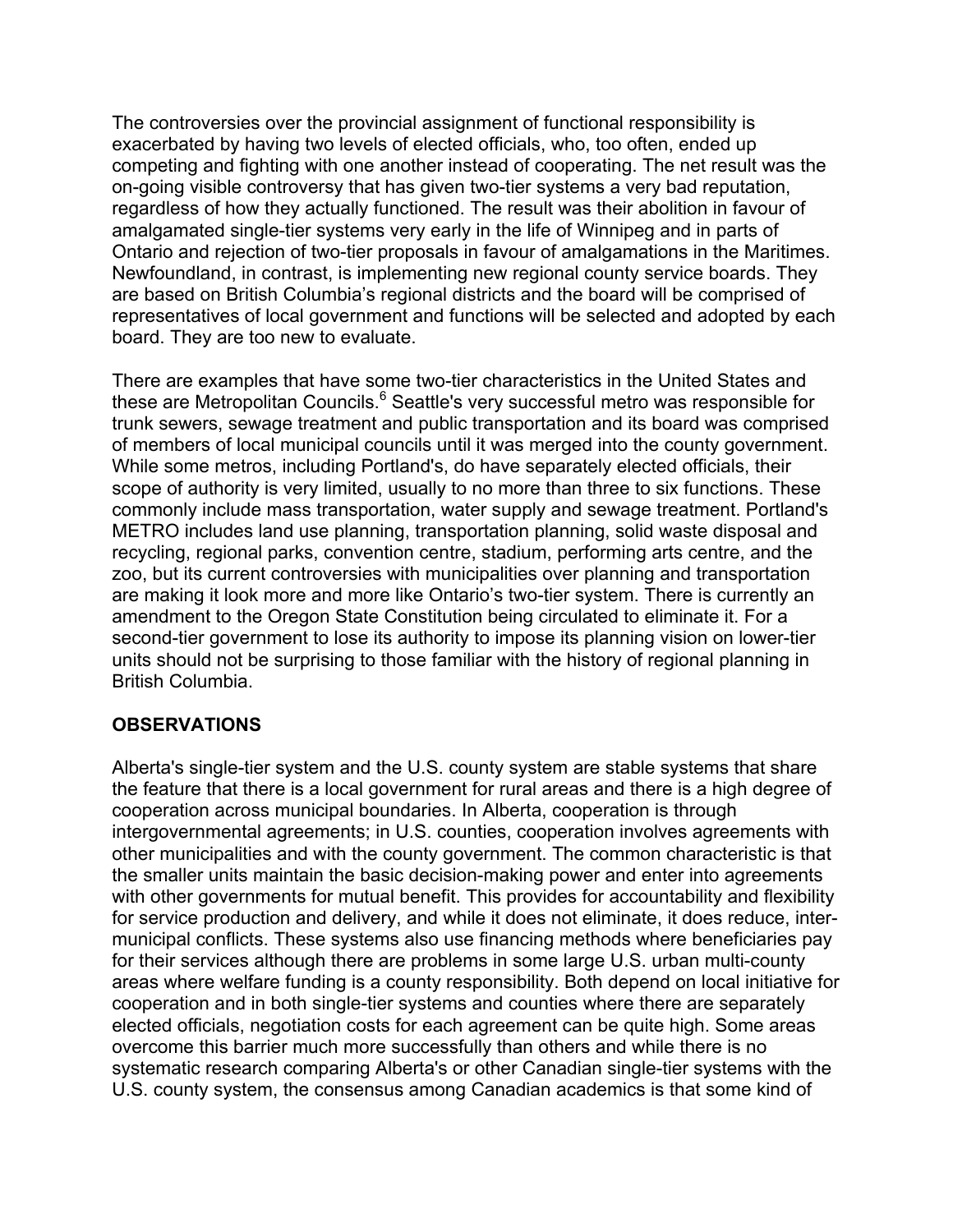The controversies over the provincial assignment of functional responsibility is exacerbated by having two levels of elected officials, who, too often, ended up competing and fighting with one another instead of cooperating. The net result was the on-going visible controversy that has given two-tier systems a very bad reputation, regardless of how they actually functioned. The result was their abolition in favour of amalgamated single-tier systems very early in the life of Winnipeg and in parts of Ontario and rejection of two-tier proposals in favour of amalgamations in the Maritimes. Newfoundland, in contrast, is implementing new regional county service boards. They are based on British Columbia's regional districts and the board will be comprised of representatives of local government and functions will be selected and adopted by each board. They are too new to evaluate.

There are examples that have some two-tier characteristics in the United States and these are Metropolitan Councils.<sup>6</sup> Seattle's very successful metro was responsible for trunk sewers, sewage treatment and public transportation and its board was comprised of members of local municipal councils until it was merged into the county government. While some metros, including Portland's, do have separately elected officials, their scope of authority is very limited, usually to no more than three to six functions. These commonly include mass transportation, water supply and sewage treatment. Portland's METRO includes land use planning, transportation planning, solid waste disposal and recycling, regional parks, convention centre, stadium, performing arts centre, and the zoo, but its current controversies with municipalities over planning and transportation are making it look more and more like Ontario's two-tier system. There is currently an amendment to the Oregon State Constitution being circulated to eliminate it. For a second-tier government to lose its authority to impose its planning vision on lower-tier units should not be surprising to those familiar with the history of regional planning in British Columbia.

## **OBSERVATIONS**

Alberta's single-tier system and the U.S. county system are stable systems that share the feature that there is a local government for rural areas and there is a high degree of cooperation across municipal boundaries. In Alberta, cooperation is through intergovernmental agreements; in U.S. counties, cooperation involves agreements with other municipalities and with the county government. The common characteristic is that the smaller units maintain the basic decision-making power and enter into agreements with other governments for mutual benefit. This provides for accountability and flexibility for service production and delivery, and while it does not eliminate, it does reduce, intermunicipal conflicts. These systems also use financing methods where beneficiaries pay for their services although there are problems in some large U.S. urban multi-county areas where welfare funding is a county responsibility. Both depend on local initiative for cooperation and in both single-tier systems and counties where there are separately elected officials, negotiation costs for each agreement can be quite high. Some areas overcome this barrier much more successfully than others and while there is no systematic research comparing Alberta's or other Canadian single-tier systems with the U.S. county system, the consensus among Canadian academics is that some kind of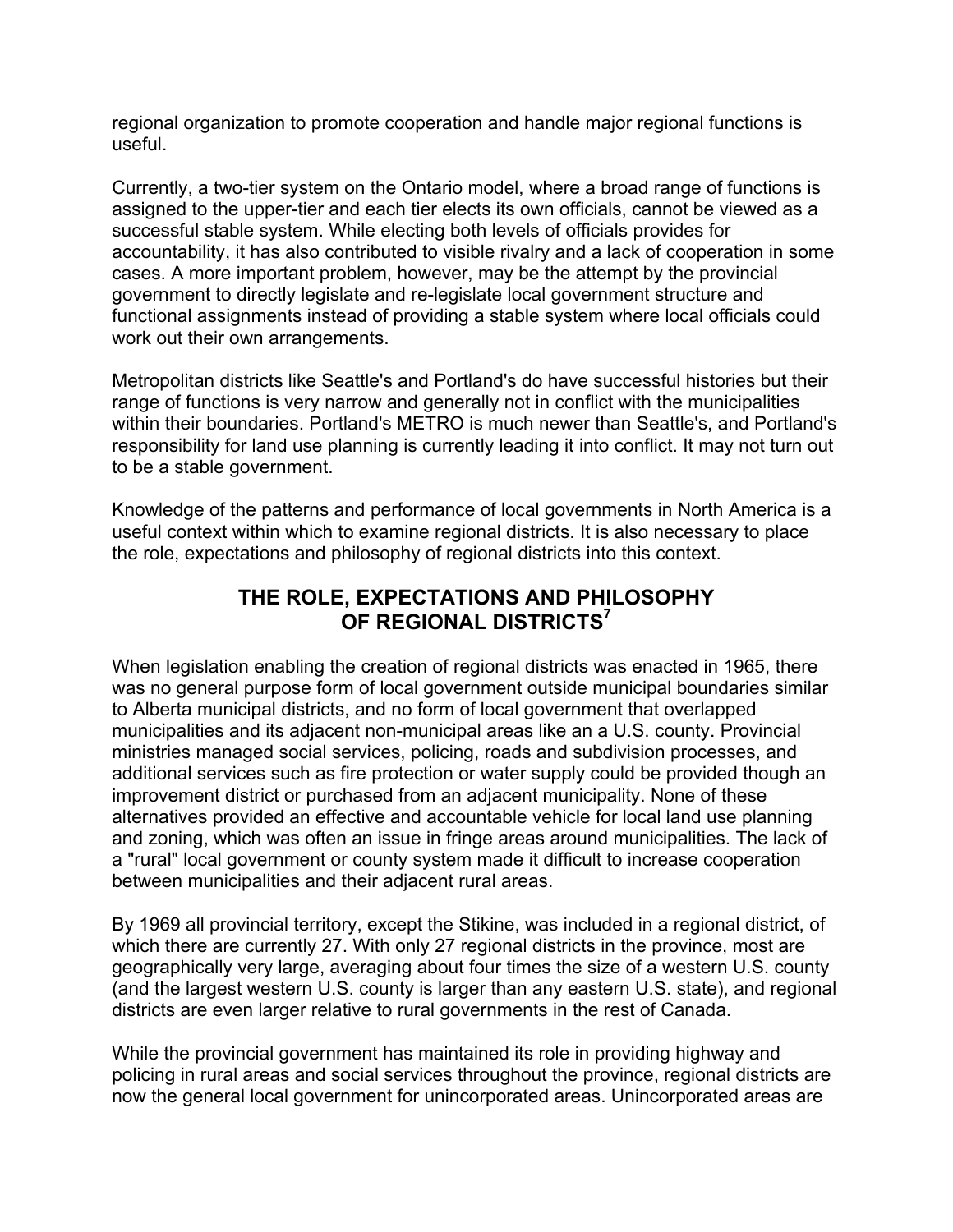regional organization to promote cooperation and handle major regional functions is useful.

Currently, a two-tier system on the Ontario model, where a broad range of functions is assigned to the upper-tier and each tier elects its own officials, cannot be viewed as a successful stable system. While electing both levels of officials provides for accountability, it has also contributed to visible rivalry and a lack of cooperation in some cases. A more important problem, however, may be the attempt by the provincial government to directly legislate and re-legislate local government structure and functional assignments instead of providing a stable system where local officials could work out their own arrangements.

Metropolitan districts like Seattle's and Portland's do have successful histories but their range of functions is very narrow and generally not in conflict with the municipalities within their boundaries. Portland's METRO is much newer than Seattle's, and Portland's responsibility for land use planning is currently leading it into conflict. It may not turn out to be a stable government.

Knowledge of the patterns and performance of local governments in North America is a useful context within which to examine regional districts. It is also necessary to place the role, expectations and philosophy of regional districts into this context.

# **THE ROLE, EXPECTATIONS AND PHILOSOPHY OF REGIONAL DISTRICTS7**

When legislation enabling the creation of regional districts was enacted in 1965, there was no general purpose form of local government outside municipal boundaries similar to Alberta municipal districts, and no form of local government that overlapped municipalities and its adjacent non-municipal areas like an a U.S. county. Provincial ministries managed social services, policing, roads and subdivision processes, and additional services such as fire protection or water supply could be provided though an improvement district or purchased from an adjacent municipality. None of these alternatives provided an effective and accountable vehicle for local land use planning and zoning, which was often an issue in fringe areas around municipalities. The lack of a "rural" local government or county system made it difficult to increase cooperation between municipalities and their adjacent rural areas.

By 1969 all provincial territory, except the Stikine, was included in a regional district, of which there are currently 27. With only 27 regional districts in the province, most are geographically very large, averaging about four times the size of a western U.S. county (and the largest western U.S. county is larger than any eastern U.S. state), and regional districts are even larger relative to rural governments in the rest of Canada.

While the provincial government has maintained its role in providing highway and policing in rural areas and social services throughout the province, regional districts are now the general local government for unincorporated areas. Unincorporated areas are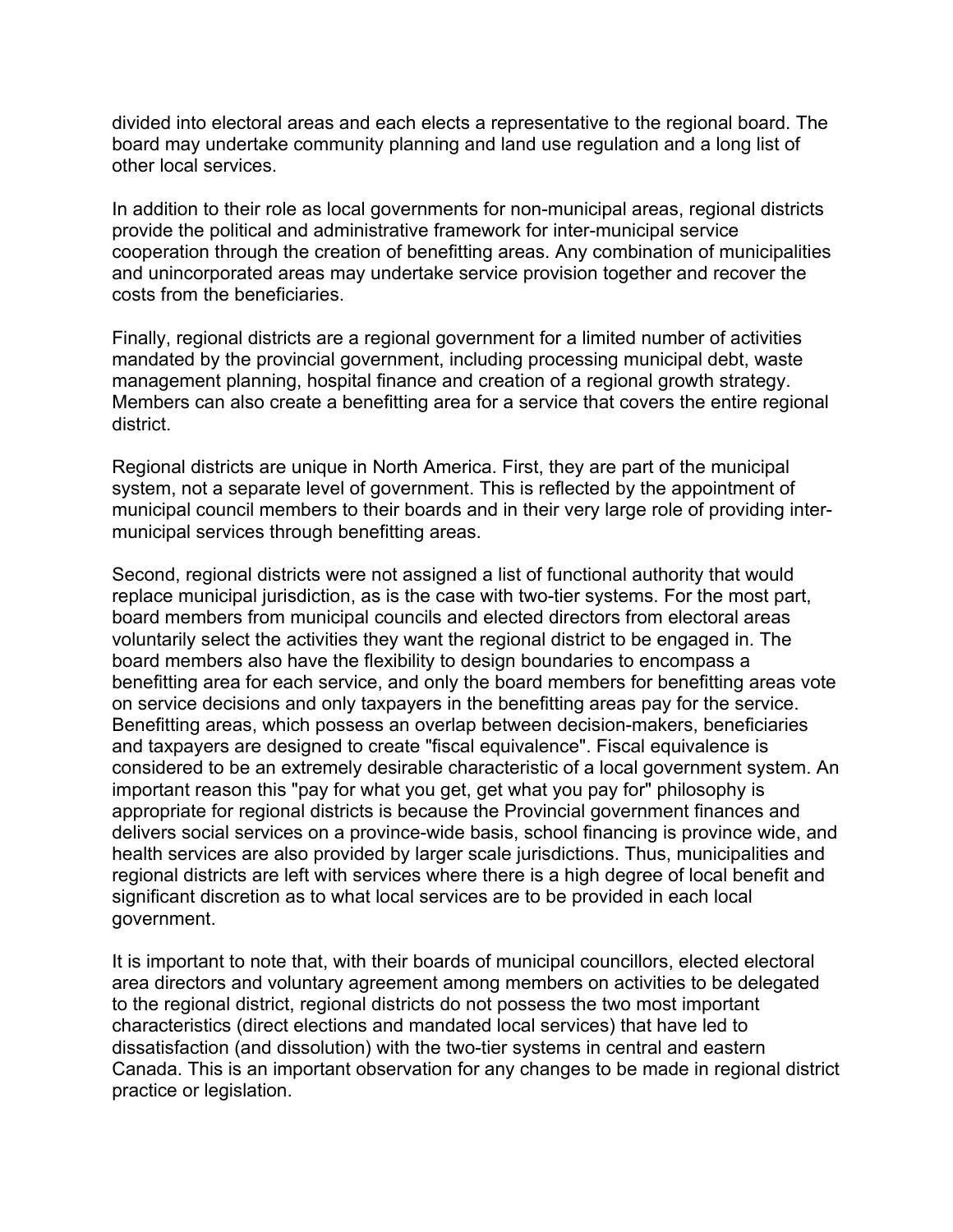divided into electoral areas and each elects a representative to the regional board. The board may undertake community planning and land use regulation and a long list of other local services.

In addition to their role as local governments for non-municipal areas, regional districts provide the political and administrative framework for inter-municipal service cooperation through the creation of benefitting areas. Any combination of municipalities and unincorporated areas may undertake service provision together and recover the costs from the beneficiaries.

Finally, regional districts are a regional government for a limited number of activities mandated by the provincial government, including processing municipal debt, waste management planning, hospital finance and creation of a regional growth strategy. Members can also create a benefitting area for a service that covers the entire regional district.

Regional districts are unique in North America. First, they are part of the municipal system, not a separate level of government. This is reflected by the appointment of municipal council members to their boards and in their very large role of providing intermunicipal services through benefitting areas.

Second, regional districts were not assigned a list of functional authority that would replace municipal jurisdiction, as is the case with two-tier systems. For the most part, board members from municipal councils and elected directors from electoral areas voluntarily select the activities they want the regional district to be engaged in. The board members also have the flexibility to design boundaries to encompass a benefitting area for each service, and only the board members for benefitting areas vote on service decisions and only taxpayers in the benefitting areas pay for the service. Benefitting areas, which possess an overlap between decision-makers, beneficiaries and taxpayers are designed to create "fiscal equivalence". Fiscal equivalence is considered to be an extremely desirable characteristic of a local government system. An important reason this "pay for what you get, get what you pay for" philosophy is appropriate for regional districts is because the Provincial government finances and delivers social services on a province-wide basis, school financing is province wide, and health services are also provided by larger scale jurisdictions. Thus, municipalities and regional districts are left with services where there is a high degree of local benefit and significant discretion as to what local services are to be provided in each local government.

It is important to note that, with their boards of municipal councillors, elected electoral area directors and voluntary agreement among members on activities to be delegated to the regional district, regional districts do not possess the two most important characteristics (direct elections and mandated local services) that have led to dissatisfaction (and dissolution) with the two-tier systems in central and eastern Canada. This is an important observation for any changes to be made in regional district practice or legislation.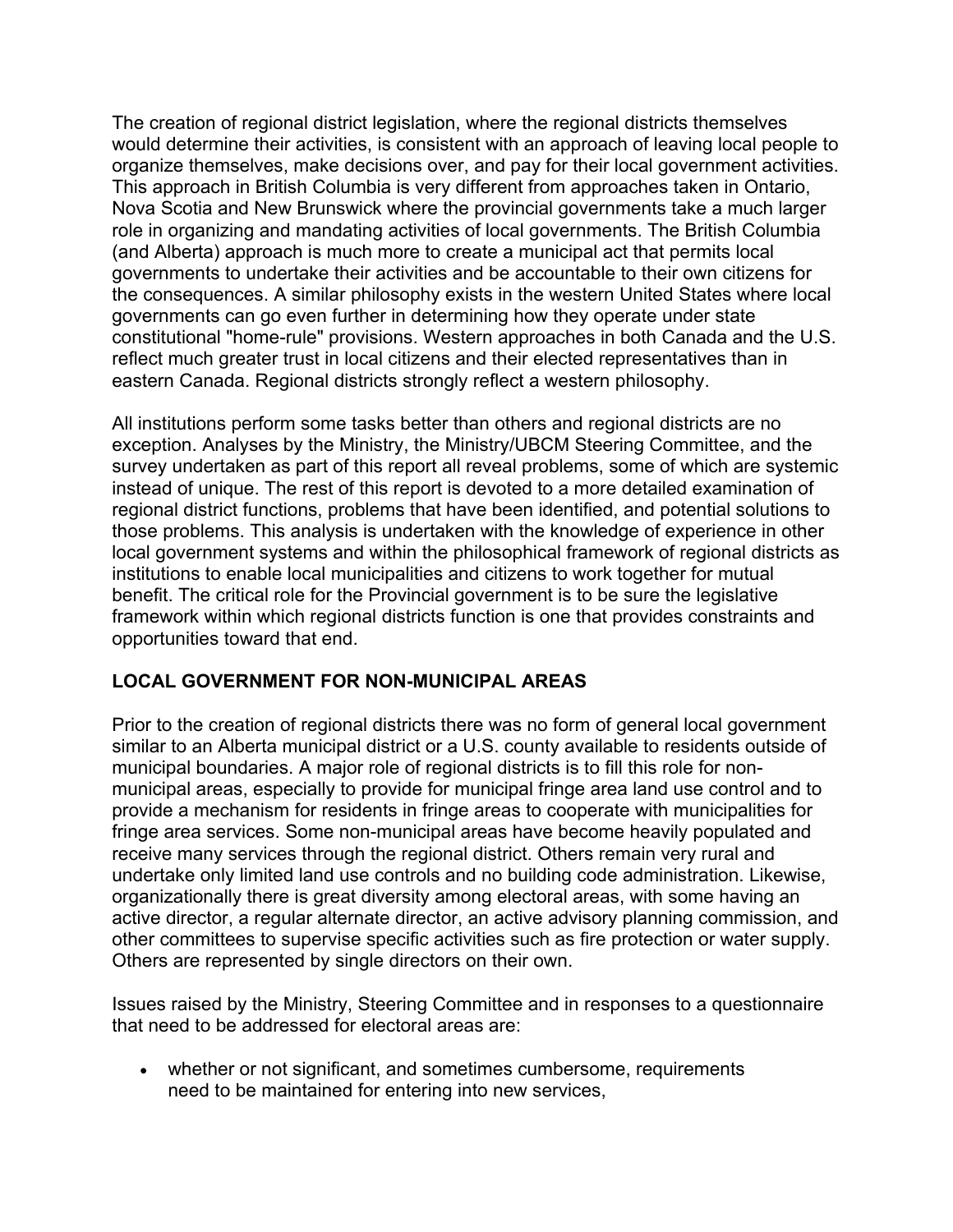The creation of regional district legislation, where the regional districts themselves would determine their activities, is consistent with an approach of leaving local people to organize themselves, make decisions over, and pay for their local government activities. This approach in British Columbia is very different from approaches taken in Ontario, Nova Scotia and New Brunswick where the provincial governments take a much larger role in organizing and mandating activities of local governments. The British Columbia (and Alberta) approach is much more to create a municipal act that permits local governments to undertake their activities and be accountable to their own citizens for the consequences. A similar philosophy exists in the western United States where local governments can go even further in determining how they operate under state constitutional "home-rule" provisions. Western approaches in both Canada and the U.S. reflect much greater trust in local citizens and their elected representatives than in eastern Canada. Regional districts strongly reflect a western philosophy.

All institutions perform some tasks better than others and regional districts are no exception. Analyses by the Ministry, the Ministry/UBCM Steering Committee, and the survey undertaken as part of this report all reveal problems, some of which are systemic instead of unique. The rest of this report is devoted to a more detailed examination of regional district functions, problems that have been identified, and potential solutions to those problems. This analysis is undertaken with the knowledge of experience in other local government systems and within the philosophical framework of regional districts as institutions to enable local municipalities and citizens to work together for mutual benefit. The critical role for the Provincial government is to be sure the legislative framework within which regional districts function is one that provides constraints and opportunities toward that end.

## **LOCAL GOVERNMENT FOR NON-MUNICIPAL AREAS**

Prior to the creation of regional districts there was no form of general local government similar to an Alberta municipal district or a U.S. county available to residents outside of municipal boundaries. A major role of regional districts is to fill this role for nonmunicipal areas, especially to provide for municipal fringe area land use control and to provide a mechanism for residents in fringe areas to cooperate with municipalities for fringe area services. Some non-municipal areas have become heavily populated and receive many services through the regional district. Others remain very rural and undertake only limited land use controls and no building code administration. Likewise, organizationally there is great diversity among electoral areas, with some having an active director, a regular alternate director, an active advisory planning commission, and other committees to supervise specific activities such as fire protection or water supply. Others are represented by single directors on their own.

Issues raised by the Ministry, Steering Committee and in responses to a questionnaire that need to be addressed for electoral areas are:

• whether or not significant, and sometimes cumbersome, requirements need to be maintained for entering into new services,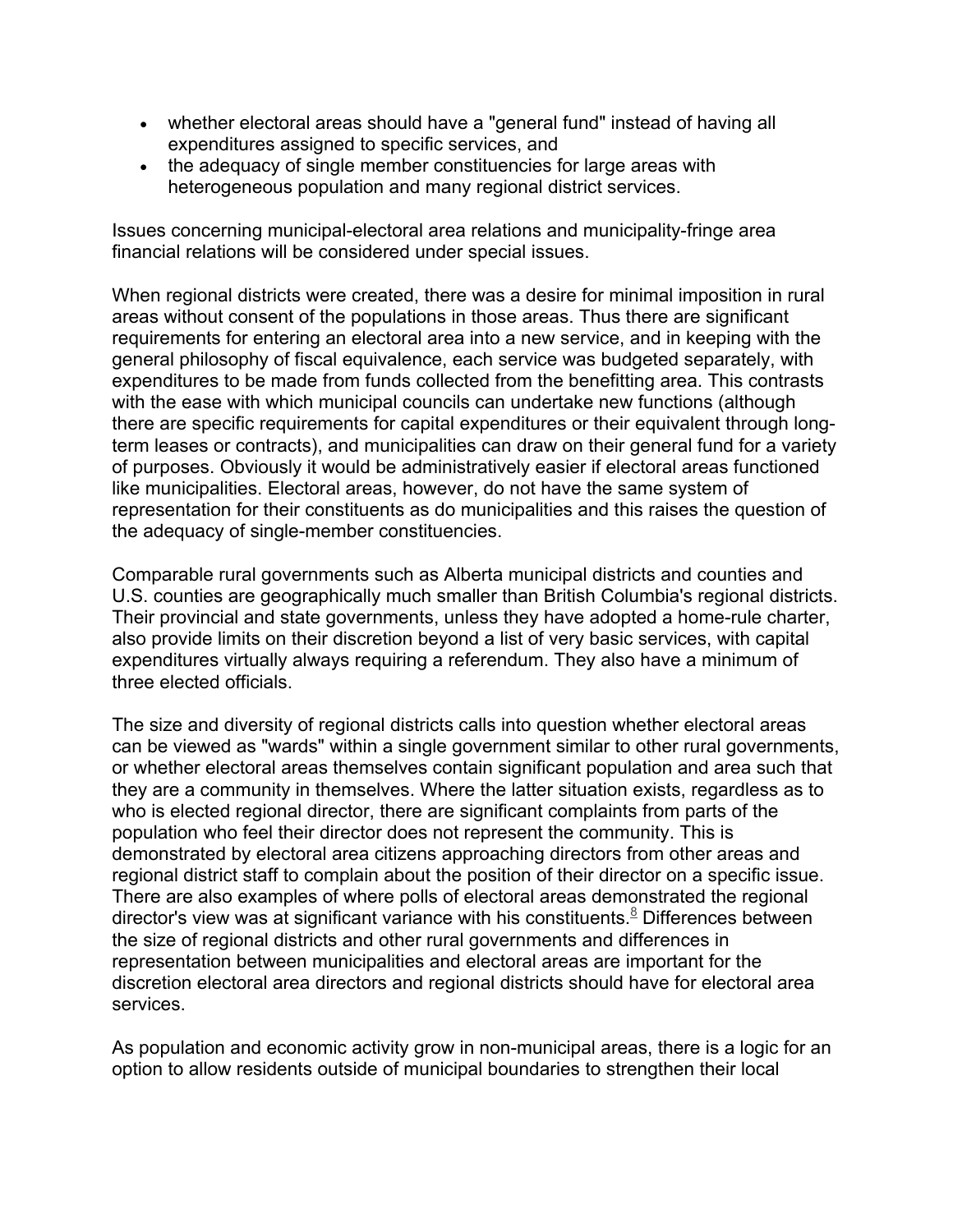- whether electoral areas should have a "general fund" instead of having all expenditures assigned to specific services, and
- the adequacy of single member constituencies for large areas with heterogeneous population and many regional district services.

Issues concerning municipal-electoral area relations and municipality-fringe area financial relations will be considered under special issues.

When regional districts were created, there was a desire for minimal imposition in rural areas without consent of the populations in those areas. Thus there are significant requirements for entering an electoral area into a new service, and in keeping with the general philosophy of fiscal equivalence, each service was budgeted separately, with expenditures to be made from funds collected from the benefitting area. This contrasts with the ease with which municipal councils can undertake new functions (although there are specific requirements for capital expenditures or their equivalent through longterm leases or contracts), and municipalities can draw on their general fund for a variety of purposes. Obviously it would be administratively easier if electoral areas functioned like municipalities. Electoral areas, however, do not have the same system of representation for their constituents as do municipalities and this raises the question of the adequacy of single-member constituencies.

Comparable rural governments such as Alberta municipal districts and counties and U.S. counties are geographically much smaller than British Columbia's regional districts. Their provincial and state governments, unless they have adopted a home-rule charter, also provide limits on their discretion beyond a list of very basic services, with capital expenditures virtually always requiring a referendum. They also have a minimum of three elected officials.

The size and diversity of regional districts calls into question whether electoral areas can be viewed as "wards" within a single government similar to other rural governments, or whether electoral areas themselves contain significant population and area such that they are a community in themselves. Where the latter situation exists, regardless as to who is elected regional director, there are significant complaints from parts of the population who feel their director does not represent the community. This is demonstrated by electoral area citizens approaching directors from other areas and regional district staff to complain about the position of their director on a specific issue. There are also examples of where polls of electoral areas demonstrated the regional director's view was at significant variance with his constituents.<sup>8</sup> Differences between the size of regional districts and other rural governments and differences in representation between municipalities and electoral areas are important for the discretion electoral area directors and regional districts should have for electoral area services.

As population and economic activity grow in non-municipal areas, there is a logic for an option to allow residents outside of municipal boundaries to strengthen their local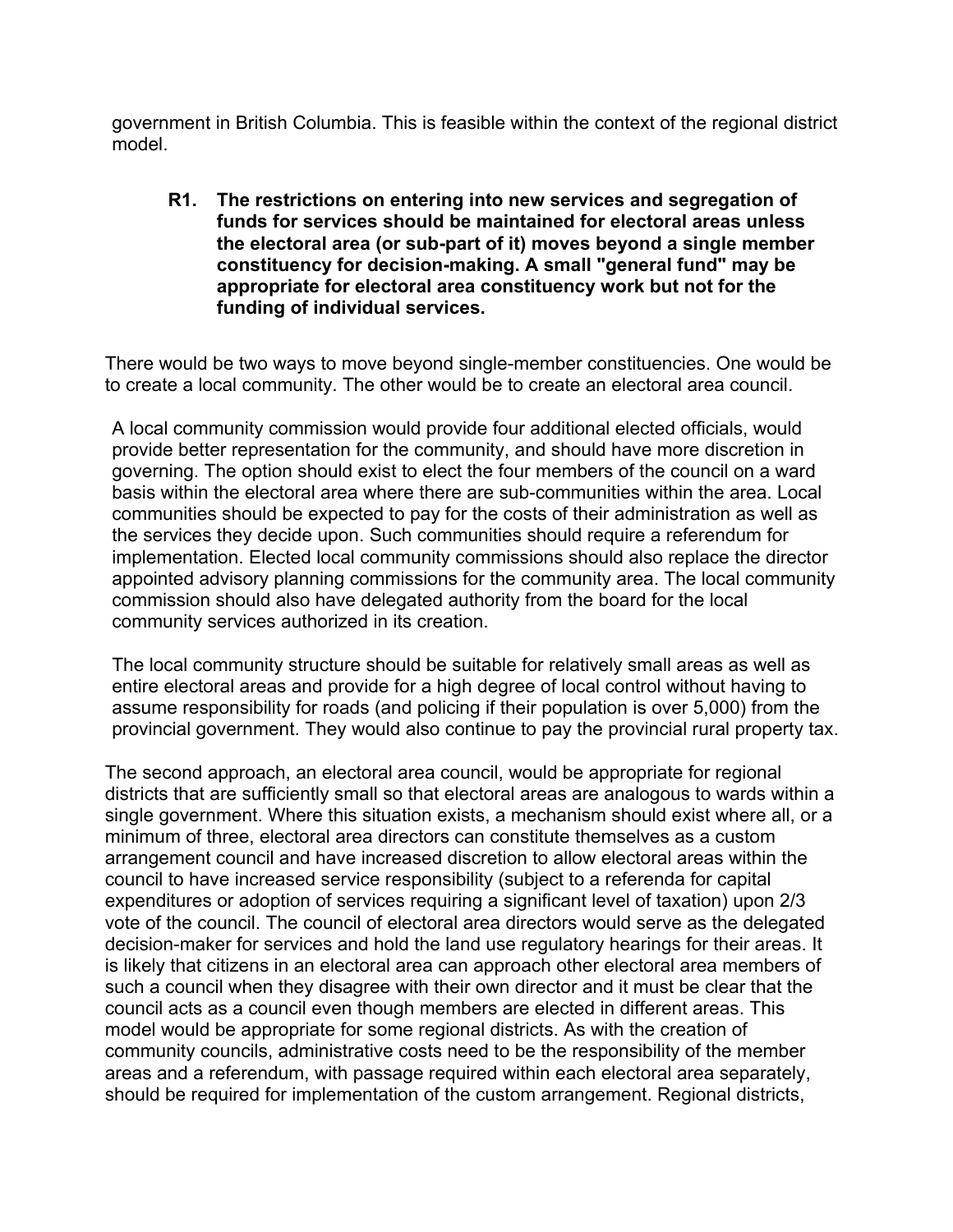government in British Columbia. This is feasible within the context of the regional district model.

**R1. The restrictions on entering into new services and segregation of funds for services should be maintained for electoral areas unless the electoral area (or sub-part of it) moves beyond a single member constituency for decision-making. A small "general fund" may be appropriate for electoral area constituency work but not for the funding of individual services.**

There would be two ways to move beyond single-member constituencies. One would be to create a local community. The other would be to create an electoral area council.

A local community commission would provide four additional elected officials, would provide better representation for the community, and should have more discretion in governing. The option should exist to elect the four members of the council on a ward basis within the electoral area where there are sub-communities within the area. Local communities should be expected to pay for the costs of their administration as well as the services they decide upon. Such communities should require a referendum for implementation. Elected local community commissions should also replace the director appointed advisory planning commissions for the community area. The local community commission should also have delegated authority from the board for the local community services authorized in its creation.

The local community structure should be suitable for relatively small areas as well as entire electoral areas and provide for a high degree of local control without having to assume responsibility for roads (and policing if their population is over 5,000) from the provincial government. They would also continue to pay the provincial rural property tax.

The second approach, an electoral area council, would be appropriate for regional districts that are sufficiently small so that electoral areas are analogous to wards within a single government. Where this situation exists, a mechanism should exist where all, or a minimum of three, electoral area directors can constitute themselves as a custom arrangement council and have increased discretion to allow electoral areas within the council to have increased service responsibility (subject to a referenda for capital expenditures or adoption of services requiring a significant level of taxation) upon 2/3 vote of the council. The council of electoral area directors would serve as the delegated decision-maker for services and hold the land use regulatory hearings for their areas. It is likely that citizens in an electoral area can approach other electoral area members of such a council when they disagree with their own director and it must be clear that the council acts as a council even though members are elected in different areas. This model would be appropriate for some regional districts. As with the creation of community councils, administrative costs need to be the responsibility of the member areas and a referendum, with passage required within each electoral area separately, should be required for implementation of the custom arrangement. Regional districts,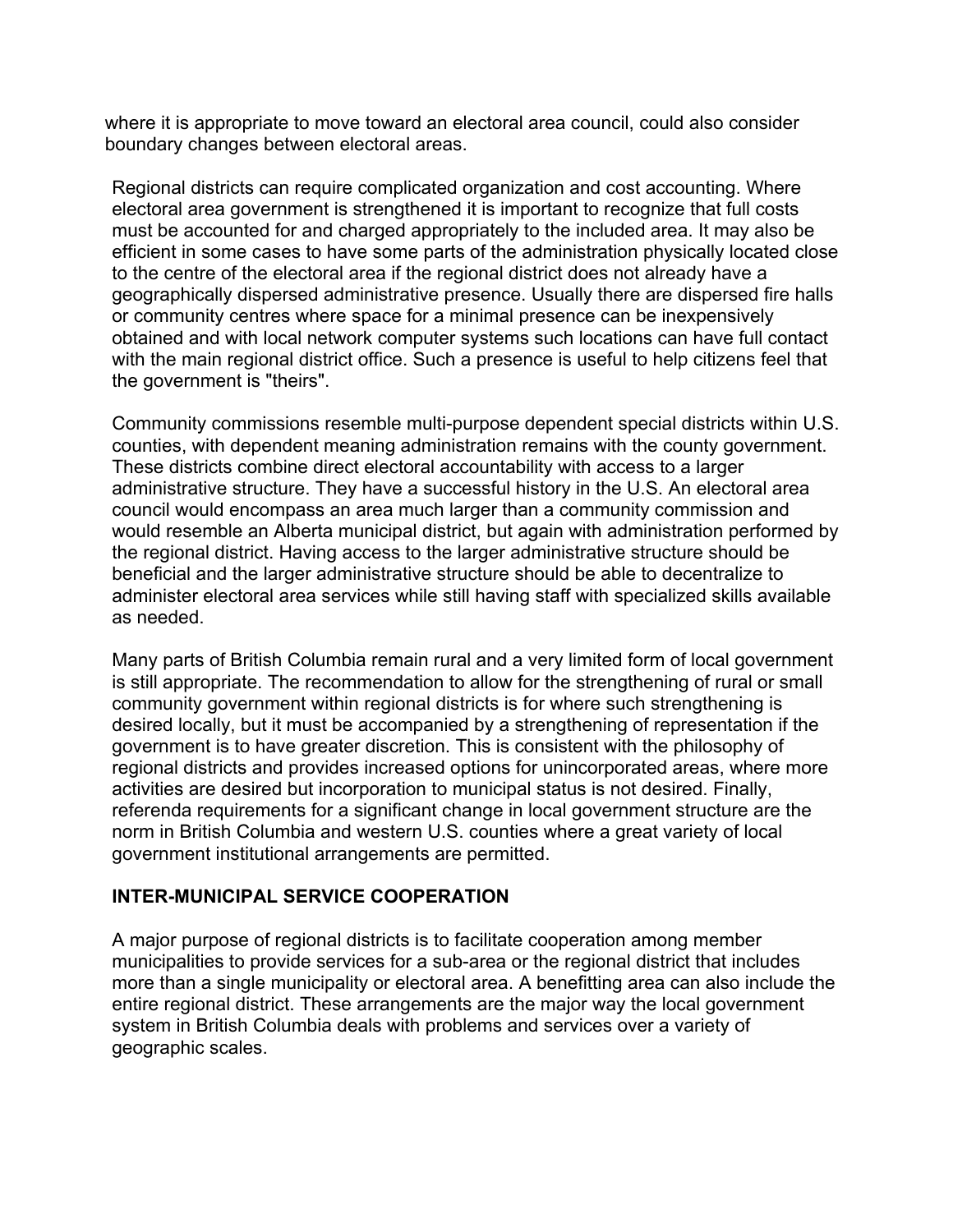where it is appropriate to move toward an electoral area council, could also consider boundary changes between electoral areas.

Regional districts can require complicated organization and cost accounting. Where electoral area government is strengthened it is important to recognize that full costs must be accounted for and charged appropriately to the included area. It may also be efficient in some cases to have some parts of the administration physically located close to the centre of the electoral area if the regional district does not already have a geographically dispersed administrative presence. Usually there are dispersed fire halls or community centres where space for a minimal presence can be inexpensively obtained and with local network computer systems such locations can have full contact with the main regional district office. Such a presence is useful to help citizens feel that the government is "theirs".

Community commissions resemble multi-purpose dependent special districts within U.S. counties, with dependent meaning administration remains with the county government. These districts combine direct electoral accountability with access to a larger administrative structure. They have a successful history in the U.S. An electoral area council would encompass an area much larger than a community commission and would resemble an Alberta municipal district, but again with administration performed by the regional district. Having access to the larger administrative structure should be beneficial and the larger administrative structure should be able to decentralize to administer electoral area services while still having staff with specialized skills available as needed.

Many parts of British Columbia remain rural and a very limited form of local government is still appropriate. The recommendation to allow for the strengthening of rural or small community government within regional districts is for where such strengthening is desired locally, but it must be accompanied by a strengthening of representation if the government is to have greater discretion. This is consistent with the philosophy of regional districts and provides increased options for unincorporated areas, where more activities are desired but incorporation to municipal status is not desired. Finally, referenda requirements for a significant change in local government structure are the norm in British Columbia and western U.S. counties where a great variety of local government institutional arrangements are permitted.

#### **INTER-MUNICIPAL SERVICE COOPERATION**

A major purpose of regional districts is to facilitate cooperation among member municipalities to provide services for a sub-area or the regional district that includes more than a single municipality or electoral area. A benefitting area can also include the entire regional district. These arrangements are the major way the local government system in British Columbia deals with problems and services over a variety of geographic scales.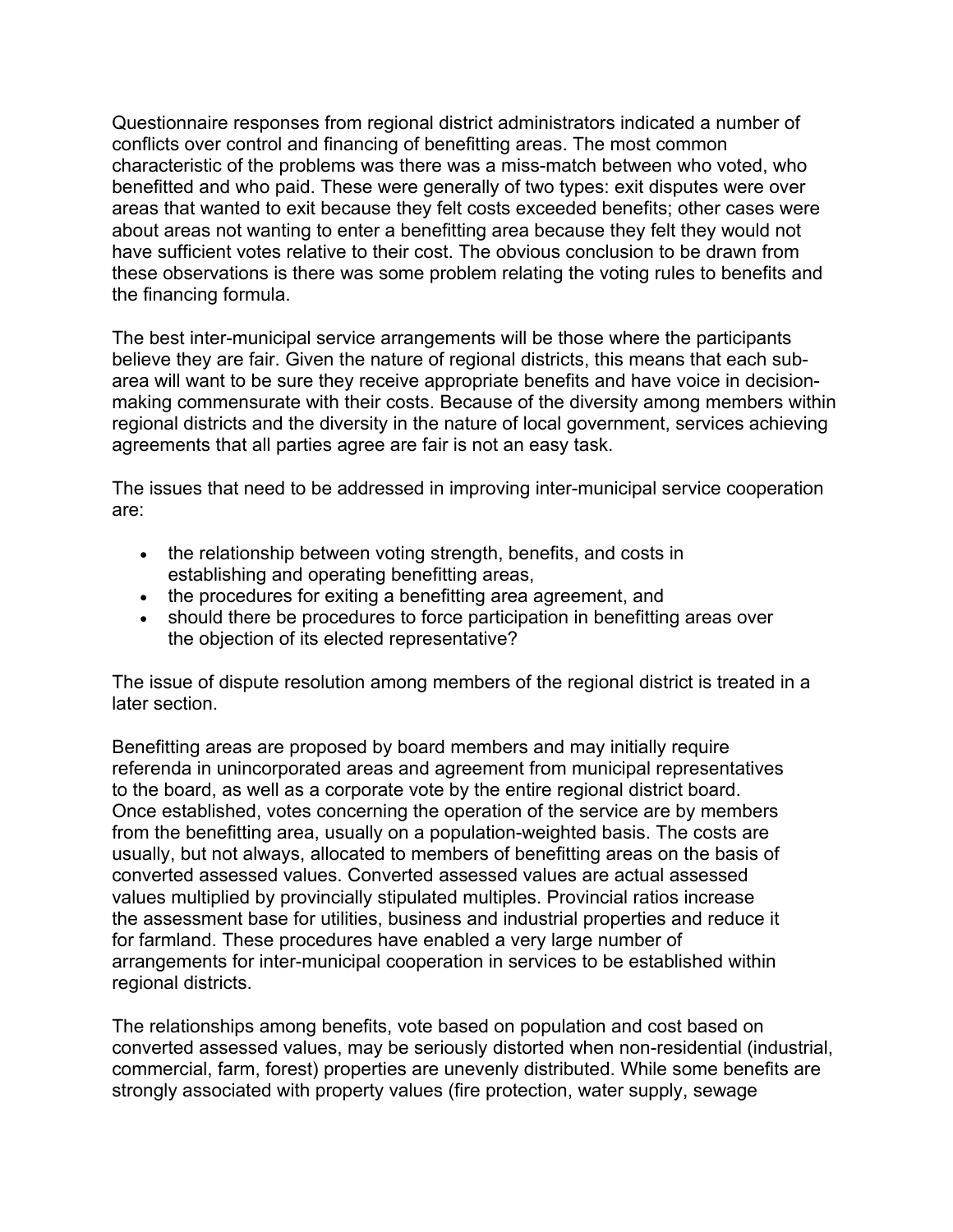Questionnaire responses from regional district administrators indicated a number of conflicts over control and financing of benefitting areas. The most common characteristic of the problems was there was a miss-match between who voted, who benefitted and who paid. These were generally of two types: exit disputes were over areas that wanted to exit because they felt costs exceeded benefits; other cases were about areas not wanting to enter a benefitting area because they felt they would not have sufficient votes relative to their cost. The obvious conclusion to be drawn from these observations is there was some problem relating the voting rules to benefits and the financing formula.

The best inter-municipal service arrangements will be those where the participants believe they are fair. Given the nature of regional districts, this means that each subarea will want to be sure they receive appropriate benefits and have voice in decisionmaking commensurate with their costs. Because of the diversity among members within regional districts and the diversity in the nature of local government, services achieving agreements that all parties agree are fair is not an easy task.

The issues that need to be addressed in improving inter-municipal service cooperation are:

- the relationship between voting strength, benefits, and costs in establishing and operating benefitting areas,
- the procedures for exiting a benefitting area agreement, and
- should there be procedures to force participation in benefitting areas over the objection of its elected representative?

The issue of dispute resolution among members of the regional district is treated in a later section.

Benefitting areas are proposed by board members and may initially require referenda in unincorporated areas and agreement from municipal representatives to the board, as well as a corporate vote by the entire regional district board. Once established, votes concerning the operation of the service are by members from the benefitting area, usually on a population-weighted basis. The costs are usually, but not always, allocated to members of benefitting areas on the basis of converted assessed values. Converted assessed values are actual assessed values multiplied by provincially stipulated multiples. Provincial ratios increase the assessment base for utilities, business and industrial properties and reduce it for farmland. These procedures have enabled a very large number of arrangements for inter-municipal cooperation in services to be established within regional districts.

The relationships among benefits, vote based on population and cost based on converted assessed values, may be seriously distorted when non-residential (industrial, commercial, farm, forest) properties are unevenly distributed. While some benefits are strongly associated with property values (fire protection, water supply, sewage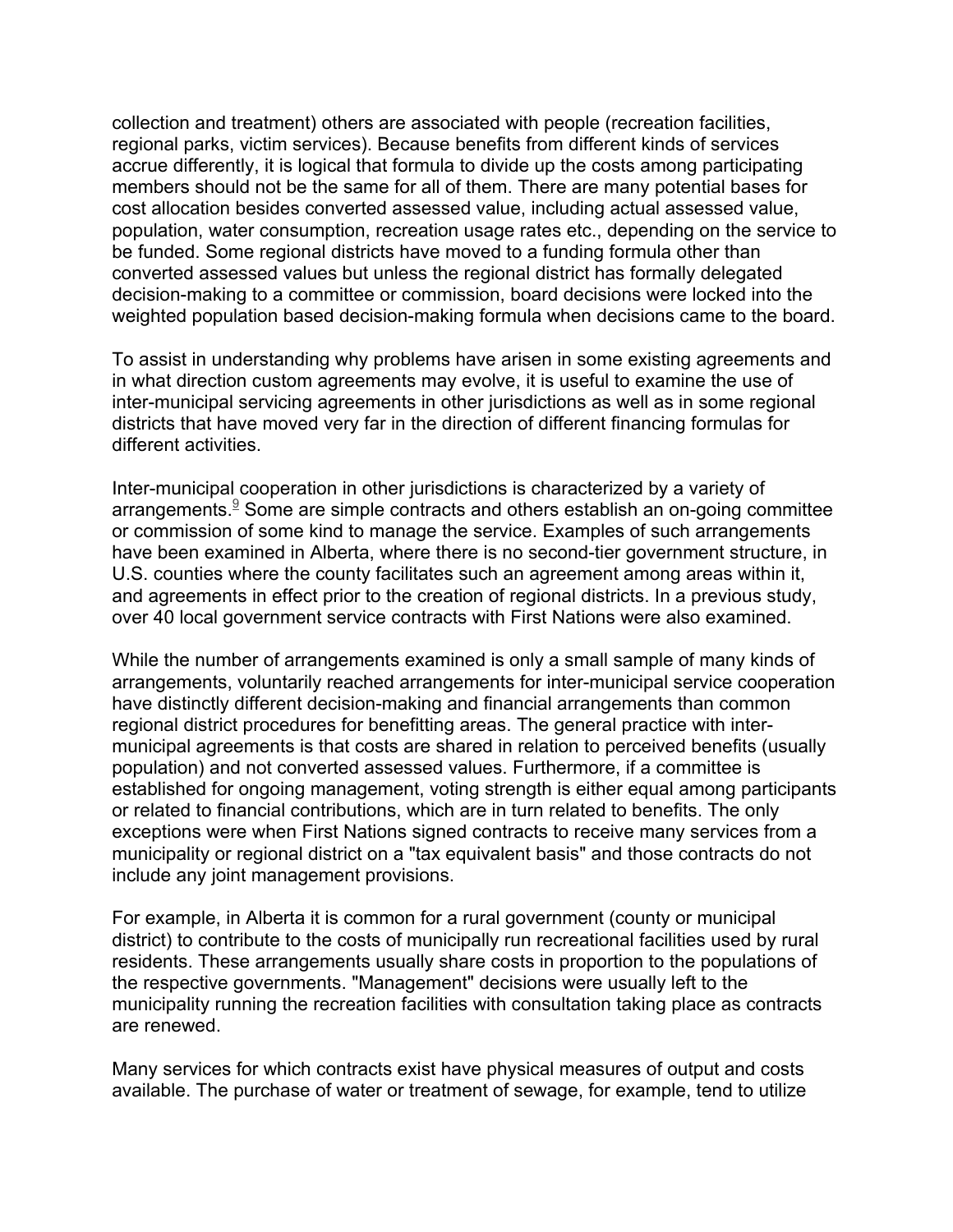collection and treatment) others are associated with people (recreation facilities, regional parks, victim services). Because benefits from different kinds of services accrue differently, it is logical that formula to divide up the costs among participating members should not be the same for all of them. There are many potential bases for cost allocation besides converted assessed value, including actual assessed value, population, water consumption, recreation usage rates etc., depending on the service to be funded. Some regional districts have moved to a funding formula other than converted assessed values but unless the regional district has formally delegated decision-making to a committee or commission, board decisions were locked into the weighted population based decision-making formula when decisions came to the board.

To assist in understanding why problems have arisen in some existing agreements and in what direction custom agreements may evolve, it is useful to examine the use of inter-municipal servicing agreements in other jurisdictions as well as in some regional districts that have moved very far in the direction of different financing formulas for different activities.

Inter-municipal cooperation in other jurisdictions is characterized by a variety of arrangements. <sup>9</sup> Some are simple contracts and others establish an on-going committee or commission of some kind to manage the service. Examples of such arrangements have been examined in Alberta, where there is no second-tier government structure, in U.S. counties where the county facilitates such an agreement among areas within it, and agreements in effect prior to the creation of regional districts. In a previous study, over 40 local government service contracts with First Nations were also examined.

While the number of arrangements examined is only a small sample of many kinds of arrangements, voluntarily reached arrangements for inter-municipal service cooperation have distinctly different decision-making and financial arrangements than common regional district procedures for benefitting areas. The general practice with intermunicipal agreements is that costs are shared in relation to perceived benefits (usually population) and not converted assessed values. Furthermore, if a committee is established for ongoing management, voting strength is either equal among participants or related to financial contributions, which are in turn related to benefits. The only exceptions were when First Nations signed contracts to receive many services from a municipality or regional district on a "tax equivalent basis" and those contracts do not include any joint management provisions.

For example, in Alberta it is common for a rural government (county or municipal district) to contribute to the costs of municipally run recreational facilities used by rural residents. These arrangements usually share costs in proportion to the populations of the respective governments. "Management" decisions were usually left to the municipality running the recreation facilities with consultation taking place as contracts are renewed.

Many services for which contracts exist have physical measures of output and costs available. The purchase of water or treatment of sewage, for example, tend to utilize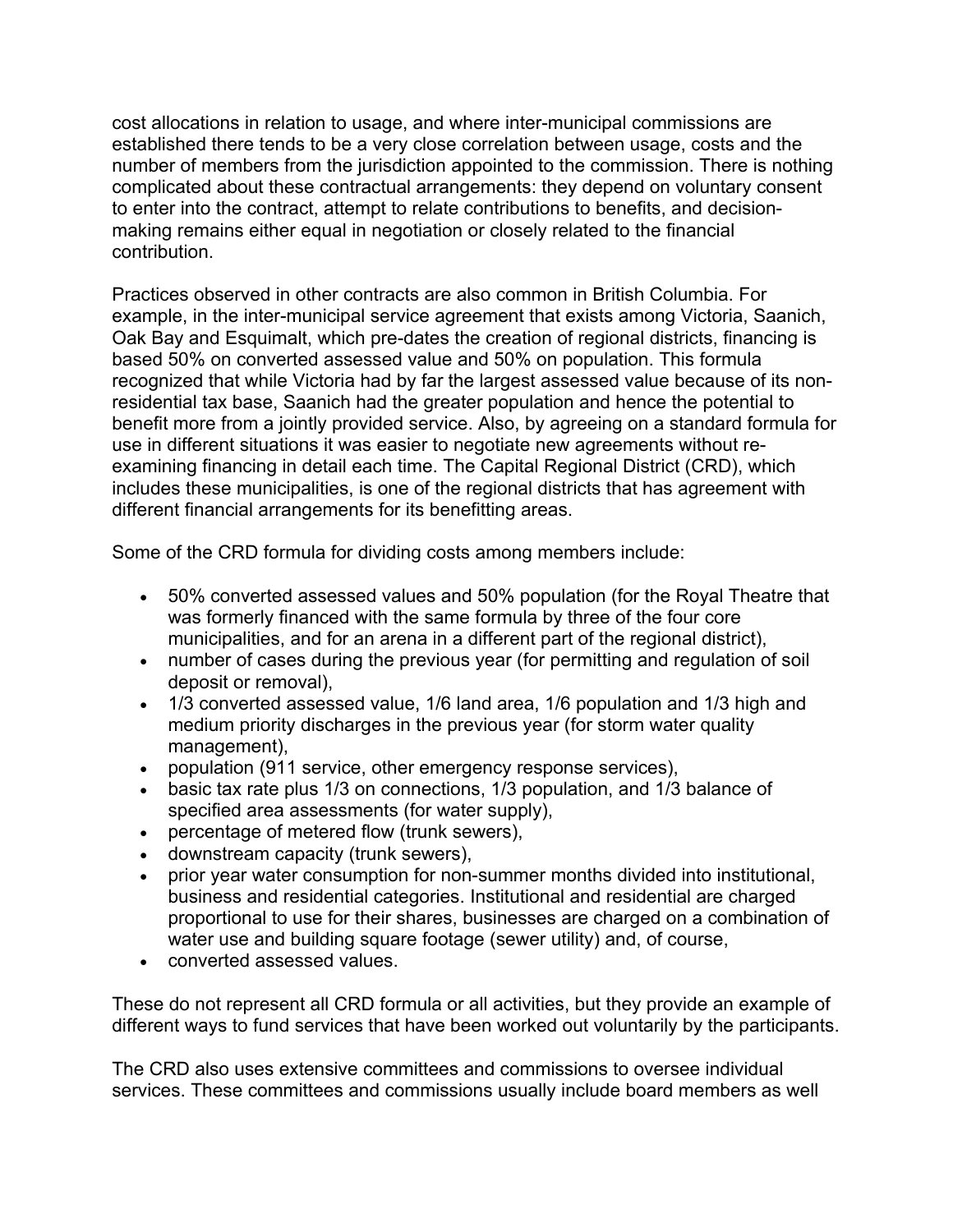cost allocations in relation to usage, and where inter-municipal commissions are established there tends to be a very close correlation between usage, costs and the number of members from the jurisdiction appointed to the commission. There is nothing complicated about these contractual arrangements: they depend on voluntary consent to enter into the contract, attempt to relate contributions to benefits, and decisionmaking remains either equal in negotiation or closely related to the financial contribution.

Practices observed in other contracts are also common in British Columbia. For example, in the inter-municipal service agreement that exists among Victoria, Saanich, Oak Bay and Esquimalt, which pre-dates the creation of regional districts, financing is based 50% on converted assessed value and 50% on population. This formula recognized that while Victoria had by far the largest assessed value because of its nonresidential tax base, Saanich had the greater population and hence the potential to benefit more from a jointly provided service. Also, by agreeing on a standard formula for use in different situations it was easier to negotiate new agreements without reexamining financing in detail each time. The Capital Regional District (CRD), which includes these municipalities, is one of the regional districts that has agreement with different financial arrangements for its benefitting areas.

Some of the CRD formula for dividing costs among members include:

- 50% converted assessed values and 50% population (for the Royal Theatre that was formerly financed with the same formula by three of the four core municipalities, and for an arena in a different part of the regional district),
- number of cases during the previous year (for permitting and regulation of soil deposit or removal),
- 1/3 converted assessed value, 1/6 land area, 1/6 population and 1/3 high and medium priority discharges in the previous year (for storm water quality management),
- population (911 service, other emergency response services),
- basic tax rate plus 1/3 on connections, 1/3 population, and 1/3 balance of specified area assessments (for water supply),
- percentage of metered flow (trunk sewers),
- downstream capacity (trunk sewers),
- prior year water consumption for non-summer months divided into institutional, business and residential categories. Institutional and residential are charged proportional to use for their shares, businesses are charged on a combination of water use and building square footage (sewer utility) and, of course,
- converted assessed values.

These do not represent all CRD formula or all activities, but they provide an example of different ways to fund services that have been worked out voluntarily by the participants.

The CRD also uses extensive committees and commissions to oversee individual services. These committees and commissions usually include board members as well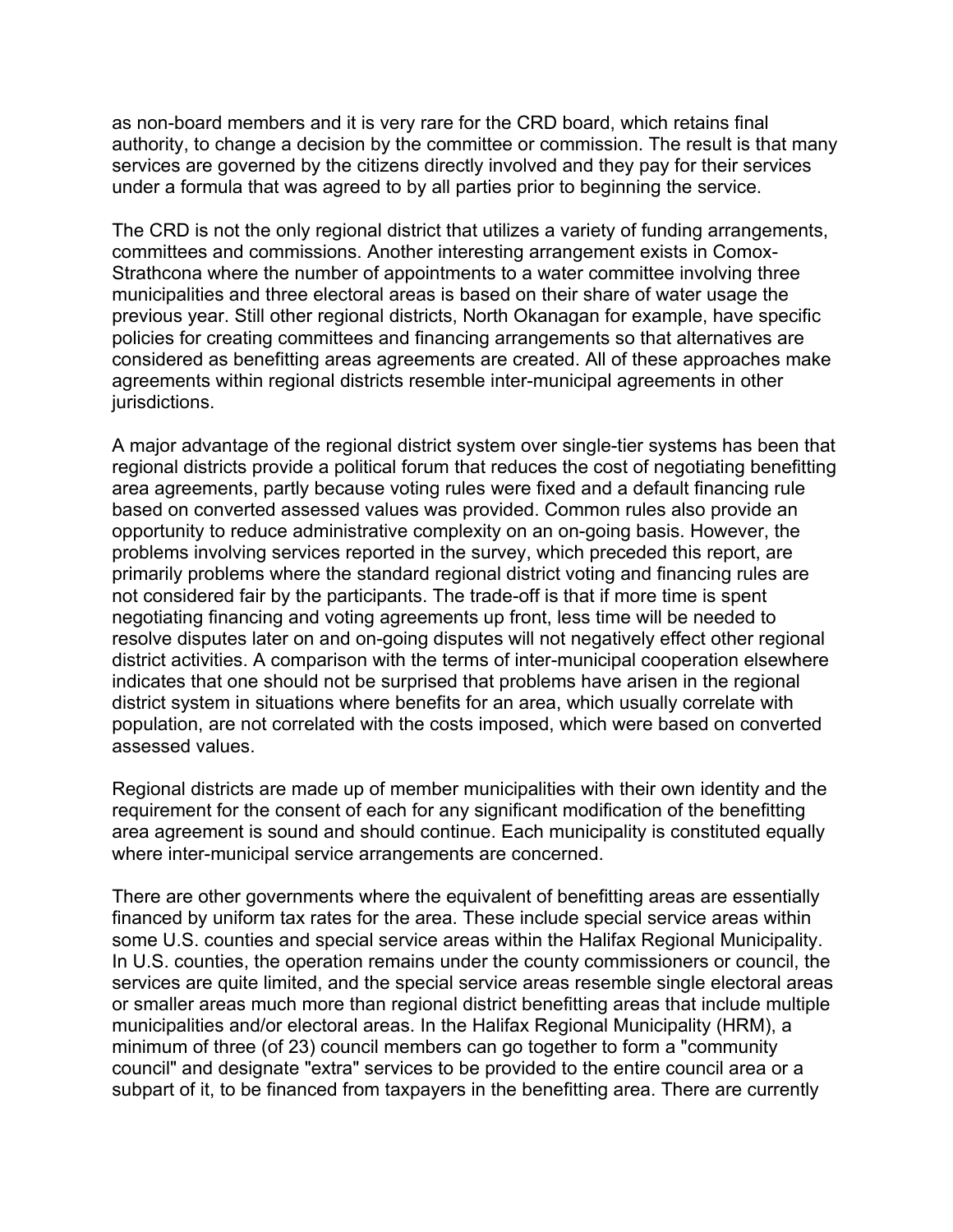as non-board members and it is very rare for the CRD board, which retains final authority, to change a decision by the committee or commission. The result is that many services are governed by the citizens directly involved and they pay for their services under a formula that was agreed to by all parties prior to beginning the service.

The CRD is not the only regional district that utilizes a variety of funding arrangements, committees and commissions. Another interesting arrangement exists in Comox-Strathcona where the number of appointments to a water committee involving three municipalities and three electoral areas is based on their share of water usage the previous year. Still other regional districts, North Okanagan for example, have specific policies for creating committees and financing arrangements so that alternatives are considered as benefitting areas agreements are created. All of these approaches make agreements within regional districts resemble inter-municipal agreements in other jurisdictions.

A major advantage of the regional district system over single-tier systems has been that regional districts provide a political forum that reduces the cost of negotiating benefitting area agreements, partly because voting rules were fixed and a default financing rule based on converted assessed values was provided. Common rules also provide an opportunity to reduce administrative complexity on an on-going basis. However, the problems involving services reported in the survey, which preceded this report, are primarily problems where the standard regional district voting and financing rules are not considered fair by the participants. The trade-off is that if more time is spent negotiating financing and voting agreements up front, less time will be needed to resolve disputes later on and on-going disputes will not negatively effect other regional district activities. A comparison with the terms of inter-municipal cooperation elsewhere indicates that one should not be surprised that problems have arisen in the regional district system in situations where benefits for an area, which usually correlate with population, are not correlated with the costs imposed, which were based on converted assessed values.

Regional districts are made up of member municipalities with their own identity and the requirement for the consent of each for any significant modification of the benefitting area agreement is sound and should continue. Each municipality is constituted equally where inter-municipal service arrangements are concerned.

There are other governments where the equivalent of benefitting areas are essentially financed by uniform tax rates for the area. These include special service areas within some U.S. counties and special service areas within the Halifax Regional Municipality. In U.S. counties, the operation remains under the county commissioners or council, the services are quite limited, and the special service areas resemble single electoral areas or smaller areas much more than regional district benefitting areas that include multiple municipalities and/or electoral areas. In the Halifax Regional Municipality (HRM), a minimum of three (of 23) council members can go together to form a "community council" and designate "extra" services to be provided to the entire council area or a subpart of it, to be financed from taxpayers in the benefitting area. There are currently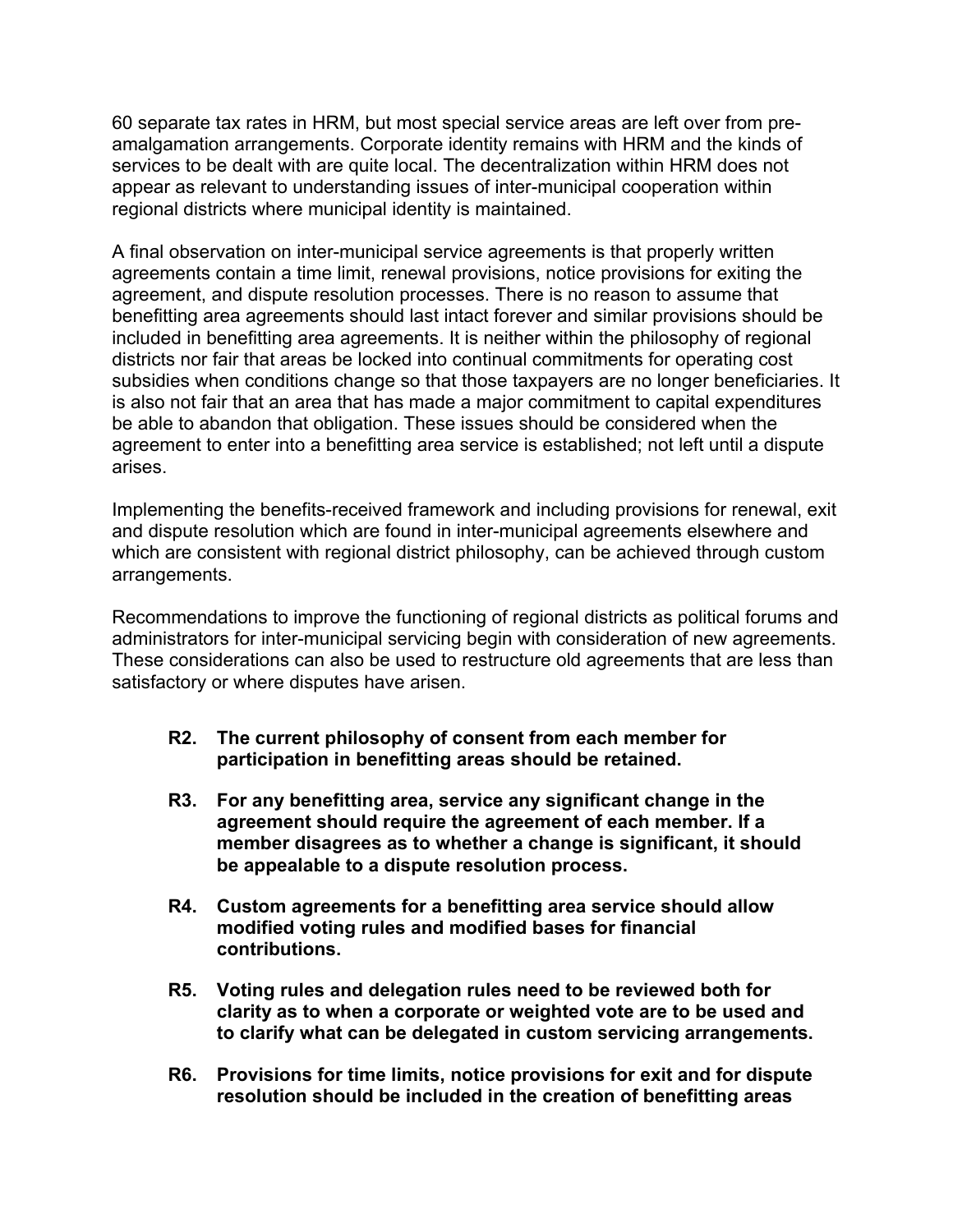60 separate tax rates in HRM, but most special service areas are left over from preamalgamation arrangements. Corporate identity remains with HRM and the kinds of services to be dealt with are quite local. The decentralization within HRM does not appear as relevant to understanding issues of inter-municipal cooperation within regional districts where municipal identity is maintained.

A final observation on inter-municipal service agreements is that properly written agreements contain a time limit, renewal provisions, notice provisions for exiting the agreement, and dispute resolution processes. There is no reason to assume that benefitting area agreements should last intact forever and similar provisions should be included in benefitting area agreements. It is neither within the philosophy of regional districts nor fair that areas be locked into continual commitments for operating cost subsidies when conditions change so that those taxpayers are no longer beneficiaries. It is also not fair that an area that has made a major commitment to capital expenditures be able to abandon that obligation. These issues should be considered when the agreement to enter into a benefitting area service is established; not left until a dispute arises.

Implementing the benefits-received framework and including provisions for renewal, exit and dispute resolution which are found in inter-municipal agreements elsewhere and which are consistent with regional district philosophy, can be achieved through custom arrangements.

Recommendations to improve the functioning of regional districts as political forums and administrators for inter-municipal servicing begin with consideration of new agreements. These considerations can also be used to restructure old agreements that are less than satisfactory or where disputes have arisen.

- **R2. The current philosophy of consent from each member for participation in benefitting areas should be retained.**
- **R3. For any benefitting area, service any significant change in the agreement should require the agreement of each member. If a member disagrees as to whether a change is significant, it should be appealable to a dispute resolution process.**
- **R4. Custom agreements for a benefitting area service should allow modified voting rules and modified bases for financial contributions.**
- **R5. Voting rules and delegation rules need to be reviewed both for clarity as to when a corporate or weighted vote are to be used and to clarify what can be delegated in custom servicing arrangements.**
- **R6. Provisions for time limits, notice provisions for exit and for dispute resolution should be included in the creation of benefitting areas**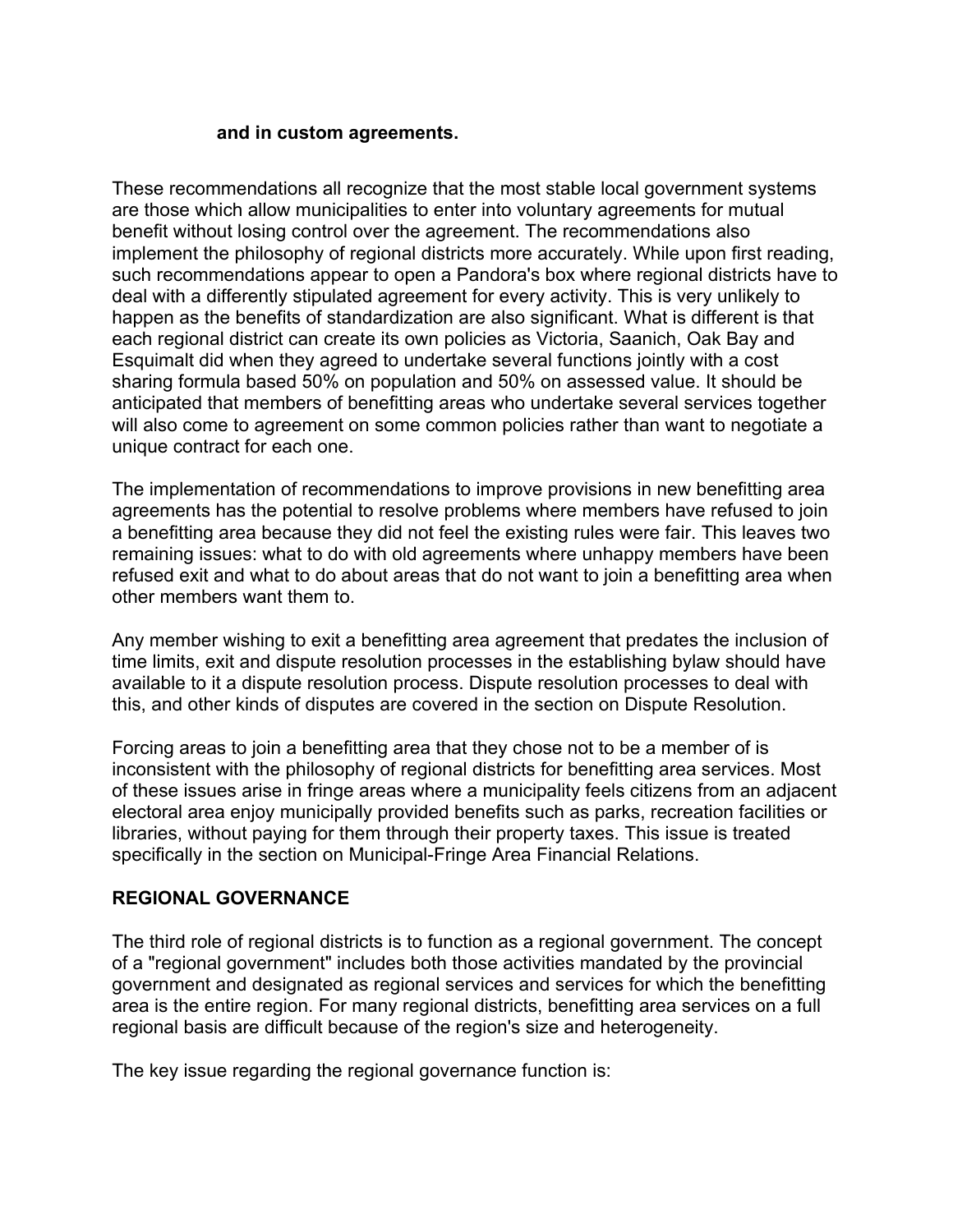#### **and in custom agreements.**

These recommendations all recognize that the most stable local government systems are those which allow municipalities to enter into voluntary agreements for mutual benefit without losing control over the agreement. The recommendations also implement the philosophy of regional districts more accurately. While upon first reading, such recommendations appear to open a Pandora's box where regional districts have to deal with a differently stipulated agreement for every activity. This is very unlikely to happen as the benefits of standardization are also significant. What is different is that each regional district can create its own policies as Victoria, Saanich, Oak Bay and Esquimalt did when they agreed to undertake several functions jointly with a cost sharing formula based 50% on population and 50% on assessed value. It should be anticipated that members of benefitting areas who undertake several services together will also come to agreement on some common policies rather than want to negotiate a unique contract for each one.

The implementation of recommendations to improve provisions in new benefitting area agreements has the potential to resolve problems where members have refused to join a benefitting area because they did not feel the existing rules were fair. This leaves two remaining issues: what to do with old agreements where unhappy members have been refused exit and what to do about areas that do not want to join a benefitting area when other members want them to.

Any member wishing to exit a benefitting area agreement that predates the inclusion of time limits, exit and dispute resolution processes in the establishing bylaw should have available to it a dispute resolution process. Dispute resolution processes to deal with this, and other kinds of disputes are covered in the section on Dispute Resolution.

Forcing areas to join a benefitting area that they chose not to be a member of is inconsistent with the philosophy of regional districts for benefitting area services. Most of these issues arise in fringe areas where a municipality feels citizens from an adjacent electoral area enjoy municipally provided benefits such as parks, recreation facilities or libraries, without paying for them through their property taxes. This issue is treated specifically in the section on Municipal-Fringe Area Financial Relations.

#### **REGIONAL GOVERNANCE**

The third role of regional districts is to function as a regional government. The concept of a "regional government" includes both those activities mandated by the provincial government and designated as regional services and services for which the benefitting area is the entire region. For many regional districts, benefitting area services on a full regional basis are difficult because of the region's size and heterogeneity.

The key issue regarding the regional governance function is: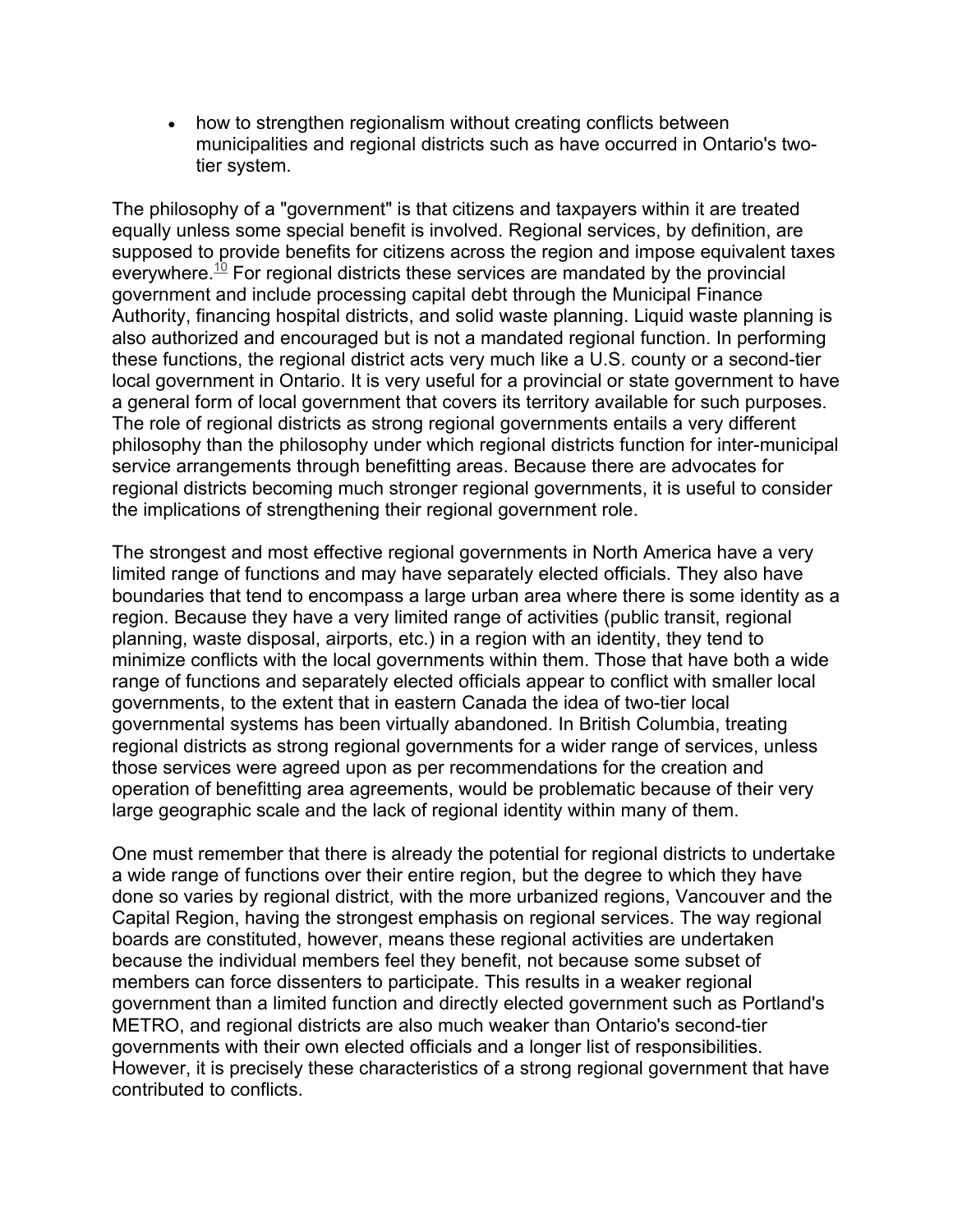• how to strengthen regionalism without creating conflicts between municipalities and regional districts such as have occurred in Ontario's twotier system.

The philosophy of a "government" is that citizens and taxpayers within it are treated equally unless some special benefit is involved. Regional services, by definition, are supposed to provide benefits for citizens across the region and impose equivalent taxes everywhere.<sup>10</sup> For regional districts these services are mandated by the provincial government and include processing capital debt through the Municipal Finance Authority, financing hospital districts, and solid waste planning. Liquid waste planning is also authorized and encouraged but is not a mandated regional function. In performing these functions, the regional district acts very much like a U.S. county or a second-tier local government in Ontario. It is very useful for a provincial or state government to have a general form of local government that covers its territory available for such purposes. The role of regional districts as strong regional governments entails a very different philosophy than the philosophy under which regional districts function for inter-municipal service arrangements through benefitting areas. Because there are advocates for regional districts becoming much stronger regional governments, it is useful to consider the implications of strengthening their regional government role.

The strongest and most effective regional governments in North America have a very limited range of functions and may have separately elected officials. They also have boundaries that tend to encompass a large urban area where there is some identity as a region. Because they have a very limited range of activities (public transit, regional planning, waste disposal, airports, etc.) in a region with an identity, they tend to minimize conflicts with the local governments within them. Those that have both a wide range of functions and separately elected officials appear to conflict with smaller local governments, to the extent that in eastern Canada the idea of two-tier local governmental systems has been virtually abandoned. In British Columbia, treating regional districts as strong regional governments for a wider range of services, unless those services were agreed upon as per recommendations for the creation and operation of benefitting area agreements, would be problematic because of their very large geographic scale and the lack of regional identity within many of them.

One must remember that there is already the potential for regional districts to undertake a wide range of functions over their entire region, but the degree to which they have done so varies by regional district, with the more urbanized regions, Vancouver and the Capital Region, having the strongest emphasis on regional services. The way regional boards are constituted, however, means these regional activities are undertaken because the individual members feel they benefit, not because some subset of members can force dissenters to participate. This results in a weaker regional government than a limited function and directly elected government such as Portland's METRO, and regional districts are also much weaker than Ontario's second-tier governments with their own elected officials and a longer list of responsibilities. However, it is precisely these characteristics of a strong regional government that have contributed to conflicts.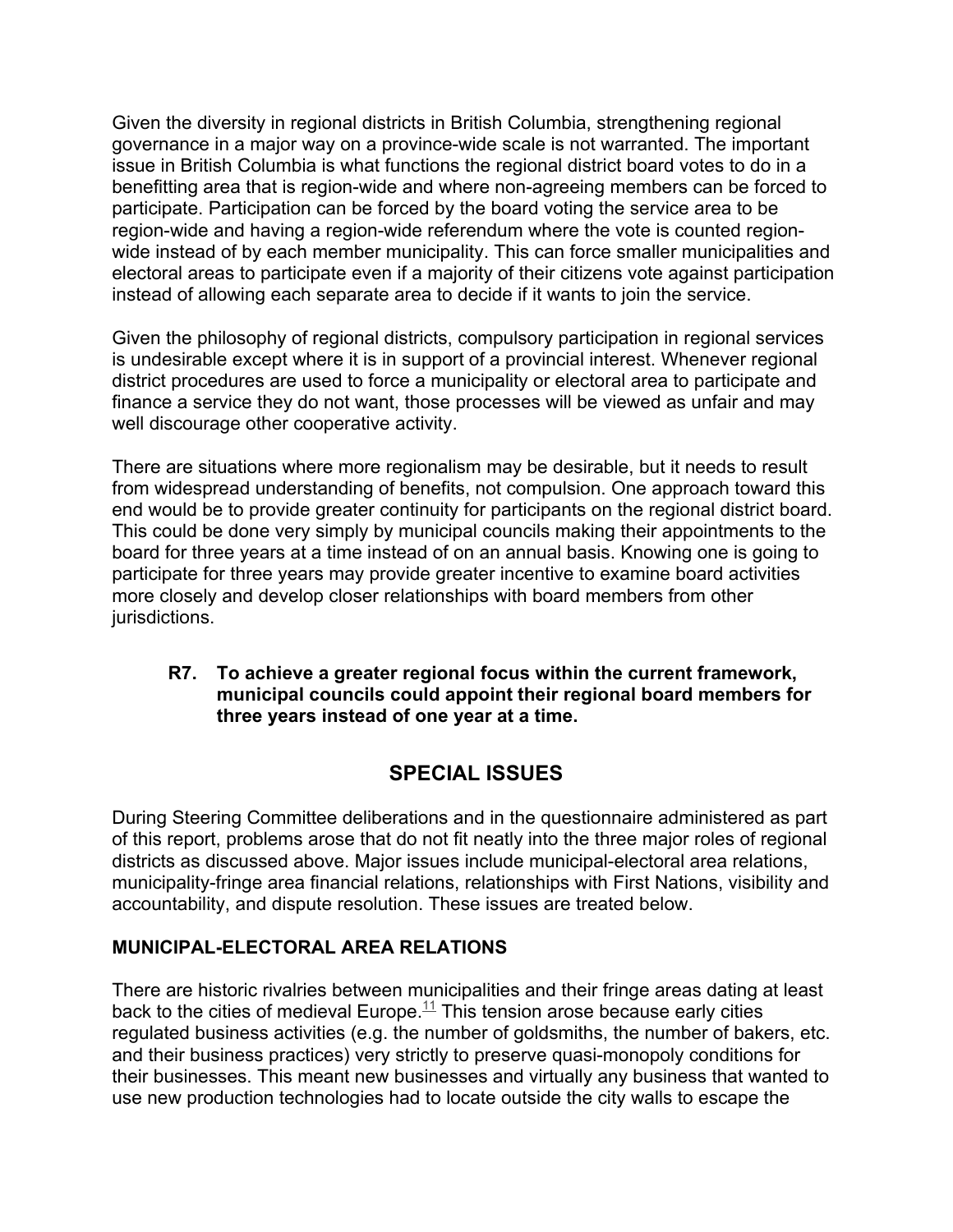Given the diversity in regional districts in British Columbia, strengthening regional governance in a major way on a province-wide scale is not warranted. The important issue in British Columbia is what functions the regional district board votes to do in a benefitting area that is region-wide and where non-agreeing members can be forced to participate. Participation can be forced by the board voting the service area to be region-wide and having a region-wide referendum where the vote is counted regionwide instead of by each member municipality. This can force smaller municipalities and electoral areas to participate even if a majority of their citizens vote against participation instead of allowing each separate area to decide if it wants to join the service.

Given the philosophy of regional districts, compulsory participation in regional services is undesirable except where it is in support of a provincial interest. Whenever regional district procedures are used to force a municipality or electoral area to participate and finance a service they do not want, those processes will be viewed as unfair and may well discourage other cooperative activity.

There are situations where more regionalism may be desirable, but it needs to result from widespread understanding of benefits, not compulsion. One approach toward this end would be to provide greater continuity for participants on the regional district board. This could be done very simply by municipal councils making their appointments to the board for three years at a time instead of on an annual basis. Knowing one is going to participate for three years may provide greater incentive to examine board activities more closely and develop closer relationships with board members from other jurisdictions.

#### **R7. To achieve a greater regional focus within the current framework, municipal councils could appoint their regional board members for three years instead of one year at a time.**

# **SPECIAL ISSUES**

During Steering Committee deliberations and in the questionnaire administered as part of this report, problems arose that do not fit neatly into the three major roles of regional districts as discussed above. Major issues include municipal-electoral area relations, municipality-fringe area financial relations, relationships with First Nations, visibility and accountability, and dispute resolution. These issues are treated below.

## **MUNICIPAL-ELECTORAL AREA RELATIONS**

There are historic rivalries between municipalities and their fringe areas dating at least back to the cities of medieval Europe.<sup>11</sup> This tension arose because early cities regulated business activities (e.g. the number of goldsmiths, the number of bakers, etc. and their business practices) very strictly to preserve quasi-monopoly conditions for their businesses. This meant new businesses and virtually any business that wanted to use new production technologies had to locate outside the city walls to escape the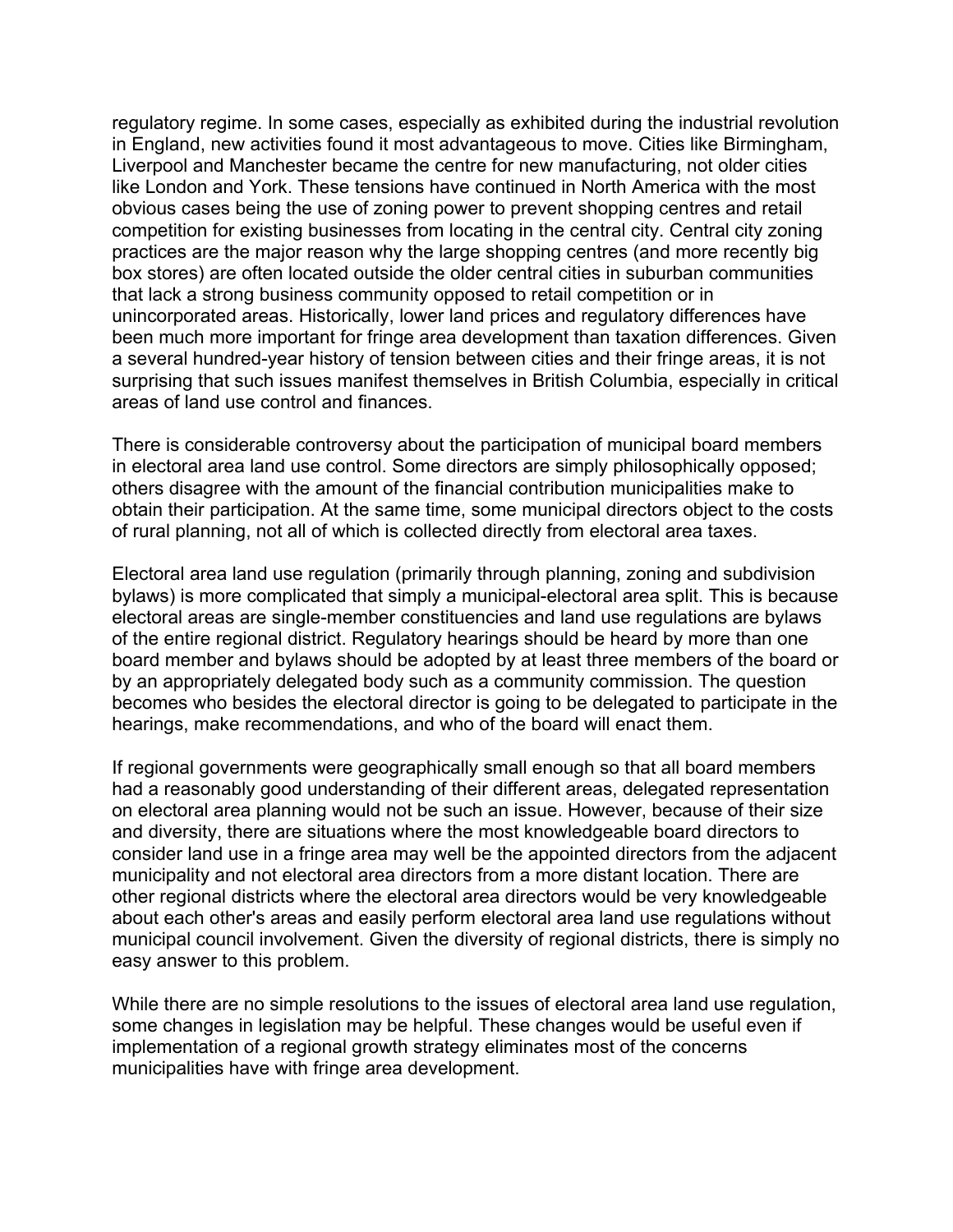regulatory regime. In some cases, especially as exhibited during the industrial revolution in England, new activities found it most advantageous to move. Cities like Birmingham, Liverpool and Manchester became the centre for new manufacturing, not older cities like London and York. These tensions have continued in North America with the most obvious cases being the use of zoning power to prevent shopping centres and retail competition for existing businesses from locating in the central city. Central city zoning practices are the major reason why the large shopping centres (and more recently big box stores) are often located outside the older central cities in suburban communities that lack a strong business community opposed to retail competition or in unincorporated areas. Historically, lower land prices and regulatory differences have been much more important for fringe area development than taxation differences. Given a several hundred-year history of tension between cities and their fringe areas, it is not surprising that such issues manifest themselves in British Columbia, especially in critical areas of land use control and finances.

There is considerable controversy about the participation of municipal board members in electoral area land use control. Some directors are simply philosophically opposed; others disagree with the amount of the financial contribution municipalities make to obtain their participation. At the same time, some municipal directors object to the costs of rural planning, not all of which is collected directly from electoral area taxes.

Electoral area land use regulation (primarily through planning, zoning and subdivision bylaws) is more complicated that simply a municipal-electoral area split. This is because electoral areas are single-member constituencies and land use regulations are bylaws of the entire regional district. Regulatory hearings should be heard by more than one board member and bylaws should be adopted by at least three members of the board or by an appropriately delegated body such as a community commission. The question becomes who besides the electoral director is going to be delegated to participate in the hearings, make recommendations, and who of the board will enact them.

If regional governments were geographically small enough so that all board members had a reasonably good understanding of their different areas, delegated representation on electoral area planning would not be such an issue. However, because of their size and diversity, there are situations where the most knowledgeable board directors to consider land use in a fringe area may well be the appointed directors from the adjacent municipality and not electoral area directors from a more distant location. There are other regional districts where the electoral area directors would be very knowledgeable about each other's areas and easily perform electoral area land use regulations without municipal council involvement. Given the diversity of regional districts, there is simply no easy answer to this problem.

While there are no simple resolutions to the issues of electoral area land use regulation, some changes in legislation may be helpful. These changes would be useful even if implementation of a regional growth strategy eliminates most of the concerns municipalities have with fringe area development.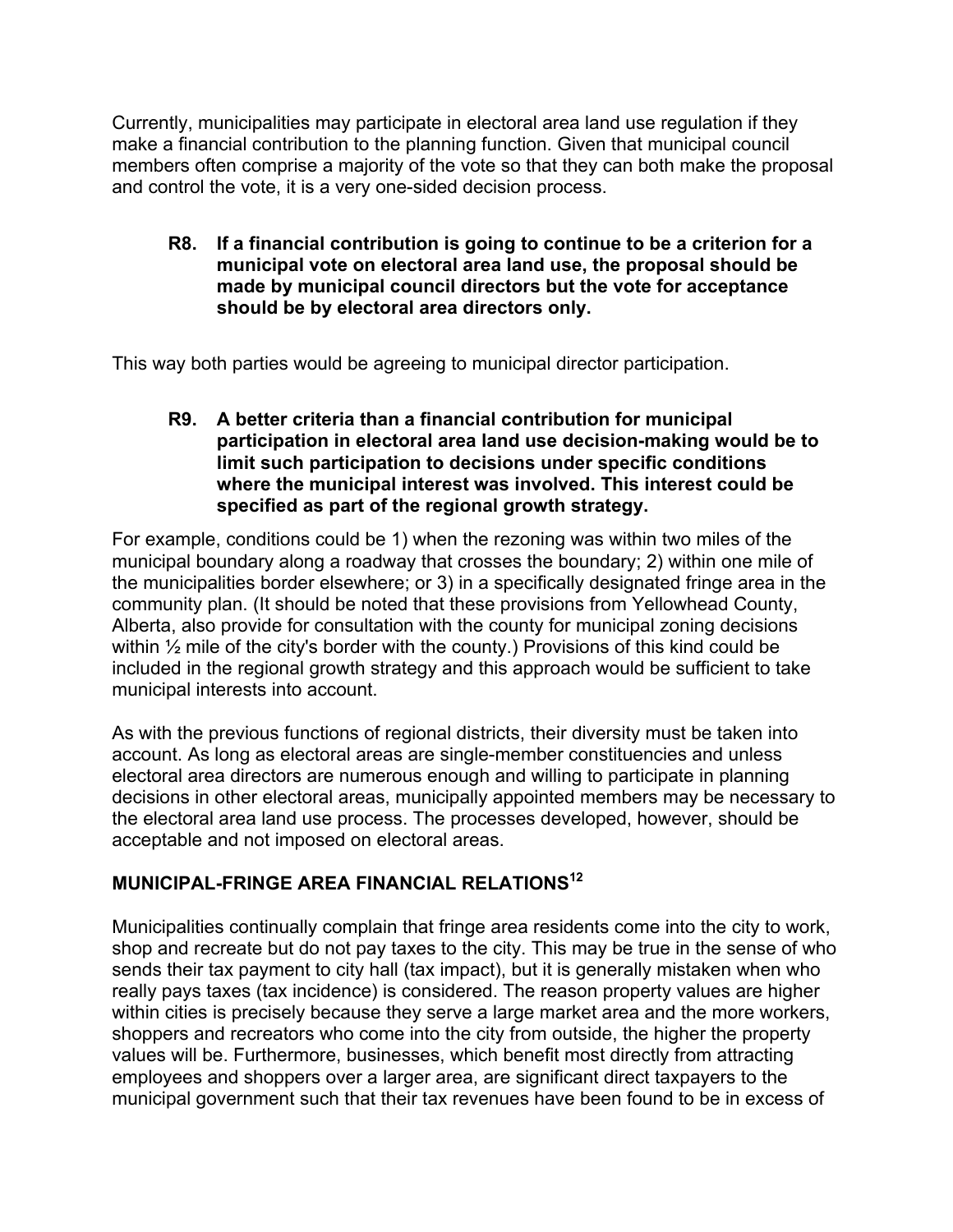Currently, municipalities may participate in electoral area land use regulation if they make a financial contribution to the planning function. Given that municipal council members often comprise a majority of the vote so that they can both make the proposal and control the vote, it is a very one-sided decision process.

**R8. If a financial contribution is going to continue to be a criterion for a municipal vote on electoral area land use, the proposal should be made by municipal council directors but the vote for acceptance should be by electoral area directors only.**

This way both parties would be agreeing to municipal director participation.

**R9. A better criteria than a financial contribution for municipal participation in electoral area land use decision-making would be to limit such participation to decisions under specific conditions where the municipal interest was involved. This interest could be specified as part of the regional growth strategy.**

For example, conditions could be 1) when the rezoning was within two miles of the municipal boundary along a roadway that crosses the boundary; 2) within one mile of the municipalities border elsewhere; or 3) in a specifically designated fringe area in the community plan. (It should be noted that these provisions from Yellowhead County, Alberta, also provide for consultation with the county for municipal zoning decisions within ½ mile of the city's border with the county.) Provisions of this kind could be included in the regional growth strategy and this approach would be sufficient to take municipal interests into account.

As with the previous functions of regional districts, their diversity must be taken into account. As long as electoral areas are single-member constituencies and unless electoral area directors are numerous enough and willing to participate in planning decisions in other electoral areas, municipally appointed members may be necessary to the electoral area land use process. The processes developed, however, should be acceptable and not imposed on electoral areas.

## **MUNICIPAL-FRINGE AREA FINANCIAL RELATIONS<sup>12</sup>**

Municipalities continually complain that fringe area residents come into the city to work, shop and recreate but do not pay taxes to the city. This may be true in the sense of who sends their tax payment to city hall (tax impact), but it is generally mistaken when who really pays taxes (tax incidence) is considered. The reason property values are higher within cities is precisely because they serve a large market area and the more workers, shoppers and recreators who come into the city from outside, the higher the property values will be. Furthermore, businesses, which benefit most directly from attracting employees and shoppers over a larger area, are significant direct taxpayers to the municipal government such that their tax revenues have been found to be in excess of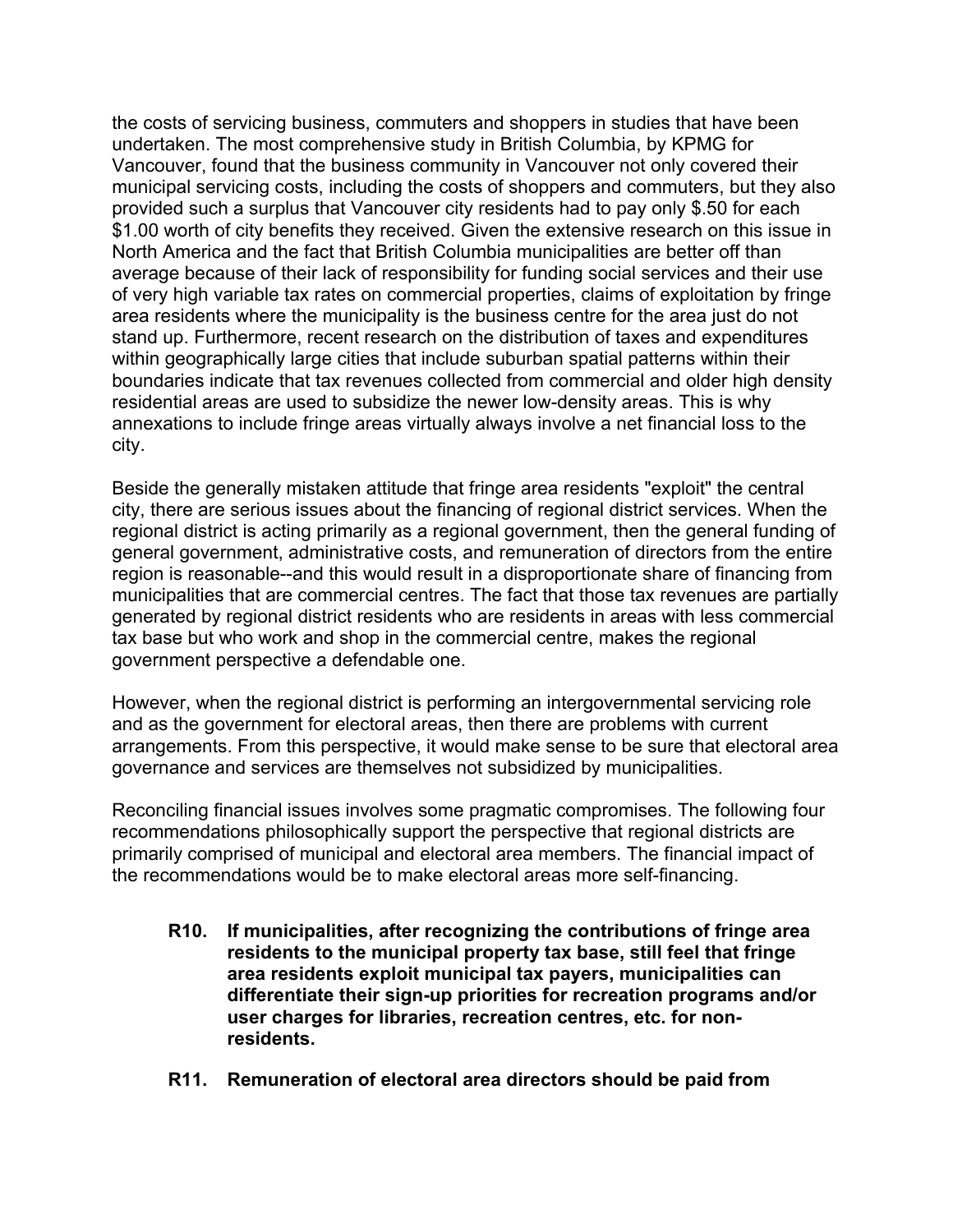the costs of servicing business, commuters and shoppers in studies that have been undertaken. The most comprehensive study in British Columbia, by KPMG for Vancouver, found that the business community in Vancouver not only covered their municipal servicing costs, including the costs of shoppers and commuters, but they also provided such a surplus that Vancouver city residents had to pay only \$.50 for each \$1.00 worth of city benefits they received. Given the extensive research on this issue in North America and the fact that British Columbia municipalities are better off than average because of their lack of responsibility for funding social services and their use of very high variable tax rates on commercial properties, claims of exploitation by fringe area residents where the municipality is the business centre for the area just do not stand up. Furthermore, recent research on the distribution of taxes and expenditures within geographically large cities that include suburban spatial patterns within their boundaries indicate that tax revenues collected from commercial and older high density residential areas are used to subsidize the newer low-density areas. This is why annexations to include fringe areas virtually always involve a net financial loss to the city.

Beside the generally mistaken attitude that fringe area residents "exploit" the central city, there are serious issues about the financing of regional district services. When the regional district is acting primarily as a regional government, then the general funding of general government, administrative costs, and remuneration of directors from the entire region is reasonable--and this would result in a disproportionate share of financing from municipalities that are commercial centres. The fact that those tax revenues are partially generated by regional district residents who are residents in areas with less commercial tax base but who work and shop in the commercial centre, makes the regional government perspective a defendable one.

However, when the regional district is performing an intergovernmental servicing role and as the government for electoral areas, then there are problems with current arrangements. From this perspective, it would make sense to be sure that electoral area governance and services are themselves not subsidized by municipalities.

Reconciling financial issues involves some pragmatic compromises. The following four recommendations philosophically support the perspective that regional districts are primarily comprised of municipal and electoral area members. The financial impact of the recommendations would be to make electoral areas more self-financing.

- **R10. If municipalities, after recognizing the contributions of fringe area residents to the municipal property tax base, still feel that fringe area residents exploit municipal tax payers, municipalities can differentiate their sign-up priorities for recreation programs and/or user charges for libraries, recreation centres, etc. for nonresidents.**
- **R11. Remuneration of electoral area directors should be paid from**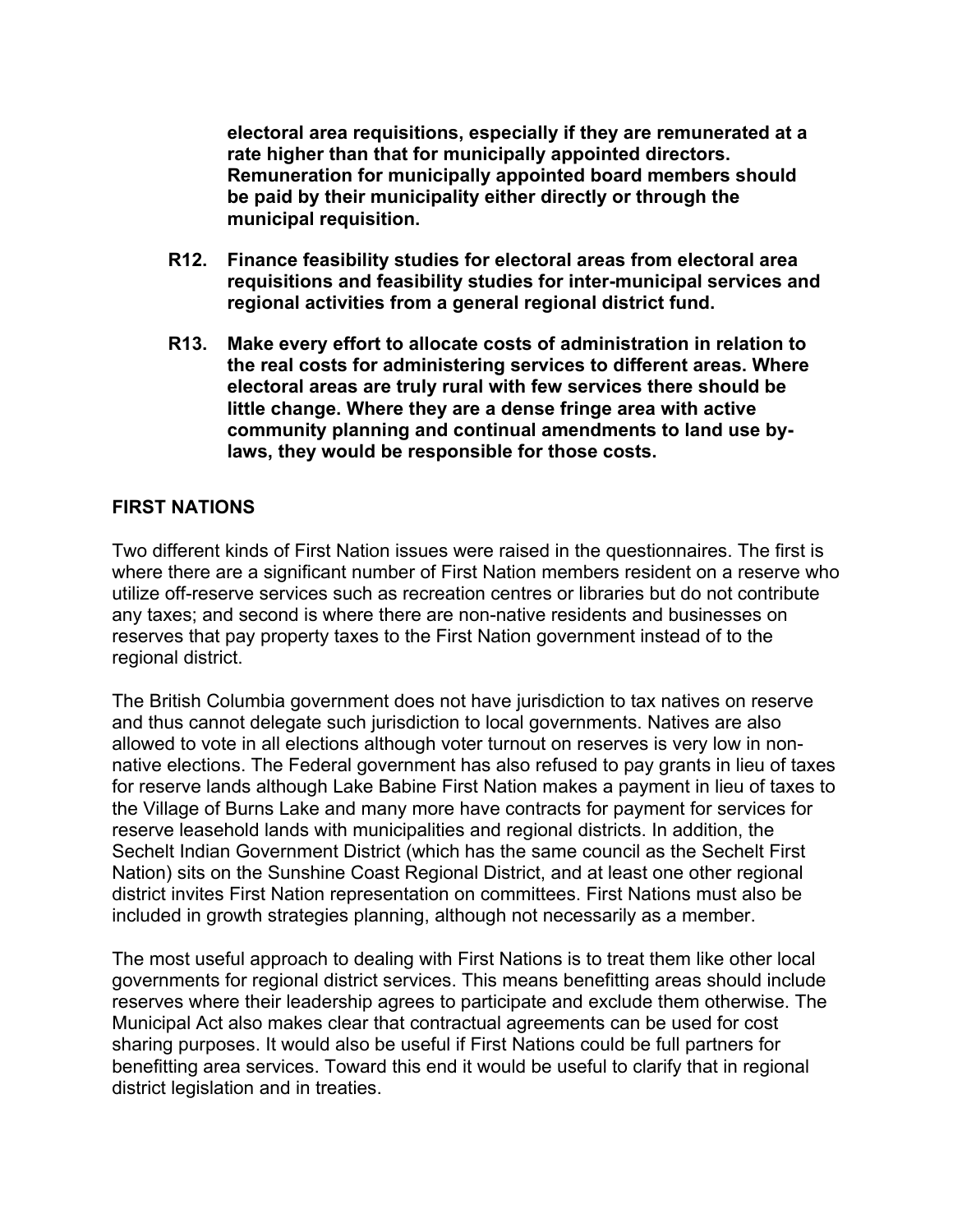**electoral area requisitions, especially if they are remunerated at a rate higher than that for municipally appointed directors. Remuneration for municipally appointed board members should be paid by their municipality either directly or through the municipal requisition.**

- **R12. Finance feasibility studies for electoral areas from electoral area requisitions and feasibility studies for inter-municipal services and regional activities from a general regional district fund.**
- **R13. Make every effort to allocate costs of administration in relation to the real costs for administering services to different areas. Where electoral areas are truly rural with few services there should be little change. Where they are a dense fringe area with active community planning and continual amendments to land use bylaws, they would be responsible for those costs.**

## **FIRST NATIONS**

Two different kinds of First Nation issues were raised in the questionnaires. The first is where there are a significant number of First Nation members resident on a reserve who utilize off-reserve services such as recreation centres or libraries but do not contribute any taxes; and second is where there are non-native residents and businesses on reserves that pay property taxes to the First Nation government instead of to the regional district.

The British Columbia government does not have jurisdiction to tax natives on reserve and thus cannot delegate such jurisdiction to local governments. Natives are also allowed to vote in all elections although voter turnout on reserves is very low in nonnative elections. The Federal government has also refused to pay grants in lieu of taxes for reserve lands although Lake Babine First Nation makes a payment in lieu of taxes to the Village of Burns Lake and many more have contracts for payment for services for reserve leasehold lands with municipalities and regional districts. In addition, the Sechelt Indian Government District (which has the same council as the Sechelt First Nation) sits on the Sunshine Coast Regional District, and at least one other regional district invites First Nation representation on committees. First Nations must also be included in growth strategies planning, although not necessarily as a member.

The most useful approach to dealing with First Nations is to treat them like other local governments for regional district services. This means benefitting areas should include reserves where their leadership agrees to participate and exclude them otherwise. The Municipal Act also makes clear that contractual agreements can be used for cost sharing purposes. It would also be useful if First Nations could be full partners for benefitting area services. Toward this end it would be useful to clarify that in regional district legislation and in treaties.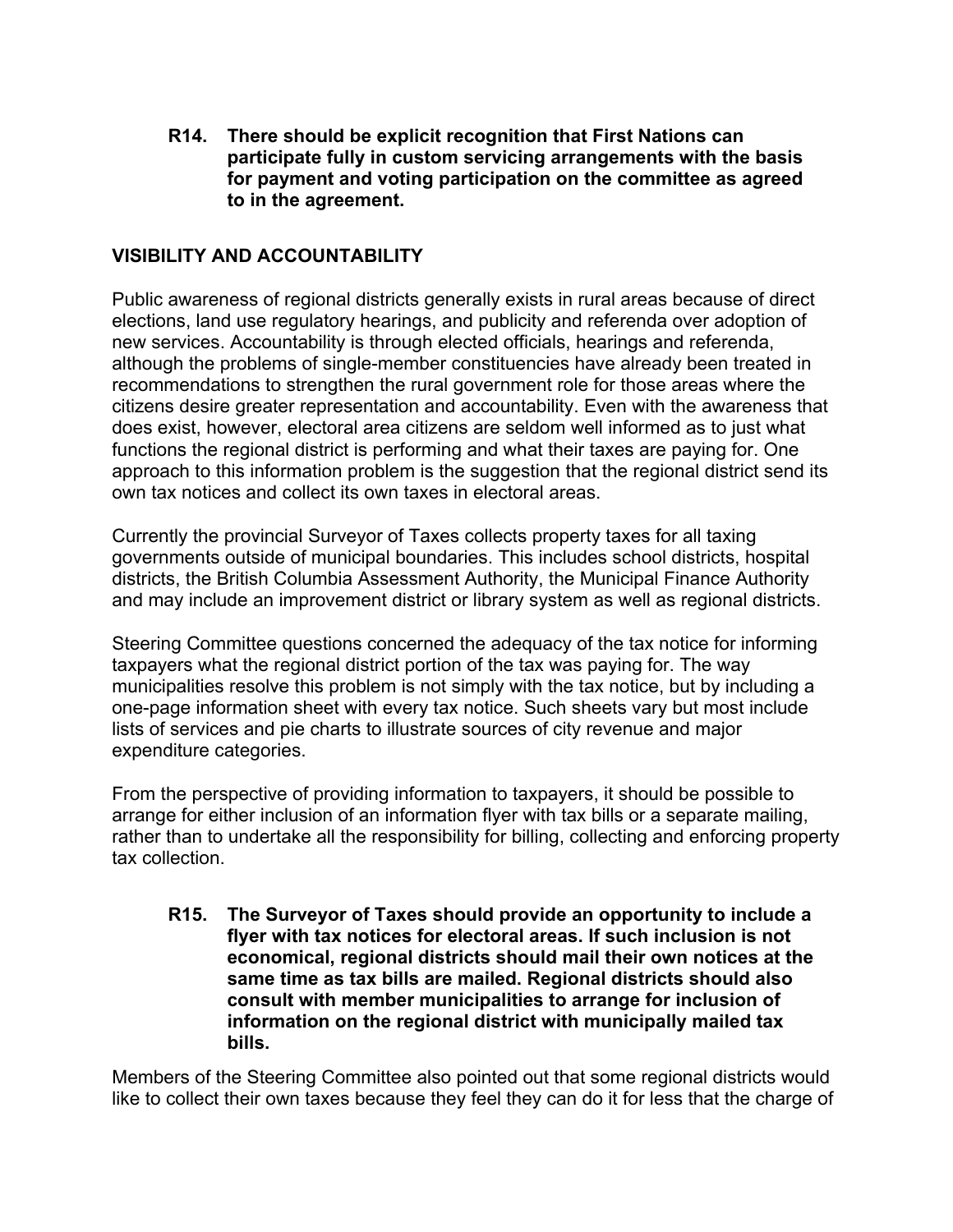**R14. There should be explicit recognition that First Nations can participate fully in custom servicing arrangements with the basis for payment and voting participation on the committee as agreed to in the agreement.**

### **VISIBILITY AND ACCOUNTABILITY**

Public awareness of regional districts generally exists in rural areas because of direct elections, land use regulatory hearings, and publicity and referenda over adoption of new services. Accountability is through elected officials, hearings and referenda, although the problems of single-member constituencies have already been treated in recommendations to strengthen the rural government role for those areas where the citizens desire greater representation and accountability. Even with the awareness that does exist, however, electoral area citizens are seldom well informed as to just what functions the regional district is performing and what their taxes are paying for. One approach to this information problem is the suggestion that the regional district send its own tax notices and collect its own taxes in electoral areas.

Currently the provincial Surveyor of Taxes collects property taxes for all taxing governments outside of municipal boundaries. This includes school districts, hospital districts, the British Columbia Assessment Authority, the Municipal Finance Authority and may include an improvement district or library system as well as regional districts.

Steering Committee questions concerned the adequacy of the tax notice for informing taxpayers what the regional district portion of the tax was paying for. The way municipalities resolve this problem is not simply with the tax notice, but by including a one-page information sheet with every tax notice. Such sheets vary but most include lists of services and pie charts to illustrate sources of city revenue and major expenditure categories.

From the perspective of providing information to taxpayers, it should be possible to arrange for either inclusion of an information flyer with tax bills or a separate mailing, rather than to undertake all the responsibility for billing, collecting and enforcing property tax collection.

**R15. The Surveyor of Taxes should provide an opportunity to include a flyer with tax notices for electoral areas. If such inclusion is not economical, regional districts should mail their own notices at the same time as tax bills are mailed. Regional districts should also consult with member municipalities to arrange for inclusion of information on the regional district with municipally mailed tax bills.**

Members of the Steering Committee also pointed out that some regional districts would like to collect their own taxes because they feel they can do it for less that the charge of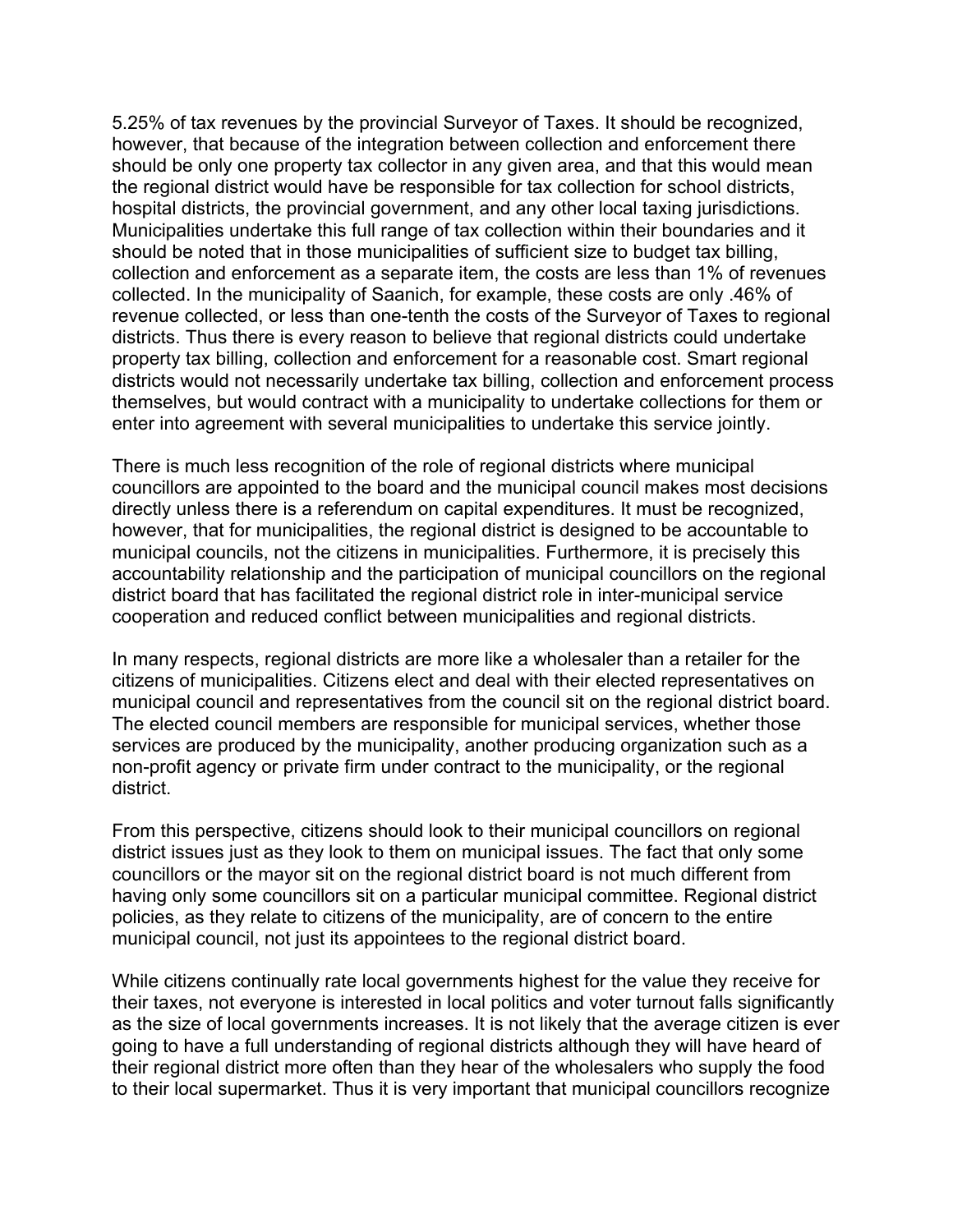5.25% of tax revenues by the provincial Surveyor of Taxes. It should be recognized, however, that because of the integration between collection and enforcement there should be only one property tax collector in any given area, and that this would mean the regional district would have be responsible for tax collection for school districts, hospital districts, the provincial government, and any other local taxing jurisdictions. Municipalities undertake this full range of tax collection within their boundaries and it should be noted that in those municipalities of sufficient size to budget tax billing, collection and enforcement as a separate item, the costs are less than 1% of revenues collected. In the municipality of Saanich, for example, these costs are only .46% of revenue collected, or less than one-tenth the costs of the Surveyor of Taxes to regional districts. Thus there is every reason to believe that regional districts could undertake property tax billing, collection and enforcement for a reasonable cost. Smart regional districts would not necessarily undertake tax billing, collection and enforcement process themselves, but would contract with a municipality to undertake collections for them or enter into agreement with several municipalities to undertake this service jointly.

There is much less recognition of the role of regional districts where municipal councillors are appointed to the board and the municipal council makes most decisions directly unless there is a referendum on capital expenditures. It must be recognized, however, that for municipalities, the regional district is designed to be accountable to municipal councils, not the citizens in municipalities. Furthermore, it is precisely this accountability relationship and the participation of municipal councillors on the regional district board that has facilitated the regional district role in inter-municipal service cooperation and reduced conflict between municipalities and regional districts.

In many respects, regional districts are more like a wholesaler than a retailer for the citizens of municipalities. Citizens elect and deal with their elected representatives on municipal council and representatives from the council sit on the regional district board. The elected council members are responsible for municipal services, whether those services are produced by the municipality, another producing organization such as a non-profit agency or private firm under contract to the municipality, or the regional district.

From this perspective, citizens should look to their municipal councillors on regional district issues just as they look to them on municipal issues. The fact that only some councillors or the mayor sit on the regional district board is not much different from having only some councillors sit on a particular municipal committee. Regional district policies, as they relate to citizens of the municipality, are of concern to the entire municipal council, not just its appointees to the regional district board.

While citizens continually rate local governments highest for the value they receive for their taxes, not everyone is interested in local politics and voter turnout falls significantly as the size of local governments increases. It is not likely that the average citizen is ever going to have a full understanding of regional districts although they will have heard of their regional district more often than they hear of the wholesalers who supply the food to their local supermarket. Thus it is very important that municipal councillors recognize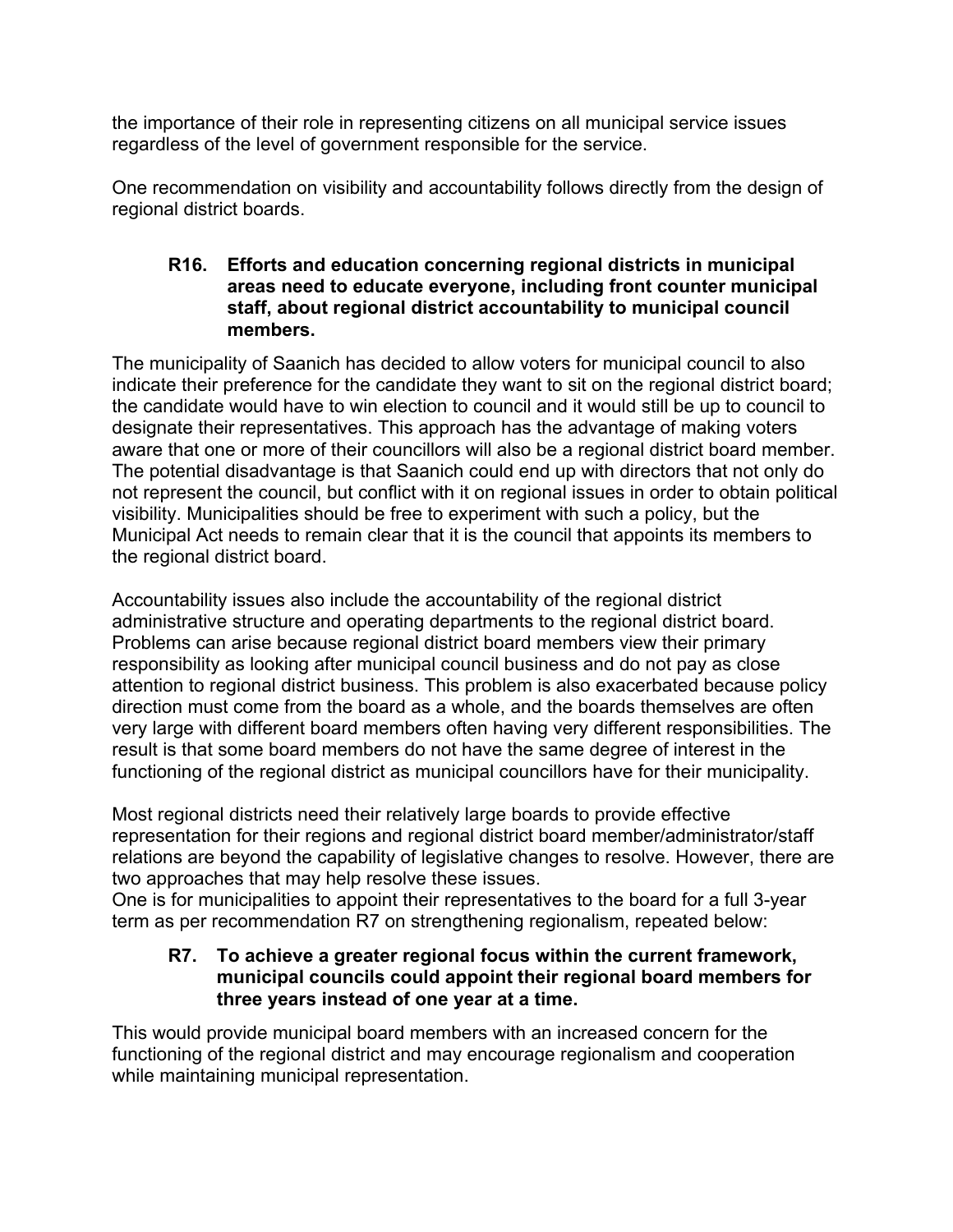the importance of their role in representing citizens on all municipal service issues regardless of the level of government responsible for the service.

One recommendation on visibility and accountability follows directly from the design of regional district boards.

#### **R16. Efforts and education concerning regional districts in municipal areas need to educate everyone, including front counter municipal staff, about regional district accountability to municipal council members.**

The municipality of Saanich has decided to allow voters for municipal council to also indicate their preference for the candidate they want to sit on the regional district board; the candidate would have to win election to council and it would still be up to council to designate their representatives. This approach has the advantage of making voters aware that one or more of their councillors will also be a regional district board member. The potential disadvantage is that Saanich could end up with directors that not only do not represent the council, but conflict with it on regional issues in order to obtain political visibility. Municipalities should be free to experiment with such a policy, but the Municipal Act needs to remain clear that it is the council that appoints its members to the regional district board.

Accountability issues also include the accountability of the regional district administrative structure and operating departments to the regional district board. Problems can arise because regional district board members view their primary responsibility as looking after municipal council business and do not pay as close attention to regional district business. This problem is also exacerbated because policy direction must come from the board as a whole, and the boards themselves are often very large with different board members often having very different responsibilities. The result is that some board members do not have the same degree of interest in the functioning of the regional district as municipal councillors have for their municipality.

Most regional districts need their relatively large boards to provide effective representation for their regions and regional district board member/administrator/staff relations are beyond the capability of legislative changes to resolve. However, there are two approaches that may help resolve these issues.

One is for municipalities to appoint their representatives to the board for a full 3-year term as per recommendation R7 on strengthening regionalism, repeated below:

### **R7. To achieve a greater regional focus within the current framework, municipal councils could appoint their regional board members for three years instead of one year at a time.**

This would provide municipal board members with an increased concern for the functioning of the regional district and may encourage regionalism and cooperation while maintaining municipal representation.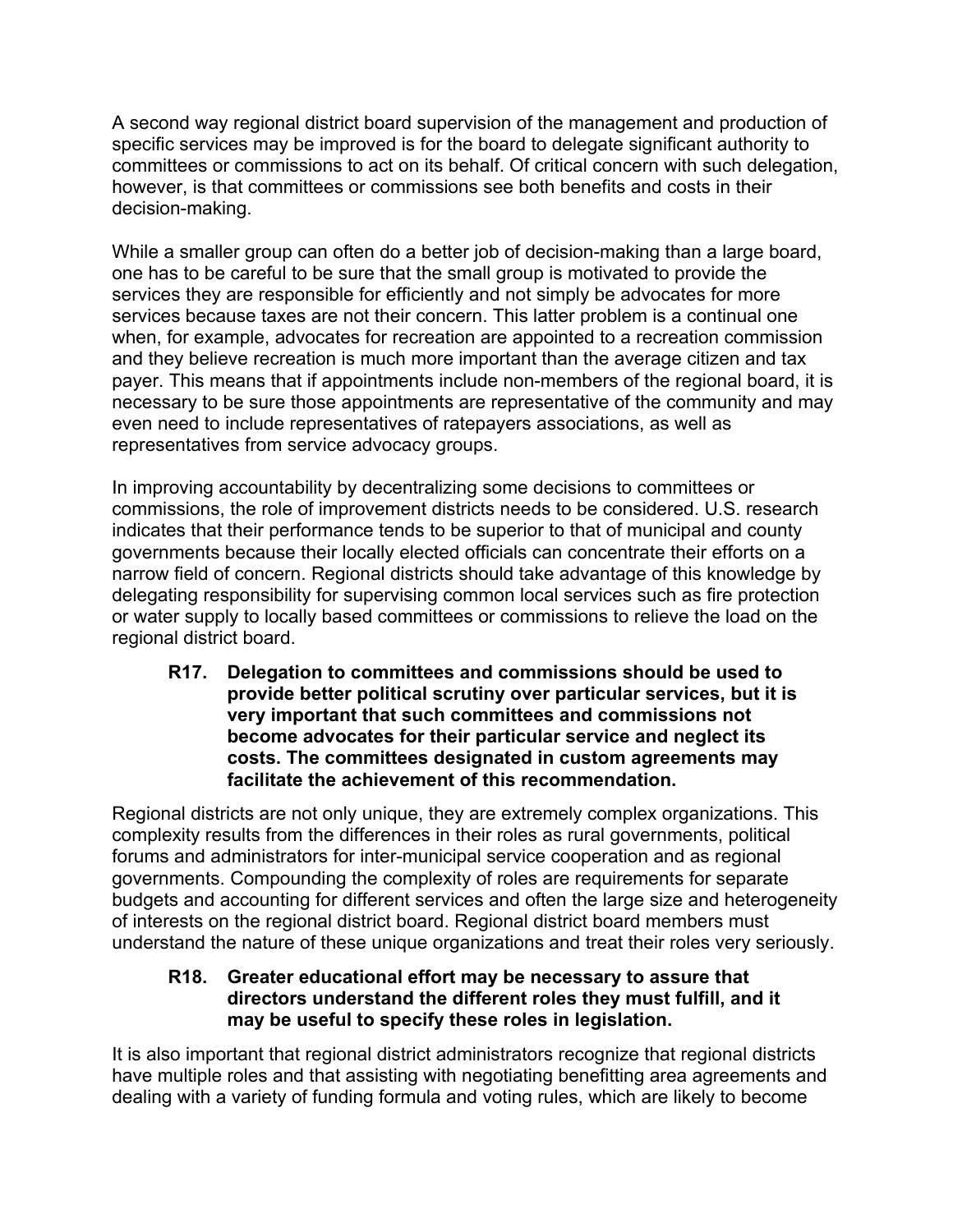A second way regional district board supervision of the management and production of specific services may be improved is for the board to delegate significant authority to committees or commissions to act on its behalf. Of critical concern with such delegation, however, is that committees or commissions see both benefits and costs in their decision-making.

While a smaller group can often do a better job of decision-making than a large board, one has to be careful to be sure that the small group is motivated to provide the services they are responsible for efficiently and not simply be advocates for more services because taxes are not their concern. This latter problem is a continual one when, for example, advocates for recreation are appointed to a recreation commission and they believe recreation is much more important than the average citizen and tax payer. This means that if appointments include non-members of the regional board, it is necessary to be sure those appointments are representative of the community and may even need to include representatives of ratepayers associations, as well as representatives from service advocacy groups.

In improving accountability by decentralizing some decisions to committees or commissions, the role of improvement districts needs to be considered. U.S. research indicates that their performance tends to be superior to that of municipal and county governments because their locally elected officials can concentrate their efforts on a narrow field of concern. Regional districts should take advantage of this knowledge by delegating responsibility for supervising common local services such as fire protection or water supply to locally based committees or commissions to relieve the load on the regional district board.

**R17. Delegation to committees and commissions should be used to provide better political scrutiny over particular services, but it is very important that such committees and commissions not become advocates for their particular service and neglect its costs. The committees designated in custom agreements may facilitate the achievement of this recommendation.**

Regional districts are not only unique, they are extremely complex organizations. This complexity results from the differences in their roles as rural governments, political forums and administrators for inter-municipal service cooperation and as regional governments. Compounding the complexity of roles are requirements for separate budgets and accounting for different services and often the large size and heterogeneity of interests on the regional district board. Regional district board members must understand the nature of these unique organizations and treat their roles very seriously.

### **R18. Greater educational effort may be necessary to assure that directors understand the different roles they must fulfill, and it may be useful to specify these roles in legislation.**

It is also important that regional district administrators recognize that regional districts have multiple roles and that assisting with negotiating benefitting area agreements and dealing with a variety of funding formula and voting rules, which are likely to become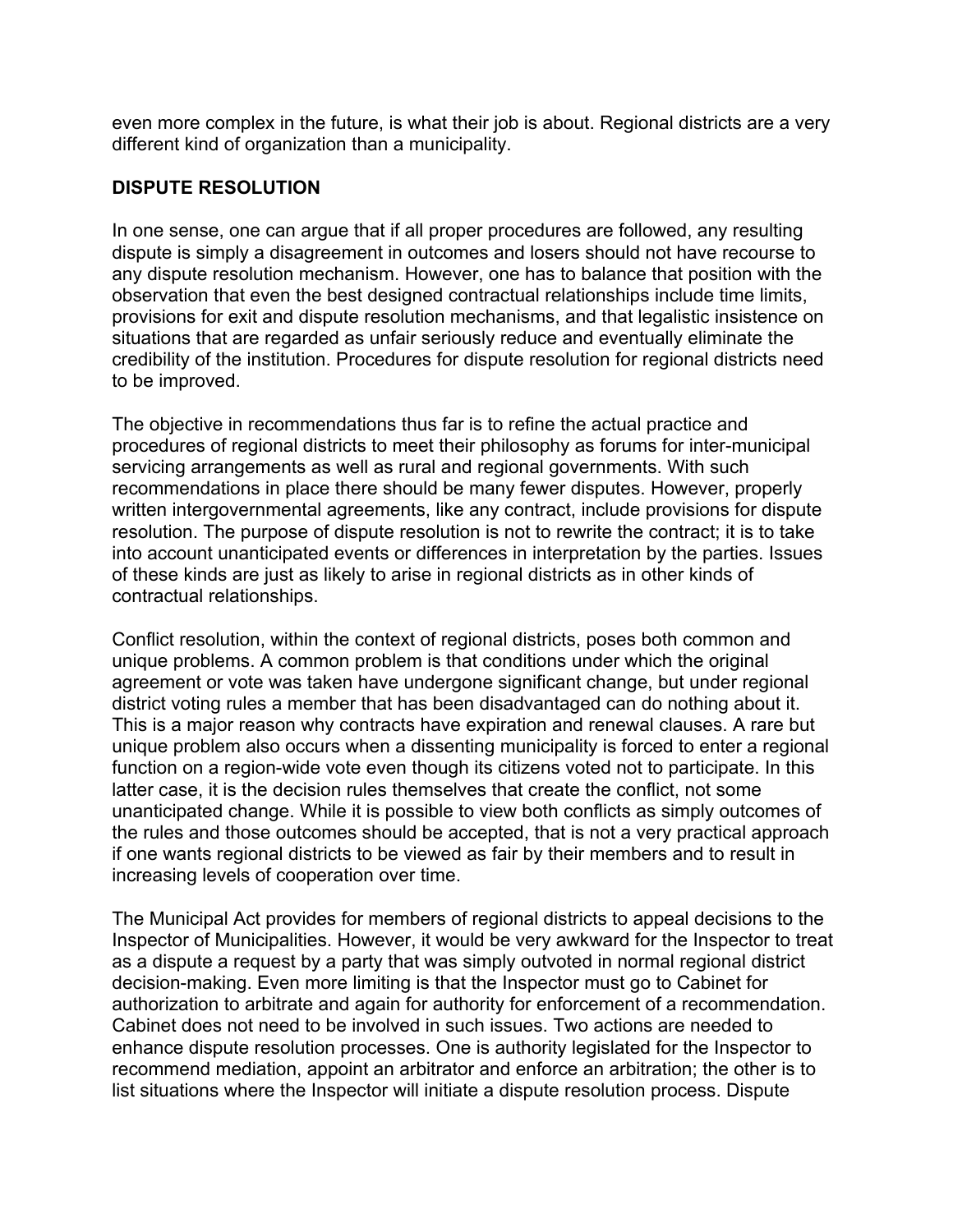even more complex in the future, is what their job is about. Regional districts are a very different kind of organization than a municipality.

### **DISPUTE RESOLUTION**

In one sense, one can argue that if all proper procedures are followed, any resulting dispute is simply a disagreement in outcomes and losers should not have recourse to any dispute resolution mechanism. However, one has to balance that position with the observation that even the best designed contractual relationships include time limits, provisions for exit and dispute resolution mechanisms, and that legalistic insistence on situations that are regarded as unfair seriously reduce and eventually eliminate the credibility of the institution. Procedures for dispute resolution for regional districts need to be improved.

The objective in recommendations thus far is to refine the actual practice and procedures of regional districts to meet their philosophy as forums for inter-municipal servicing arrangements as well as rural and regional governments. With such recommendations in place there should be many fewer disputes. However, properly written intergovernmental agreements, like any contract, include provisions for dispute resolution. The purpose of dispute resolution is not to rewrite the contract; it is to take into account unanticipated events or differences in interpretation by the parties. Issues of these kinds are just as likely to arise in regional districts as in other kinds of contractual relationships.

Conflict resolution, within the context of regional districts, poses both common and unique problems. A common problem is that conditions under which the original agreement or vote was taken have undergone significant change, but under regional district voting rules a member that has been disadvantaged can do nothing about it. This is a major reason why contracts have expiration and renewal clauses. A rare but unique problem also occurs when a dissenting municipality is forced to enter a regional function on a region-wide vote even though its citizens voted not to participate. In this latter case, it is the decision rules themselves that create the conflict, not some unanticipated change. While it is possible to view both conflicts as simply outcomes of the rules and those outcomes should be accepted, that is not a very practical approach if one wants regional districts to be viewed as fair by their members and to result in increasing levels of cooperation over time.

The Municipal Act provides for members of regional districts to appeal decisions to the Inspector of Municipalities. However, it would be very awkward for the Inspector to treat as a dispute a request by a party that was simply outvoted in normal regional district decision-making. Even more limiting is that the Inspector must go to Cabinet for authorization to arbitrate and again for authority for enforcement of a recommendation. Cabinet does not need to be involved in such issues. Two actions are needed to enhance dispute resolution processes. One is authority legislated for the Inspector to recommend mediation, appoint an arbitrator and enforce an arbitration; the other is to list situations where the Inspector will initiate a dispute resolution process. Dispute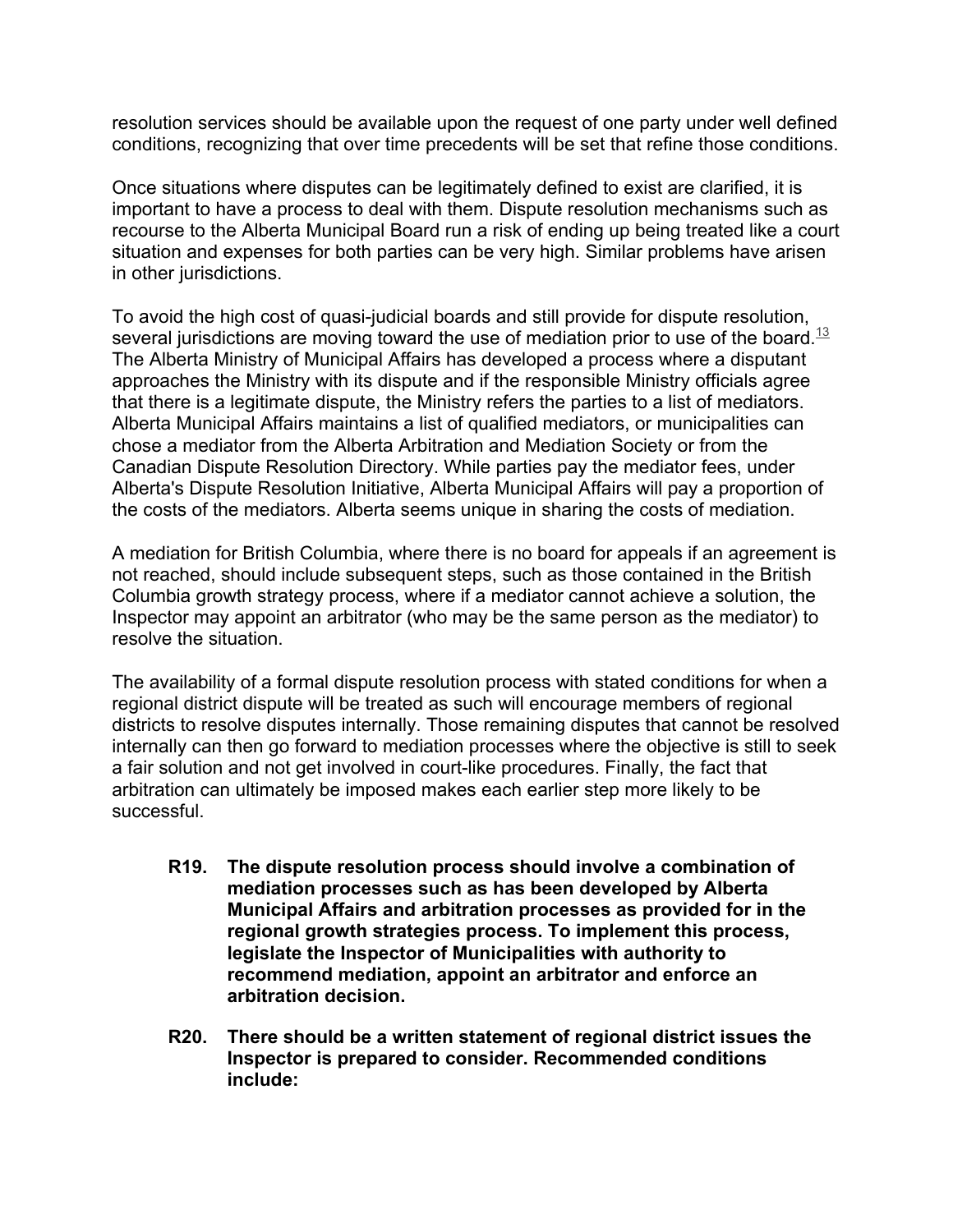resolution services should be available upon the request of one party under well defined conditions, recognizing that over time precedents will be set that refine those conditions.

Once situations where disputes can be legitimately defined to exist are clarified, it is important to have a process to deal with them. Dispute resolution mechanisms such as recourse to the Alberta Municipal Board run a risk of ending up being treated like a court situation and expenses for both parties can be very high. Similar problems have arisen in other jurisdictions.

To avoid the high cost of quasi-judicial boards and still provide for dispute resolution, several jurisdictions are moving toward the use of mediation prior to use of the board.<sup>13</sup> The Alberta Ministry of Municipal Affairs has developed a process where a disputant approaches the Ministry with its dispute and if the responsible Ministry officials agree that there is a legitimate dispute, the Ministry refers the parties to a list of mediators. Alberta Municipal Affairs maintains a list of qualified mediators, or municipalities can chose a mediator from the Alberta Arbitration and Mediation Society or from the Canadian Dispute Resolution Directory. While parties pay the mediator fees, under Alberta's Dispute Resolution Initiative, Alberta Municipal Affairs will pay a proportion of the costs of the mediators. Alberta seems unique in sharing the costs of mediation.

A mediation for British Columbia, where there is no board for appeals if an agreement is not reached, should include subsequent steps, such as those contained in the British Columbia growth strategy process, where if a mediator cannot achieve a solution, the Inspector may appoint an arbitrator (who may be the same person as the mediator) to resolve the situation.

The availability of a formal dispute resolution process with stated conditions for when a regional district dispute will be treated as such will encourage members of regional districts to resolve disputes internally. Those remaining disputes that cannot be resolved internally can then go forward to mediation processes where the objective is still to seek a fair solution and not get involved in court-like procedures. Finally, the fact that arbitration can ultimately be imposed makes each earlier step more likely to be successful.

- **R19. The dispute resolution process should involve a combination of mediation processes such as has been developed by Alberta Municipal Affairs and arbitration processes as provided for in the regional growth strategies process. To implement this process, legislate the Inspector of Municipalities with authority to recommend mediation, appoint an arbitrator and enforce an arbitration decision.**
- **R20. There should be a written statement of regional district issues the Inspector is prepared to consider. Recommended conditions include:**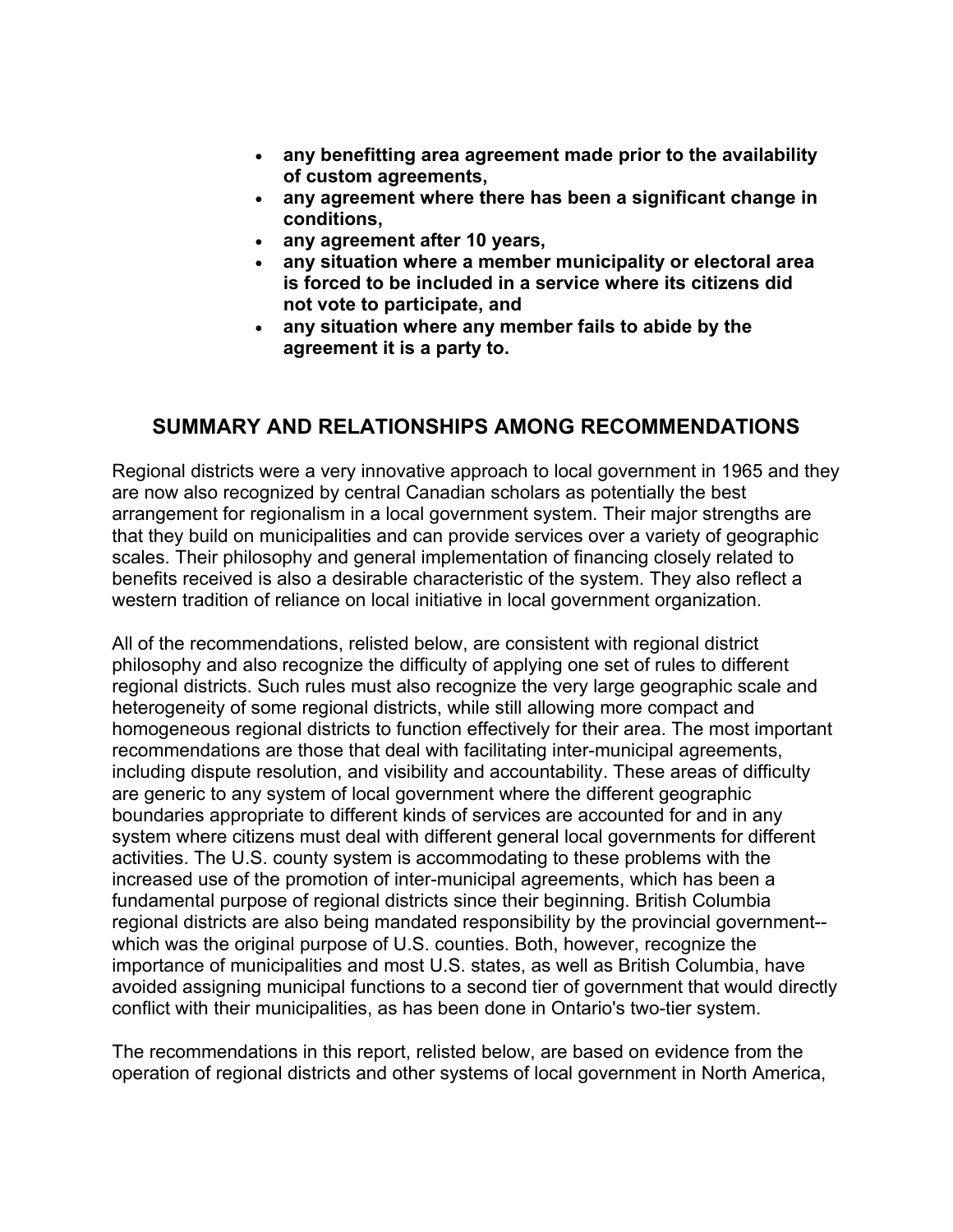- **any benefitting area agreement made prior to the availability of custom agreements,**
- **any agreement where there has been a significant change in conditions,**
- **any agreement after 10 years,**
- **any situation where a member municipality or electoral area is forced to be included in a service where its citizens did not vote to participate, and**
- **any situation where any member fails to abide by the agreement it is a party to.**

## **SUMMARY AND RELATIONSHIPS AMONG RECOMMENDATIONS**

Regional districts were a very innovative approach to local government in 1965 and they are now also recognized by central Canadian scholars as potentially the best arrangement for regionalism in a local government system. Their major strengths are that they build on municipalities and can provide services over a variety of geographic scales. Their philosophy and general implementation of financing closely related to benefits received is also a desirable characteristic of the system. They also reflect a western tradition of reliance on local initiative in local government organization.

All of the recommendations, relisted below, are consistent with regional district philosophy and also recognize the difficulty of applying one set of rules to different regional districts. Such rules must also recognize the very large geographic scale and heterogeneity of some regional districts, while still allowing more compact and homogeneous regional districts to function effectively for their area. The most important recommendations are those that deal with facilitating inter-municipal agreements, including dispute resolution, and visibility and accountability. These areas of difficulty are generic to any system of local government where the different geographic boundaries appropriate to different kinds of services are accounted for and in any system where citizens must deal with different general local governments for different activities. The U.S. county system is accommodating to these problems with the increased use of the promotion of inter-municipal agreements, which has been a fundamental purpose of regional districts since their beginning. British Columbia regional districts are also being mandated responsibility by the provincial government- which was the original purpose of U.S. counties. Both, however, recognize the importance of municipalities and most U.S. states, as well as British Columbia, have avoided assigning municipal functions to a second tier of government that would directly conflict with their municipalities, as has been done in Ontario's two-tier system.

The recommendations in this report, relisted below, are based on evidence from the operation of regional districts and other systems of local government in North America,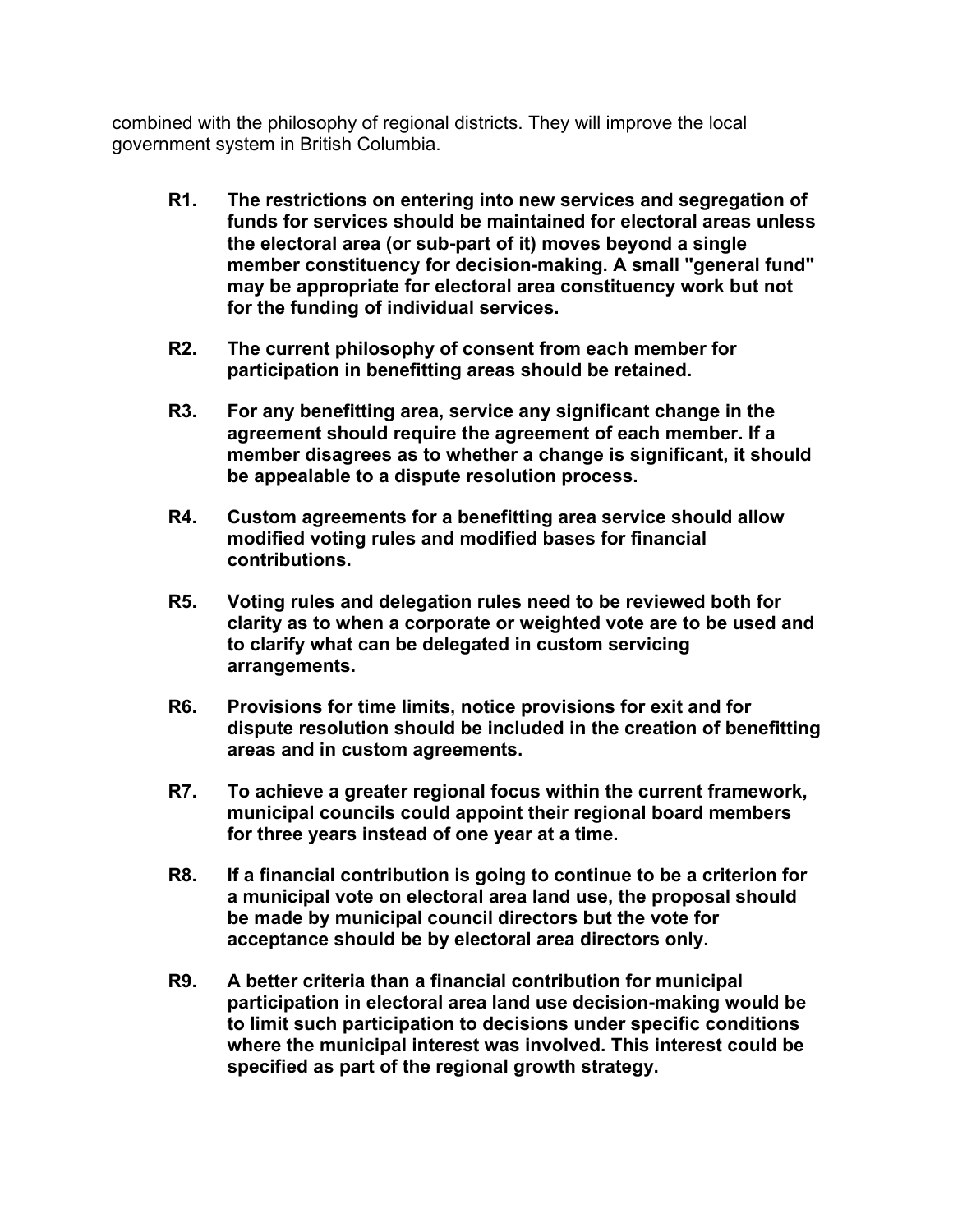combined with the philosophy of regional districts. They will improve the local government system in British Columbia.

- **R1. The restrictions on entering into new services and segregation of funds for services should be maintained for electoral areas unless the electoral area (or sub-part of it) moves beyond a single member constituency for decision-making. A small "general fund" may be appropriate for electoral area constituency work but not for the funding of individual services.**
- **R2. The current philosophy of consent from each member for participation in benefitting areas should be retained.**
- **R3. For any benefitting area, service any significant change in the agreement should require the agreement of each member. If a member disagrees as to whether a change is significant, it should be appealable to a dispute resolution process.**
- **R4. Custom agreements for a benefitting area service should allow modified voting rules and modified bases for financial contributions.**
- **R5. Voting rules and delegation rules need to be reviewed both for clarity as to when a corporate or weighted vote are to be used and to clarify what can be delegated in custom servicing arrangements.**
- **R6. Provisions for time limits, notice provisions for exit and for dispute resolution should be included in the creation of benefitting areas and in custom agreements.**
- **R7. To achieve a greater regional focus within the current framework, municipal councils could appoint their regional board members for three years instead of one year at a time.**
- **R8. If a financial contribution is going to continue to be a criterion for a municipal vote on electoral area land use, the proposal should be made by municipal council directors but the vote for acceptance should be by electoral area directors only.**
- **R9. A better criteria than a financial contribution for municipal participation in electoral area land use decision-making would be to limit such participation to decisions under specific conditions where the municipal interest was involved. This interest could be specified as part of the regional growth strategy.**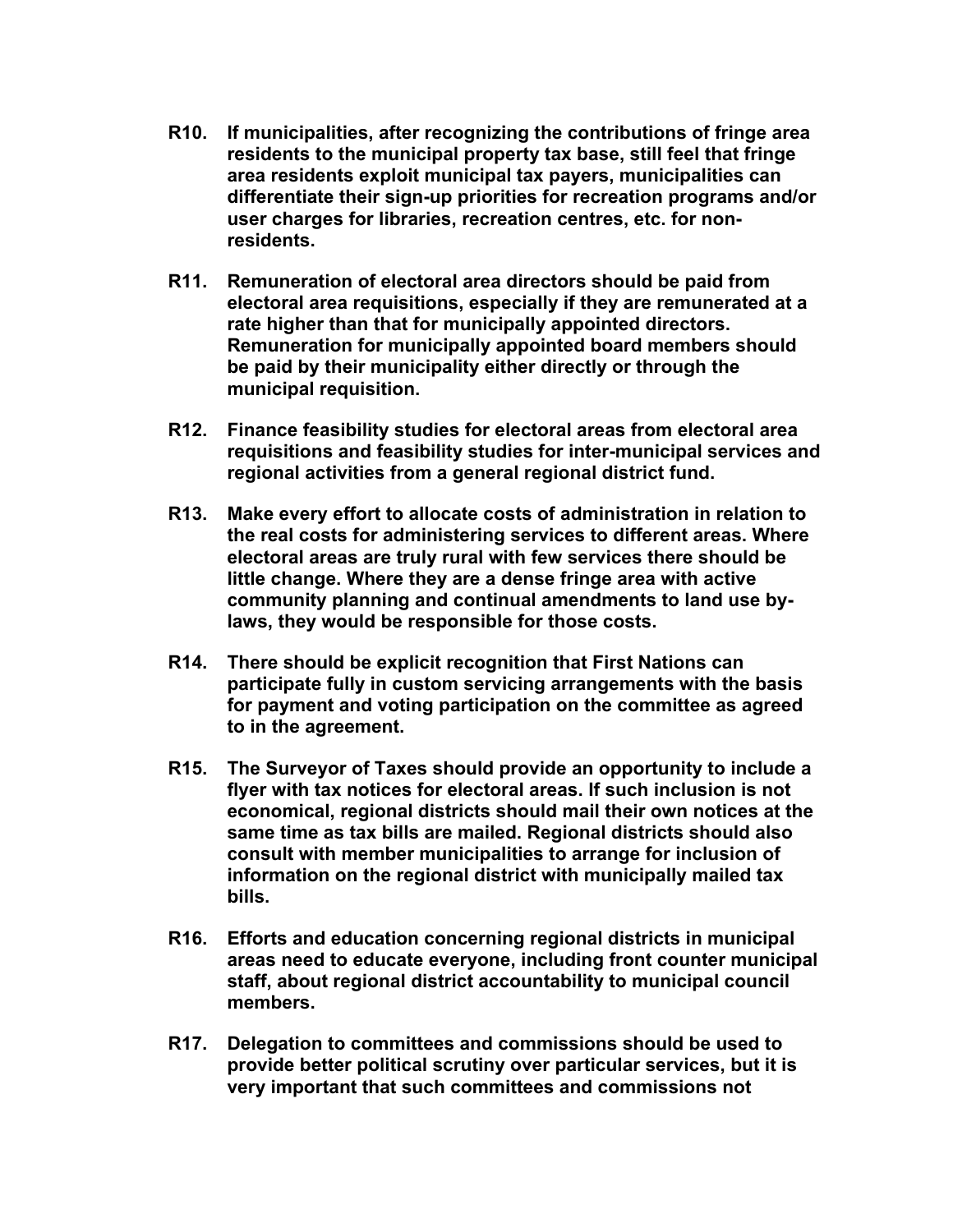- **R10. If municipalities, after recognizing the contributions of fringe area residents to the municipal property tax base, still feel that fringe area residents exploit municipal tax payers, municipalities can differentiate their sign-up priorities for recreation programs and/or user charges for libraries, recreation centres, etc. for nonresidents.**
- **R11. Remuneration of electoral area directors should be paid from electoral area requisitions, especially if they are remunerated at a rate higher than that for municipally appointed directors. Remuneration for municipally appointed board members should be paid by their municipality either directly or through the municipal requisition.**
- **R12. Finance feasibility studies for electoral areas from electoral area requisitions and feasibility studies for inter-municipal services and regional activities from a general regional district fund.**
- **R13. Make every effort to allocate costs of administration in relation to the real costs for administering services to different areas. Where electoral areas are truly rural with few services there should be little change. Where they are a dense fringe area with active community planning and continual amendments to land use bylaws, they would be responsible for those costs.**
- **R14. There should be explicit recognition that First Nations can participate fully in custom servicing arrangements with the basis for payment and voting participation on the committee as agreed to in the agreement.**
- **R15. The Surveyor of Taxes should provide an opportunity to include a flyer with tax notices for electoral areas. If such inclusion is not economical, regional districts should mail their own notices at the same time as tax bills are mailed. Regional districts should also consult with member municipalities to arrange for inclusion of information on the regional district with municipally mailed tax bills.**
- **R16. Efforts and education concerning regional districts in municipal areas need to educate everyone, including front counter municipal staff, about regional district accountability to municipal council members.**
- **R17. Delegation to committees and commissions should be used to provide better political scrutiny over particular services, but it is very important that such committees and commissions not**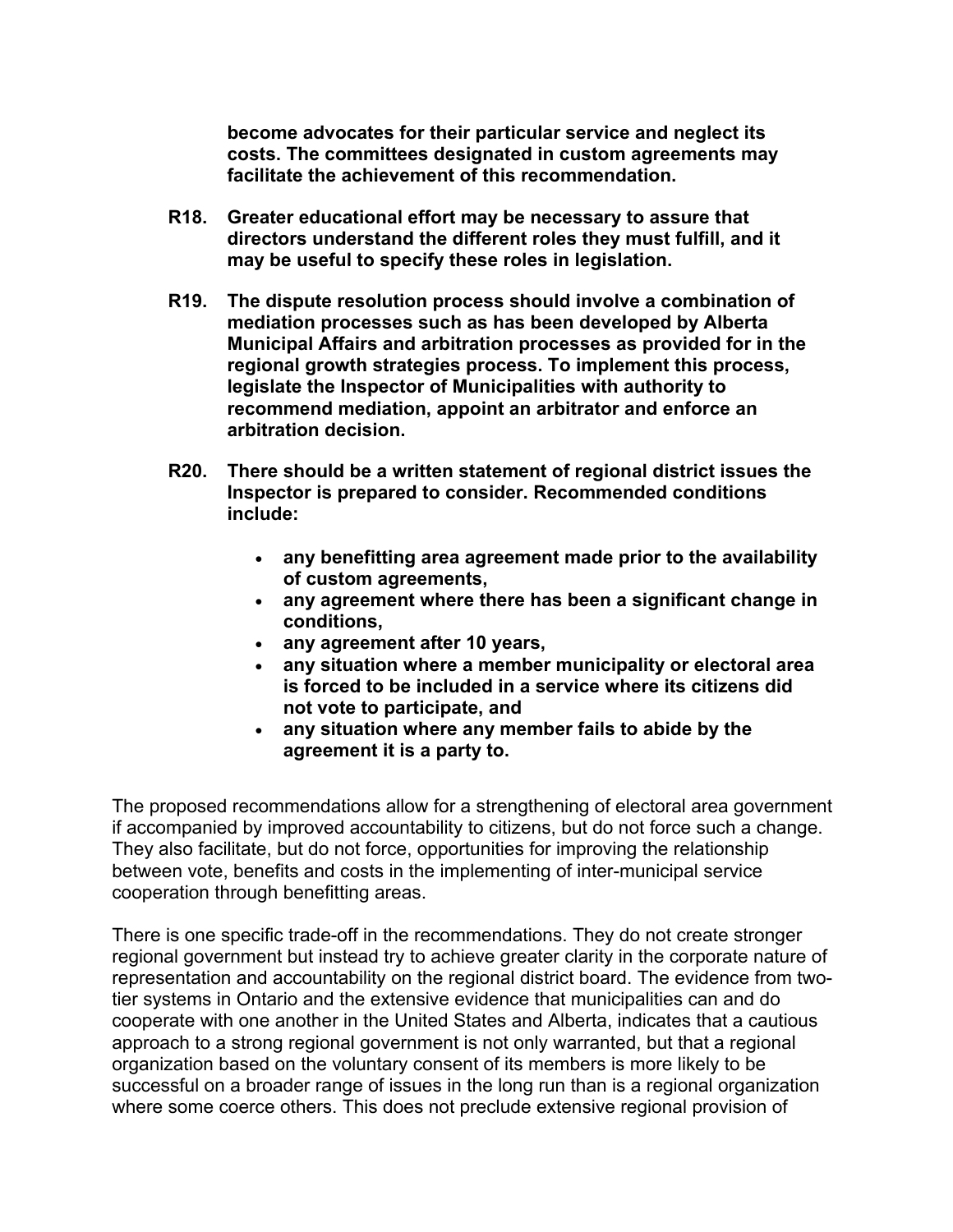**become advocates for their particular service and neglect its costs. The committees designated in custom agreements may facilitate the achievement of this recommendation.**

- **R18. Greater educational effort may be necessary to assure that directors understand the different roles they must fulfill, and it may be useful to specify these roles in legislation.**
- **R19. The dispute resolution process should involve a combination of mediation processes such as has been developed by Alberta Municipal Affairs and arbitration processes as provided for in the regional growth strategies process. To implement this process, legislate the Inspector of Municipalities with authority to recommend mediation, appoint an arbitrator and enforce an arbitration decision.**
- **R20. There should be a written statement of regional district issues the Inspector is prepared to consider. Recommended conditions include:** 
	- **any benefitting area agreement made prior to the availability of custom agreements,**
	- **any agreement where there has been a significant change in conditions,**
	- **any agreement after 10 years,**
	- **any situation where a member municipality or electoral area is forced to be included in a service where its citizens did not vote to participate, and**
	- **any situation where any member fails to abide by the agreement it is a party to.**

The proposed recommendations allow for a strengthening of electoral area government if accompanied by improved accountability to citizens, but do not force such a change. They also facilitate, but do not force, opportunities for improving the relationship between vote, benefits and costs in the implementing of inter-municipal service cooperation through benefitting areas.

There is one specific trade-off in the recommendations. They do not create stronger regional government but instead try to achieve greater clarity in the corporate nature of representation and accountability on the regional district board. The evidence from twotier systems in Ontario and the extensive evidence that municipalities can and do cooperate with one another in the United States and Alberta, indicates that a cautious approach to a strong regional government is not only warranted, but that a regional organization based on the voluntary consent of its members is more likely to be successful on a broader range of issues in the long run than is a regional organization where some coerce others. This does not preclude extensive regional provision of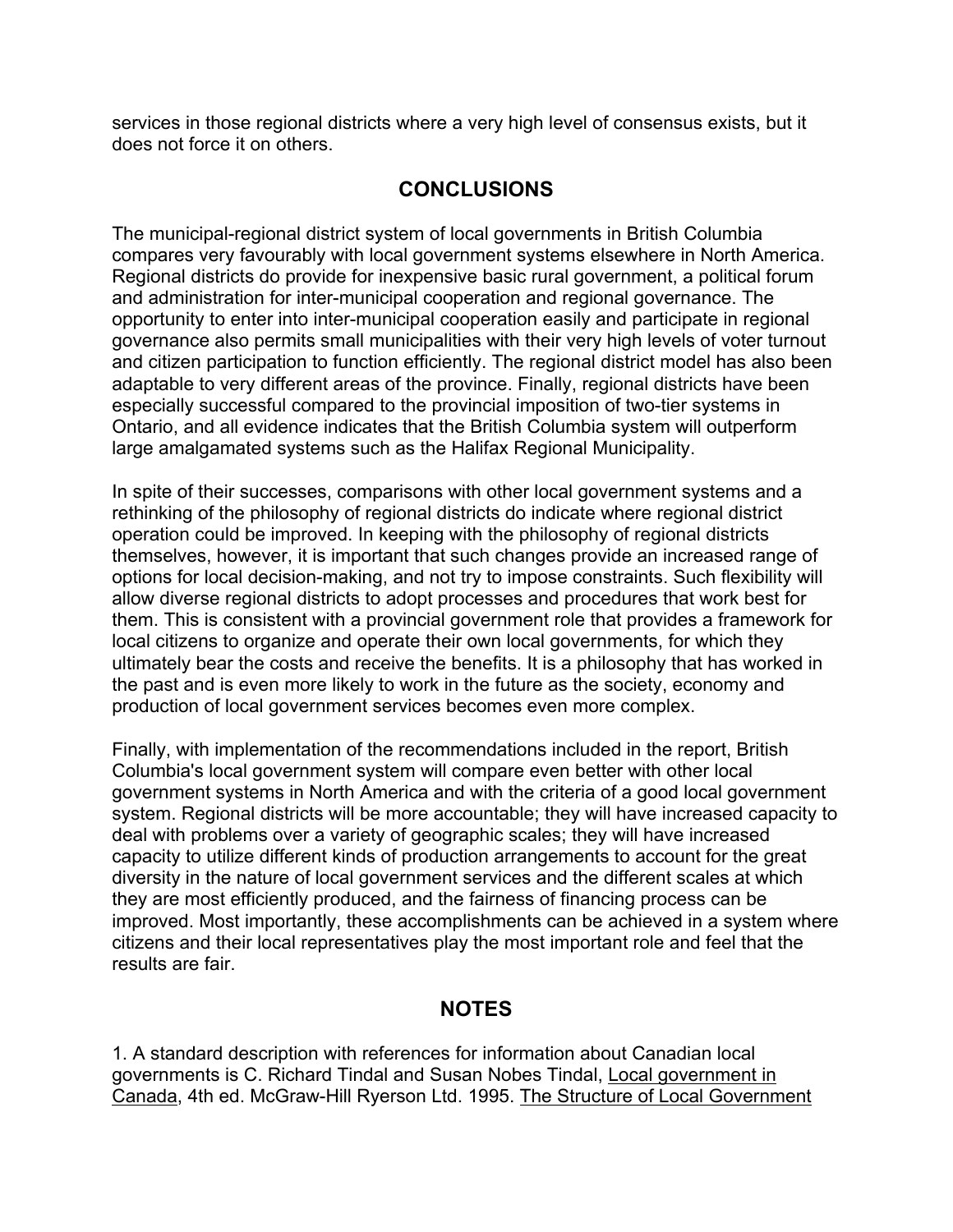services in those regional districts where a very high level of consensus exists, but it does not force it on others.

## **CONCLUSIONS**

The municipal-regional district system of local governments in British Columbia compares very favourably with local government systems elsewhere in North America. Regional districts do provide for inexpensive basic rural government, a political forum and administration for inter-municipal cooperation and regional governance. The opportunity to enter into inter-municipal cooperation easily and participate in regional governance also permits small municipalities with their very high levels of voter turnout and citizen participation to function efficiently. The regional district model has also been adaptable to very different areas of the province. Finally, regional districts have been especially successful compared to the provincial imposition of two-tier systems in Ontario, and all evidence indicates that the British Columbia system will outperform large amalgamated systems such as the Halifax Regional Municipality.

In spite of their successes, comparisons with other local government systems and a rethinking of the philosophy of regional districts do indicate where regional district operation could be improved. In keeping with the philosophy of regional districts themselves, however, it is important that such changes provide an increased range of options for local decision-making, and not try to impose constraints. Such flexibility will allow diverse regional districts to adopt processes and procedures that work best for them. This is consistent with a provincial government role that provides a framework for local citizens to organize and operate their own local governments, for which they ultimately bear the costs and receive the benefits. It is a philosophy that has worked in the past and is even more likely to work in the future as the society, economy and production of local government services becomes even more complex.

Finally, with implementation of the recommendations included in the report, British Columbia's local government system will compare even better with other local government systems in North America and with the criteria of a good local government system. Regional districts will be more accountable; they will have increased capacity to deal with problems over a variety of geographic scales; they will have increased capacity to utilize different kinds of production arrangements to account for the great diversity in the nature of local government services and the different scales at which they are most efficiently produced, and the fairness of financing process can be improved. Most importantly, these accomplishments can be achieved in a system where citizens and their local representatives play the most important role and feel that the results are fair.

## **NOTES**

1. A standard description with references for information about Canadian local governments is C. Richard Tindal and Susan Nobes Tindal, Local government in Canada, 4th ed. McGraw-Hill Ryerson Ltd. 1995. The Structure of Local Government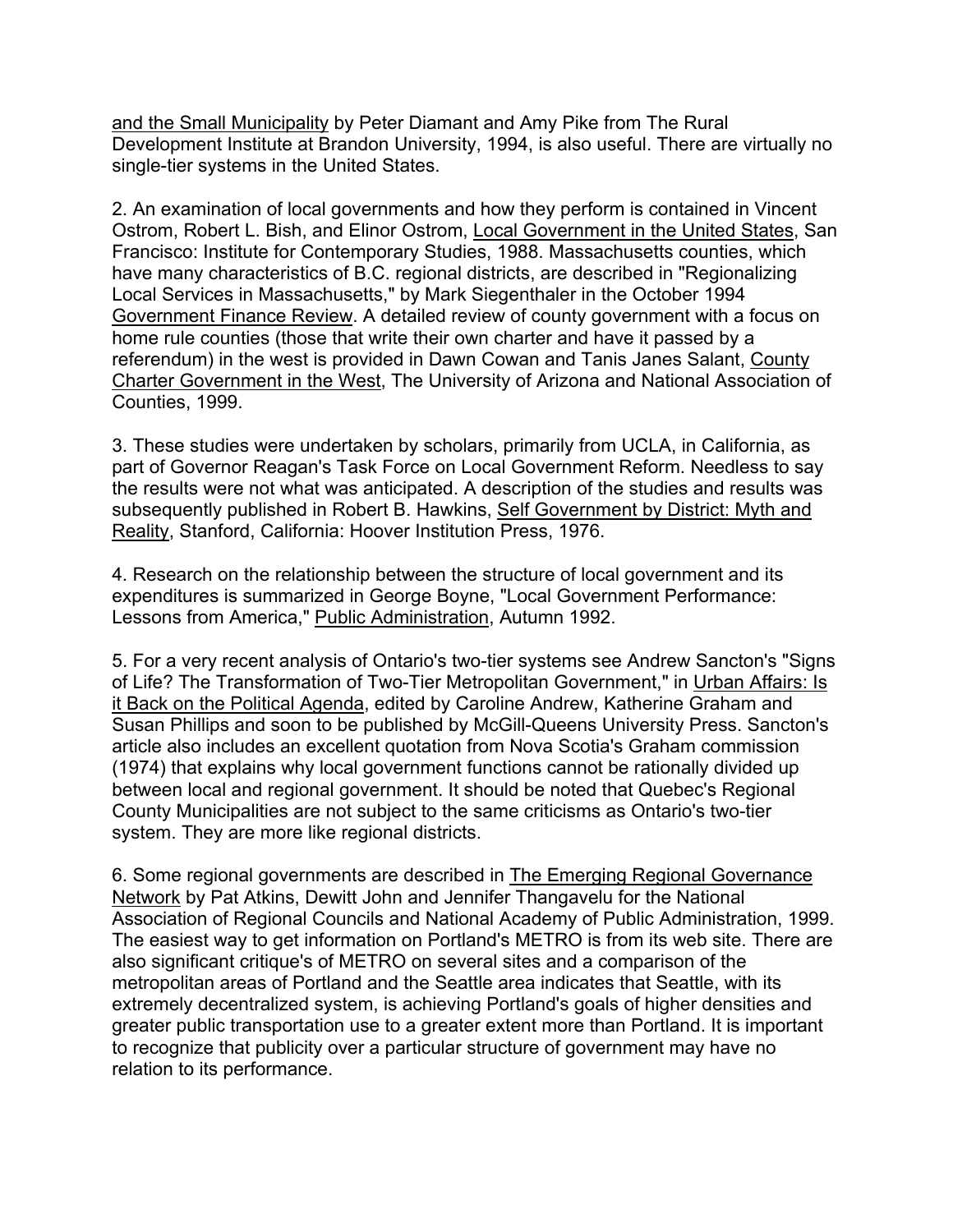and the Small Municipality by Peter Diamant and Amy Pike from The Rural Development Institute at Brandon University, 1994, is also useful. There are virtually no single-tier systems in the United States.

2. An examination of local governments and how they perform is contained in Vincent Ostrom, Robert L. Bish, and Elinor Ostrom, Local Government in the United States, San Francisco: Institute for Contemporary Studies, 1988. Massachusetts counties, which have many characteristics of B.C. regional districts, are described in "Regionalizing Local Services in Massachusetts," by Mark Siegenthaler in the October 1994 Government Finance Review. A detailed review of county government with a focus on home rule counties (those that write their own charter and have it passed by a referendum) in the west is provided in Dawn Cowan and Tanis Janes Salant, County Charter Government in the West, The University of Arizona and National Association of Counties, 1999.

3. These studies were undertaken by scholars, primarily from UCLA, in California, as part of Governor Reagan's Task Force on Local Government Reform. Needless to say the results were not what was anticipated. A description of the studies and results was subsequently published in Robert B. Hawkins, Self Government by District: Myth and Reality, Stanford, California: Hoover Institution Press, 1976.

4. Research on the relationship between the structure of local government and its expenditures is summarized in George Boyne, "Local Government Performance: Lessons from America," Public Administration, Autumn 1992.

5. For a very recent analysis of Ontario's two-tier systems see Andrew Sancton's "Signs of Life? The Transformation of Two-Tier Metropolitan Government," in Urban Affairs: Is it Back on the Political Agenda, edited by Caroline Andrew, Katherine Graham and Susan Phillips and soon to be published by McGill-Queens University Press. Sancton's article also includes an excellent quotation from Nova Scotia's Graham commission (1974) that explains why local government functions cannot be rationally divided up between local and regional government. It should be noted that Quebec's Regional County Municipalities are not subject to the same criticisms as Ontario's two-tier system. They are more like regional districts.

6. Some regional governments are described in The Emerging Regional Governance Network by Pat Atkins, Dewitt John and Jennifer Thangavelu for the National Association of Regional Councils and National Academy of Public Administration, 1999. The easiest way to get information on Portland's METRO is from its web site. There are also significant critique's of METRO on several sites and a comparison of the metropolitan areas of Portland and the Seattle area indicates that Seattle, with its extremely decentralized system, is achieving Portland's goals of higher densities and greater public transportation use to a greater extent more than Portland. It is important to recognize that publicity over a particular structure of government may have no relation to its performance.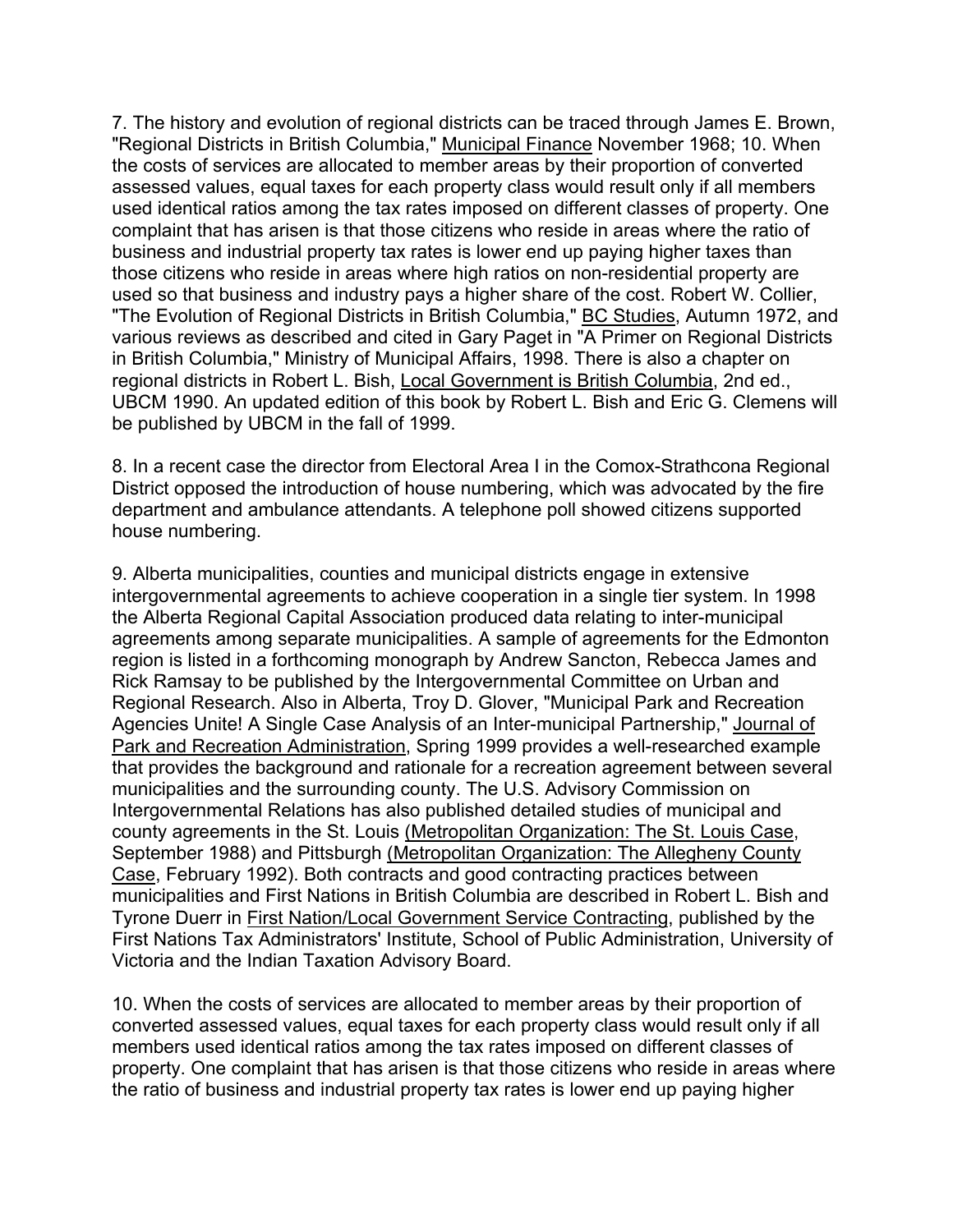7. The history and evolution of regional districts can be traced through James E. Brown, "Regional Districts in British Columbia," Municipal Finance November 1968; 10. When the costs of services are allocated to member areas by their proportion of converted assessed values, equal taxes for each property class would result only if all members used identical ratios among the tax rates imposed on different classes of property. One complaint that has arisen is that those citizens who reside in areas where the ratio of business and industrial property tax rates is lower end up paying higher taxes than those citizens who reside in areas where high ratios on non-residential property are used so that business and industry pays a higher share of the cost. Robert W. Collier, "The Evolution of Regional Districts in British Columbia," BC Studies, Autumn 1972, and various reviews as described and cited in Gary Paget in "A Primer on Regional Districts in British Columbia," Ministry of Municipal Affairs, 1998. There is also a chapter on regional districts in Robert L. Bish, Local Government is British Columbia, 2nd ed., UBCM 1990. An updated edition of this book by Robert L. Bish and Eric G. Clemens will be published by UBCM in the fall of 1999.

8. In a recent case the director from Electoral Area I in the Comox-Strathcona Regional District opposed the introduction of house numbering, which was advocated by the fire department and ambulance attendants. A telephone poll showed citizens supported house numbering.

9. Alberta municipalities, counties and municipal districts engage in extensive intergovernmental agreements to achieve cooperation in a single tier system. In 1998 the Alberta Regional Capital Association produced data relating to inter-municipal agreements among separate municipalities. A sample of agreements for the Edmonton region is listed in a forthcoming monograph by Andrew Sancton, Rebecca James and Rick Ramsay to be published by the Intergovernmental Committee on Urban and Regional Research. Also in Alberta, Troy D. Glover, "Municipal Park and Recreation Agencies Unite! A Single Case Analysis of an Inter-municipal Partnership," Journal of Park and Recreation Administration, Spring 1999 provides a well-researched example that provides the background and rationale for a recreation agreement between several municipalities and the surrounding county. The U.S. Advisory Commission on Intergovernmental Relations has also published detailed studies of municipal and county agreements in the St. Louis (Metropolitan Organization: The St. Louis Case, September 1988) and Pittsburgh (Metropolitan Organization: The Allegheny County Case, February 1992). Both contracts and good contracting practices between municipalities and First Nations in British Columbia are described in Robert L. Bish and Tyrone Duerr in First Nation/Local Government Service Contracting, published by the First Nations Tax Administrators' Institute, School of Public Administration, University of Victoria and the Indian Taxation Advisory Board.

10. When the costs of services are allocated to member areas by their proportion of converted assessed values, equal taxes for each property class would result only if all members used identical ratios among the tax rates imposed on different classes of property. One complaint that has arisen is that those citizens who reside in areas where the ratio of business and industrial property tax rates is lower end up paying higher